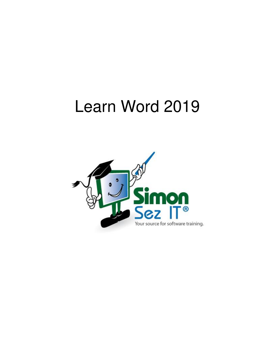# Learn Word 2019

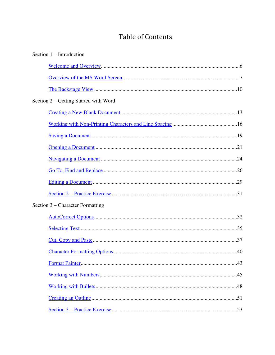## **Table of Contents**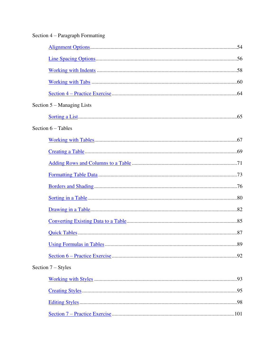| Section 4 – Paragraph Formatting |  |
|----------------------------------|--|
|                                  |  |
|                                  |  |
|                                  |  |
|                                  |  |
|                                  |  |
| Section 5 – Managing Lists       |  |
|                                  |  |
| Section $6$ – Tables             |  |
|                                  |  |
|                                  |  |
|                                  |  |
|                                  |  |
|                                  |  |
|                                  |  |
|                                  |  |
|                                  |  |
|                                  |  |
|                                  |  |
|                                  |  |
| Section $7 -$ Styles             |  |
|                                  |  |
|                                  |  |
|                                  |  |
|                                  |  |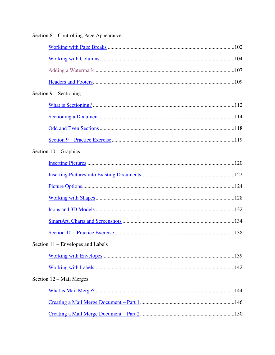| Section 8 – Controlling Page Appearance |
|-----------------------------------------|
|                                         |
|                                         |
|                                         |
|                                         |
| Section $9 -$ Sectioning                |
|                                         |
|                                         |
|                                         |
|                                         |
| Section $10 -$ Graphics                 |
|                                         |
|                                         |
|                                         |
|                                         |
|                                         |
|                                         |
|                                         |
| Section 11 – Envelopes and Labels       |
|                                         |
|                                         |
| Section 12 – Mail Merges                |
|                                         |
|                                         |
|                                         |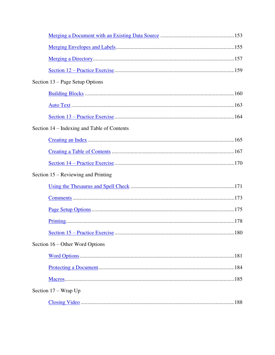| Section 13 – Page Setup Options             |  |
|---------------------------------------------|--|
|                                             |  |
|                                             |  |
|                                             |  |
| Section 14 – Indexing and Table of Contents |  |
|                                             |  |
|                                             |  |
|                                             |  |
| Section 15 – Reviewing and Printing         |  |
|                                             |  |
|                                             |  |
|                                             |  |
|                                             |  |
|                                             |  |
| Section 16 – Other Word Options             |  |
|                                             |  |
|                                             |  |
|                                             |  |
| Section $17 - W$ rap Up                     |  |
|                                             |  |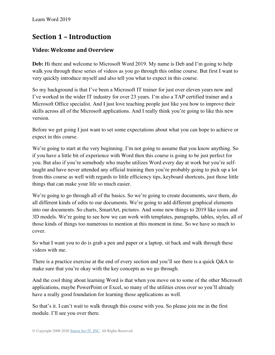## **Section 1 – Introduction**

#### <span id="page-5-0"></span>**Video: Welcome and Overview**

**Deb:** Hi there and welcome to Microsoft Word 2019. My name is Deb and I'm going to help walk you through these series of videos as you go through this online course. But first I want to very quickly introduce myself and also tell you what to expect in this course.

So my background is that I've been a Microsoft IT trainer for just over eleven years now and I've worked in the wider IT industry for over 23 years. I'm also a TAP certified trainer and a Microsoft Office specialist. And I just love teaching people just like you how to improve their skills across all of the Microsoft applications. And I really think you're going to like this new version.

Before we get going I just want to set some expectations about what you can hope to achieve or expect in this course.

We're going to start at the very beginning. I'm not going to assume that you know anything. So if you have a little bit of experience with Word then this course is going to be just perfect for you. But also if you're somebody who maybe utilizes Word every day at work but you're selftaught and have never attended any official training then you're probably going to pick up a lot from this course as well with regards to little efficiency tips, keyboard shortcuts, just those little things that can make your life so much easier.

We're going to go through all of the basics. So we're going to create documents, save them, do all different kinds of edits to our documents. We're going to add different graphical elements into our documents. So charts, SmartArt, pictures. And some new things to 2019 like icons and 3D models. We're going to see how we can work with templates, paragraphs, tables, styles, all of those kinds of things too numerous to mention at this moment in time. So we have so much to cover.

So what I want you to do is grab a pen and paper or a laptop, sit back and walk through these videos with me.

There is a practice exercise at the end of every section and you'll see there is a quick Q&A to make sure that you're okay with the key concepts as we go through.

And the cool thing about learning Word is that when you move on to some of the other Microsoft applications, maybe PowerPoint or Excel, so many of the utilities cross over so you'll already have a really good foundation for learning those applications as well.

So that's it. I can't wait to walk through this course with you. So please join me in the first module. I'll see you over there.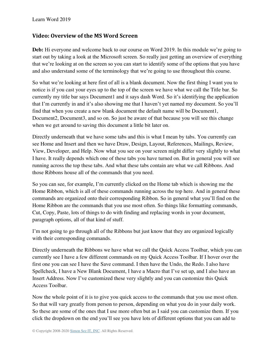#### <span id="page-6-0"></span>**Video: Overview of the MS Word Screen**

Deb: Hi everyone and welcome back to our course on Word 2019. In this module we're going to start out by taking a look at the Microsoft screen. So really just getting an overview of everything that we're looking at on the screen so you can start to identify some of the options that you have and also understand some of the terminology that we're going to use throughout this course.

So what we're looking at here first of all is a blank document. Now the first thing I want you to notice is if you cast your eyes up to the top of the screen we have what we call the Title bar. So currently my title bar says Document1 and it says dash Word. So it's identifying the application that I'm currently in and it's also showing me that I haven't yet named my document. So you'll find that when you create a new blank document the default name will be Document1, Document2, Document3, and so on. So just be aware of that because you will see this change when we get around to saving this document a little bit later on.

Directly underneath that we have some tabs and this is what I mean by tabs. You currently can see Home and Insert and then we have Draw, Design, Layout, References, Mailings, Review, View, Developer, and Help. Now what you see on your screen might differ very slightly to what I have. It really depends which one of these tabs you have turned on. But in general you will see running across the top these tabs. And what these tabs contain are what we call Ribbons. And those Ribbons house all of the commands that you need.

So you can see, for example, I'm currently clicked on the Home tab which is showing me the Home Ribbon, which is all of these commands running across the top here. And in general these commands are organized onto their corresponding Ribbon. So in general what you'll find on the Home Ribbon are the commands that you use most often. So things like formatting commands, Cut, Copy, Paste, lots of things to do with finding and replacing words in your document, paragraph options, all of that kind of stuff.

I'm not going to go through all of the Ribbons but just know that they are organized logically with their corresponding commands.

Directly underneath the Ribbons we have what we call the Quick Access Toolbar, which you can currently see I have a few different commands on my Quick Access Toolbar. If I hover over the first one you can see I have the Save command. I then have the Undo, the Redo. I also have Spellcheck, I have a New Blank Document, I have a Macro that I've set up, and I also have an Insert Address. Now I've customized these very slightly and you can customize this Quick Access Toolbar.

Now the whole point of it is to give you quick access to the commands that you use most often. So that will vary greatly from person to person, depending on what you do in your daily work. So these are some of the ones that I use more often but as I said you can customize them. If you click the dropdown on the end you'll see you have lots of different options that you can add to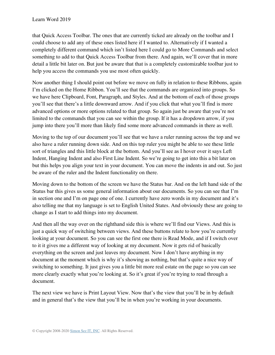that Quick Access Toolbar. The ones that are currently ticked are already on the toolbar and I could choose to add any of these ones listed here if I wanted to. Alternatively if I wanted a completely different command which isn't listed here I could go to More Commands and select something to add to that Quick Access Toolbar from there. And again, we'll cover that in more detail a little bit later on. But just be aware that that is a completely customizable toolbar just to help you access the commands you use most often quickly.

Now another thing I should point out before we move on fully in relation to these Ribbons, again I'm clicked on the Home Ribbon. You'll see that the commands are organized into groups. So we have here Clipboard, Font, Paragraph, and Styles. And at the bottom of each of those groups you'll see that there's a little downward arrow. And if you click that what you'll find is more advanced options or more options related to that group. So again just be aware that you're not limited to the commands that you can see within the group. If it has a dropdown arrow, if you jump into there you'll more than likely find some more advanced commands in there as well.

Moving to the top of our document you'll see that we have a ruler running across the top and we also have a ruler running down side. And on this top ruler you might be able to see these little sort of triangles and this little block at the bottom. And you'll see as I hover over it says Left Indent, Hanging Indent and also First Line Indent. So we're going to get into this a bit later on but this helps you align your text in your document. You can move the indents in and out. So just be aware of the ruler and the Indent functionality on there.

Moving down to the bottom of the screen we have the Status bar. And on the left hand side of the Status bar this gives us some general information about our documents. So you can see that I'm in section one and I'm on page one of one. I currently have zero words in my document and it's also telling me that my language is set to English United States. And obviously these are going to change as I start to add things into my document.

And then all the way over on the righthand side this is where we'll find our Views. And this is just a quick way of switching between views. And these buttons relate to how you're currently looking at your document. So you can see the first one there is Read Mode, and if I switch over to it it gives me a different way of looking at my document. Now it gets rid of basically everything on the screen and just leaves my document. Now I don't have anything in my document at the moment which is why it's showing as nothing, but that's quite a nice way of switching to something. It just gives you a little bit more real estate on the page so you can see more clearly exactly what you're looking at. So it's great if you're trying to read through a document.

The next view we have is Print Layout View. Now that's the view that you'll be in by default and in general that's the view that you'll be in when you're working in your documents.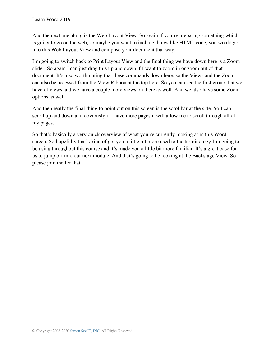And the next one along is the Web Layout View. So again if you're preparing something which is going to go on the web, so maybe you want to include things like HTML code, you would go into this Web Layout View and compose your document that way.

I'm going to switch back to Print Layout View and the final thing we have down here is a Zoom slider. So again I can just drag this up and down if I want to zoom in or zoom out of that document. It's also worth noting that these commands down here, so the Views and the Zoom can also be accessed from the View Ribbon at the top here. So you can see the first group that we have of views and we have a couple more views on there as well. And we also have some Zoom options as well.

And then really the final thing to point out on this screen is the scrollbar at the side. So I can scroll up and down and obviously if I have more pages it will allow me to scroll through all of my pages.

So that's basically a very quick overview of what you're currently looking at in this Word screen. So hopefully that's kind of got you a little bit more used to the terminology I'm going to be using throughout this course and it's made you a little bit more familiar. It's a great base for us to jump off into our next module. And that's going to be looking at the Backstage View. So please join me for that.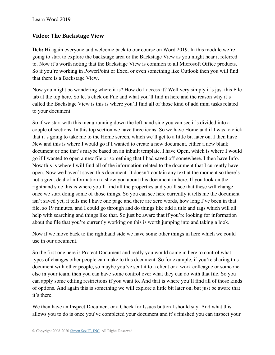#### <span id="page-9-0"></span>**Video: The Backstage View**

**Deb:** Hi again everyone and welcome back to our course on Word 2019. In this module we're going to start to explore the backstage area or the Backstage View as you might hear it referred to. Now it's worth noting that the Backstage View is common to all Microsoft Office products. So if you're working in PowerPoint or Excel or even something like Outlook then you will find that there is a Backstage View.

Now you might be wondering where it is? How do I access it? Well very simply it's just this File tab at the top here. So let's click on File and what you'll find in here and the reason why it's called the Backstage View is this is where you'll find all of those kind of add mini tasks related to your document.

So if we start with this menu running down the left hand side you can see it's divided into a couple of sections. In this top section we have three icons. So we have Home and if I was to click that it's going to take me to the Home screen, which we'll get to a little bit later on. I then have New and this is where I would go if I wanted to create a new document, either a new blank document or one that's maybe based on an inbuilt template. I have Open, which is where I would go if I wanted to open a new file or something that I had saved off somewhere. I then have Info. Now this is where I will find all of the information related to the document that I currently have open. Now we haven't saved this document. It doesn't contain any text at the moment so there's not a great deal of information to show you about this document in here. If you look on the righthand side this is where you'll find all the properties and you'll see that these will change once we start doing some of those things. So you can see here currently it tells me the document isn't saved yet, it tells me I have one page and there are zero words, how long I've been in that file, so 19 minutes, and I could go through and do things like add a title and tags which will all help with searching and things like that. So just be aware that if you're looking for information about the file that you're currently working on this is worth jumping into and taking a look.

Now if we move back to the righthand side we have some other things in here which we could use in our document.

So the first one here is Protect Document and really you would come in here to control what types of changes other people can make to this document. So for example, if you're sharing this document with other people, so maybe you've sent it to a client or a work colleague or someone else in your team, then you can have some control over what they can do with that file. So you can apply some editing restrictions if you want to. And that is where you'll find all of those kinds of options. And again this is something we will explore a little bit later on, but just be aware that it's there.

We then have an Inspect Document or a Check for Issues button I should say. And what this allows you to do is once you've completed your document and it's finished you can inspect your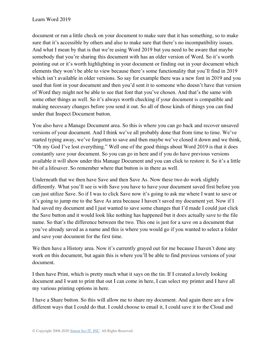document or run a little check on your document to make sure that it has something, so to make sure that it's accessible by others and also to make sure that there's no incompatibility issues. And what I mean by that is that we're using Word 2019 but you need to be aware that maybe somebody that you're sharing this document with has an older version of Word. So it's worth pointing out or it's worth highlighting in your document or finding out in your document which elements they won't be able to view because there's some functionality that you'll find in 2019 which isn't available in older versions. So say for example there was a new font in 2019 and you used that font in your document and then you'd sent it to someone who doesn't have that version of Word they might not be able to see that font that you've chosen. And that's the same with some other things as well. So it's always worth checking if your document is compatible and making necessary changes before you send it out. So all of those kinds of things you can find under that Inspect Document button.

You also have a Manage Document area. So this is where you can go back and recover unsaved versions of your document. And I think we've all probably done that from time to time. We've started typing away, we've forgotten to save and then maybe we've closed it down and we think, "Oh my God I've lost everything." Well one of the good things about Word 2019 is that it does constantly save your document. So you can go in here and if you do have previous versions available it will show under this Manage Document and you can click to restore it. So it's a little bit of a lifesaver. So remember where that button is in there as well.

Underneath that we then have Save and then Save As. Now these two do work slightly differently. What you'll see is with Save you have to have your document saved first before you can just utilize Save. So if I was to click Save now it's going to ask me where I want to save or it's going to jump me to the Save As area because I haven't saved my document yet. Now if I had saved my document and I just wanted to save some changes that I'd made I could just click the Save button and it would look like nothing has happened but it does actually save to the file name. So that's the difference between the two. This one is just for a save on a document that you've already saved as a name and this is where you would go if you wanted to select a folder and save your document for the first time.

We then have a History area. Now it's currently grayed out for me because I haven't done any work on this document, but again this is where you'll be able to find previous versions of your document.

I then have Print, which is pretty much what it says on the tin. If I created a lovely looking document and I want to print that out I can come in here, I can select my printer and I have all my various printing options in here.

I have a Share button. So this will allow me to share my document. And again there are a few different ways that I could do that. I could choose to email it, I could save it to the Cloud and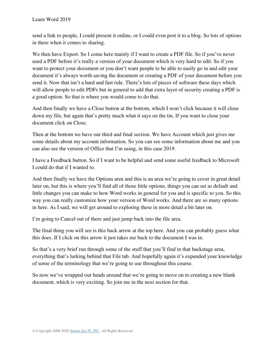send a link to people, I could present it online, or I could even post it to a blog. So lots of options in there when it comes to sharing.

We then have Export. So I come here mainly if I want to create a PDF file. So if you've never used a PDF before it's really a version of your document which is very hard to edit. So if you want to protect your document or you don't want people to be able to easily go in and edit your document it's always worth saving the document or creating a PDF of your document before you send it. Now that isn't a hard and fast rule. There's lots of pieces of software these days which will allow people to edit PDFs but in general to add that extra layer of security creating a PDF is a good option. So that is where you would come to do that.

And then finally we have a Close button at the bottom, which I won't click because it will close down my file, but again that's pretty much what it says on the tin. If you want to close your document click on Close.

Then at the bottom we have our third and final section. We have Account which just gives me some details about my account information. So you can see some information about me and you can also see the version of Office that I'm using, in this case 2019.

I have a Feedback button. So if I want to be helpful and send some useful feedback to Microsoft I could do that if I wanted to.

And then finally we have the Options area and this is an area we're going to cover in great detail later on, but this is where you'll find all of those little options, things you can set as default and little changes you can make to how Word works in general for you and is specific to you. So this way you can really customize how your version of Word works. And there are so many options in here. As I said, we will get around to exploring these in more detail a bit later on.

I'm going to Cancel out of there and just jump back into the file area.

The final thing you will see is this back arrow at the top here. And you can probably guess what this does. If I click on this arrow it just takes me back to the document I was in.

So that's a very brief run through some of the stuff that you'll find in that backstage area, everything that's lurking behind that File tab. And hopefully again it's expanded your knowledge of some of the terminology that we're going to use throughout this course.

So now we've wrapped our heads around that we're going to move on to creating a new blank document, which is very exciting. So join me in the next section for that.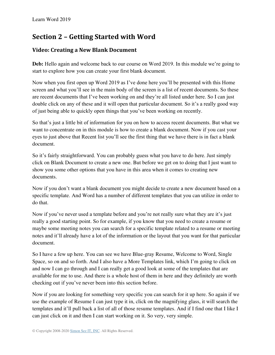## **Section 2 – Getting Started with Word**

#### <span id="page-12-0"></span>**Video: Creating a New Blank Document**

**Deb:** Hello again and welcome back to our course on Word 2019. In this module we're going to start to explore how you can create your first blank document.

Now when you first open up Word 2019 as I've done here you'll be presented with this Home screen and what you'll see in the main body of the screen is a list of recent documents. So these are recent documents that I've been working on and they're all listed under here. So I can just double click on any of these and it will open that particular document. So it's a really good way of just being able to quickly open things that you've been working on recently.

So that's just a little bit of information for you on how to access recent documents. But what we want to concentrate on in this module is how to create a blank document. Now if you cast your eyes to just above that Recent list you'll see the first thing that we have there is in fact a blank document.

So it's fairly straightforward. You can probably guess what you have to do here. Just simply click on Blank Document to create a new one. But before we get on to doing that I just want to show you some other options that you have in this area when it comes to creating new documents.

Now if you don't want a blank document you might decide to create a new document based on a specific template. And Word has a number of different templates that you can utilize in order to do that.

Now if you've never used a template before and you're not really sure what they are it's just really a good starting point. So for example, if you know that you need to create a resume or maybe some meeting notes you can search for a specific template related to a resume or meeting notes and it'll already have a lot of the information or the layout that you want for that particular document.

So I have a few up here. You can see we have Blue-gray Resume, Welcome to Word, Single Space, so on and so forth. And I also have a More Templates link, which I'm going to click on and now I can go through and I can really get a good look at some of the templates that are available for me to use. And there is a whole host of them in here and they definitely are worth checking out if you've never been into this section before.

Now if you are looking for something very specific you can search for it up here. So again if we use the example of Resume I can just type it in, click on the magnifying glass, it will search the templates and it'll pull back a list of all of those resume templates. And if I find one that I like I can just click on it and then I can start working on it. So very, very simple.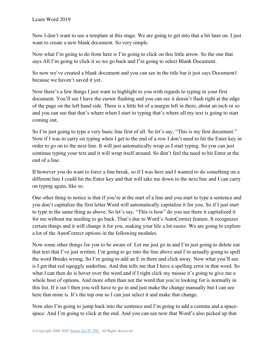Now I don't want to use a template at this stage. We are going to get into that a bit later on. I just want to create a new blank document. So very simple.

Now what I'm going to do from here is I'm going to click on this little arrow. So the one that says All I'm going to click it so we go back and I'm going to select Blank Document.

So now we've created a blank document and you can see in the title bar it just says Document1 because we haven't saved it yet.

Now there's a few things I just want to highlight to you with regards to typing in your first document. You'll see I have the cursor flashing and you can see it doesn't flash right at the edge of the page on the left hand side. There is a little bit of a margin left in there, about an inch or so and you can see that that's where when I start to typing that's where all my text is going to start coming out.

So I'm just going to type a very basic line first of all. So let's say, "This is my first document." Now if I was to carry on typing when I get to the end of a row I don't need to hit the Enter key in order to go on to the next line. It will just automatically wrap as I start typing. So you can just continue typing your text and it will wrap itself around. So don't feel the need to hit Enter at the end of a line.

If however you do want to force a line break, so if I was here and I wanted to do something on a different line I could hit the Enter key and that will take me down to the next line and I can carry on typing again, like so.

One other thing to notice is that if you're at the start of a line and you start to type a sentence and you don't capitalize the first letter Word will automatically capitalize it for you. So if I just start to type in the same thing as above. So let's say, "This is how" do you see there it capitalized it for me without me needing to go back. That's due to Word's AutoCorrect feature. It recognizes certain things and it will change it for you, making your life a lot easier. We are going to explore a lot of the AutoCorrect options in the following modules.

Now some other things for you to be aware of. Let me just go in and I'm just going to delete out that text that I've just written. I'm going to go into the line above and I'm actually going to spell the word Breaks wrong. So I'm going to add an E in there and click away. Now what you'll see is I get that red squiggly underline. And that tells me that I have a spelling error in that word. So what I can then do is hover over the word and if I right click my mouse it's going to give me a whole host of options. And more often than not the word that you're looking for is normally in this list. If it isn't then you will have to go in and just make the change manually but I can see here that mine is. It's the top one so I can just select it and make that change.

Now also I'm going to jump back into the sentence and I'm going to add a comma and a spacespace. And I'm going to click at the end. And you can see now that Word's also picked up that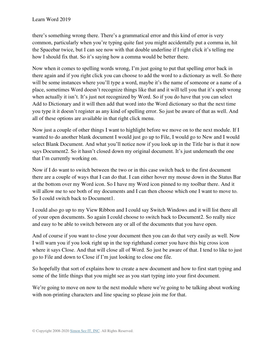there's something wrong there. There's a grammatical error and this kind of error is very common, particularly when you're typing quite fast you might accidentally put a comma in, hit the Spacebar twice, but I can see now with that double underline if I right click it's telling me how I should fix that. So it's saying how a comma would be better there.

Now when it comes to spelling words wrong, I'm just going to put that spelling error back in there again and if you right click you can choose to add the word to a dictionary as well. So there will be some instances where you'll type a word, maybe it's the name of someone or a name of a place, sometimes Word doesn't recognize things like that and it will tell you that it's spelt wrong when actually it isn't. It's just not recognized by Word. So if you do have that you can select Add to Dictionary and it will then add that word into the Word dictionary so that the next time you type it it doesn't register as any kind of spelling error. So just be aware of that as well. And all of these options are available in that right click menu.

Now just a couple of other things I want to highlight before we move on to the next module. If I wanted to do another blank document I would just go up to File, I would go to New and I would select Blank Document. And what you'll notice now if you look up in the Title bar is that it now says Document2. So it hasn't closed down my original document. It's just underneath the one that I'm currently working on.

Now if I do want to switch between the two or in this case switch back to the first document there are a couple of ways that I can do that. I can either hover my mouse down in the Status Bar at the bottom over my Word icon. So I have my Word icon pinned to my toolbar there. And it will allow me to see both of my documents and I can then choose which one I want to move to. So I could switch back to Document1.

I could also go up to my View Ribbon and I could say Switch Windows and it will list there all of your open documents. So again I could choose to switch back to Document2. So really nice and easy to be able to switch between any or all of the documents that you have open.

And of course if you want to close your document then you can do that very easily as well. Now I will warn you if you look right up in the top righthand corner you have this big cross icon where it says Close. And that will close all of Word. So just be aware of that. I tend to like to just go to File and down to Close if I'm just looking to close one file.

So hopefully that sort of explains how to create a new document and how to first start typing and some of the little things that you might see as you start typing into your first document.

We're going to move on now to the next module where we're going to be talking about working with non-printing characters and line spacing so please join me for that.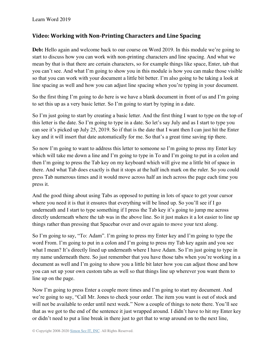#### <span id="page-15-0"></span>**Video: Working with Non-Printing Characters and Line Spacing**

**Deb:** Hello again and welcome back to our course on Word 2019. In this module we're going to start to discuss how you can work with non-printing characters and line spacing. And what we mean by that is that there are certain characters, so for example things like space, Enter, tab that you can't see. And what I'm going to show you in this module is how you can make those visible so that you can work with your document a little bit better. I'm also going to be taking a look at line spacing as well and how you can adjust line spacing when you're typing in your document.

So the first thing I'm going to do here is we have a blank document in front of us and I'm going to set this up as a very basic letter. So I'm going to start by typing in a date.

So I'm just going to start by creating a basic letter. And the first thing I want to type on the top of this letter is the date. So I'm going to type in a date. So let's say July and as I start to type you can see it's picked up July 25, 2019. So if that is the date that I want then I can just hit the Enter key and it will insert that date automatically for me. So that's a great time saving tip there.

So now I'm going to want to address this letter to someone so I'm going to press my Enter key which will take me down a line and I'm going to type in To and I'm going to put in a colon and then I'm going to press the Tab key on my keyboard which will give me a little bit of space in there. And what Tab does exactly is that it stops at the half inch mark on the ruler. So you could press Tab numerous times and it would move across half an inch across the page each time you press it.

And the good thing about using Tabs as opposed to putting in lots of space to get your cursor where you need it is that it ensures that everything will be lined up. So you'll see if I go underneath and I start to type something if I press the Tab key it's going to jump me across directly underneath where the tab was in the above line. So it just makes it a lot easier to line up things rather than pressing that Spacebar over and over again to move your text along.

So I'm going to say, "To: Adam". I'm going to press my Enter key and I'm going to type the word From. I'm going to put in a colon and I'm going to press my Tab key again and you see what I mean? It's directly lined up underneath where I have Adam. So I'm just going to type in my name underneath there. So just remember that you have those tabs when you're working in a document as well and I'm going to show you a little bit later how you can adjust those and how you can set up your own custom tabs as well so that things line up wherever you want them to line up on the page.

Now I'm going to press Enter a couple more times and I'm going to start my document. And we're going to say, "Call Mr. Jones to check your order. The item you want is out of stock and will not be available to order until next week." Now a couple of things to note there. You'll see that as we got to the end of the sentence it just wrapped around. I didn't have to hit my Enter key or didn't need to put a line break in there just to get that to wrap around on to the next line,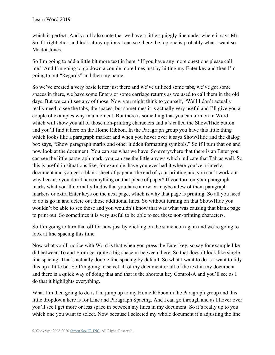which is perfect. And you'll also note that we have a little squiggly line under where it says Mr. So if I right click and look at my options I can see there the top one is probably what I want so Mr-dot Jones.

So I'm going to add a little bit more text in here. "If you have any more questions please call me." And I'm going to go down a couple more lines just by hitting my Enter key and then I'm going to put "Regards" and then my name.

So we've created a very basic letter just there and we've utilized some tabs, we've got some spaces in there, we have some Enters or some carriage returns as we used to call them in the old days. But we can't see any of those. Now you might think to yourself, "Well I don't actually really need to see the tabs, the spaces, but sometimes it is actually very useful and I'll give you a couple of examples why in a moment. But there is something that you can turn on in Word which will show you all of those non-printing characters and it's called the Show/Hide button and you'll find it here on the Home Ribbon. In the Paragraph group you have this little thing which looks like a paragraph marker and when you hover over it says Show/Hide and the dialog box says, "Show paragraph marks and other hidden formatting symbols." So if I turn that on and now look at the document. You can see what we have. So everywhere that there is an Enter you can see the little paragraph mark, you can see the little arrows which indicate that Tab as well. So this is useful in situations like, for example, have you ever had it where you've printed a document and you get a blank sheet of paper at the end of your printing and you can't work out why because you don't have anything on that piece of paper? If you turn on your paragraph marks what you'll normally find is that you have a row or maybe a few of them paragraph markers or extra Enter keys on the next page, which is why that page is printing. So all you need to do is go in and delete out those additional lines. So without turning on that Show/Hide you wouldn't be able to see those and you wouldn't know that was what was causing that blank page to print out. So sometimes it is very useful to be able to see these non-printing characters.

So I'm going to turn that off for now just by clicking on the same icon again and we're going to look at line spacing this time.

Now what you'll notice with Word is that when you press the Enter key, so say for example like did between To and From get quite a big space in between there. So that doesn't look like single line spacing. That's actually double line spacing by default. So what I want to do is I want to tidy this up a little bit. So I'm going to select all of my document or all of the text in my document and there is a quick way of doing that and that is the shortcut key Control-A and you'll see as I do that it highlights everything.

What I'm then going to do is I'm jump up to my Home Ribbon in the Paragraph group and this little dropdown here is for Line and Paragraph Spacing. And I can go through and as I hover over you'll see I get more or less space in between my lines in my document. So it's really up to you which one you want to select. Now because I selected my whole document it's adjusting the line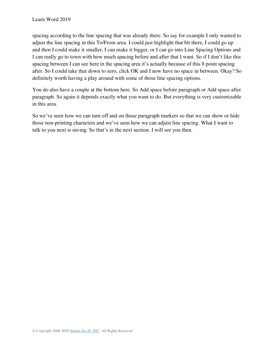spacing according to the line spacing that was already there. So say for example I only wanted to adjust the line spacing in this To/From area. I could just highlight that bit there, I could go up and then I could make it smaller, I can make it bigger, or I can go into Line Spacing Options and I can really go to town with how much spacing before and after that I want. So if I don't like this spacing between I can see here in the spacing area it's actually because of this 8 point spacing after. So I could take that down to zero, click OK and I now have no space in between. Okay? So definitely worth having a play around with some of those line spacing options.

You do also have a couple at the bottom here. So Add space before paragraph or Add space after paragraph. So again it depends exactly what you want to do. But everything is very customizable in this area.

So we've seen how we can turn off and on those paragraph markers so that we can show or hide those non-printing characters and we've seen how we can adjust line spacing. What I want to talk to you next is saving. So that's in the next section. I will see you then.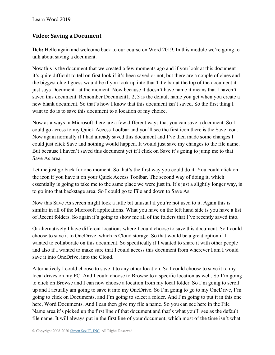#### <span id="page-18-0"></span>**Video: Saving a Document**

**Deb:** Hello again and welcome back to our course on Word 2019. In this module we're going to talk about saving a document.

Now this is the document that we created a few moments ago and if you look at this document it's quite difficult to tell on first look if it's been saved or not, but there are a couple of clues and the biggest clue I guess would be if you look up into that Title bar at the top of the document it just says Document1 at the moment. Now because it doesn't have name it means that I haven't saved this document. Remember Document1, 2, 3 is the default name you get when you create a new blank document. So that's how I know that this document isn't saved. So the first thing I want to do is to save this document to a location of my choice.

Now as always in Microsoft there are a few different ways that you can save a document. So I could go across to my Quick Access Toolbar and you'll see the first icon there is the Save icon. Now again normally if I had already saved this document and I've then made some changes I could just click Save and nothing would happen. It would just save my changes to the file name. But because I haven't saved this document yet if I click on Save it's going to jump me to that Save As area.

Let me just go back for one moment. So that's the first way you could do it. You could click on the icon if you have it on your Quick Access Toolbar. The second way of doing it, which essentially is going to take me to the same place we were just in. It's just a slightly longer way, is to go into that backstage area. So I could go to File and down to Save As.

Now this Save As screen might look a little bit unusual if you're not used to it. Again this is similar in all of the Microsoft applications. What you have on the left hand side is you have a list of Recent folders. So again it's going to show me all of the folders that I've recently saved into.

Or alternatively I have different locations where I could choose to save this document. So I could choose to save it to OneDrive, which is Cloud storage. So that would be a great option if I wanted to collaborate on this document. So specifically if I wanted to share it with other people and also if I wanted to make sure that I could access this document from wherever I am I would save it into OneDrive, into the Cloud.

Alternatively I could choose to save it to any other location. So I could choose to save it to my local drives on my PC. And I could choose to Browse to a specific location as well. So I'm going to click on Browse and I can now choose a location from my local folder. So I'm going to scroll up and I actually am going to save it into my OneDrive. So I'm going to go to my OneDrive, I'm going to click on Documents, and I'm going to select a folder. And I'm going to put it in this one here, Word Documents. And I can then give my file a name. So you can see here in the File Name area it's picked up the first line of that document and that's what you'll see as the default file name. It will always put in the first line of your document, which most of the time isn't what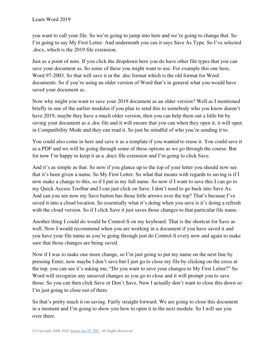you want to call your file. So we're going to jump into here and we're going to change that. So I'm going to say My First Letter. And underneath you can it says Save As Type. So I've selected .docx, which is the 2019 file extension.

Just as a point of note. If you click the dropdown here you do have other file types that you can save your document as. So some of these you might want to use. For example this one here, Word 97-2003. So that will save it in the .doc format which is the old format for Word documents. So if you're using an older version of Word that's in general what you would have saved your document as.

Now why might you want to save your 2019 document as an older version? Well as I mentioned briefly in one of the earlier modules if you plan to send this to somebody who you know doesn't have 2019, maybe they have a much older version, then you can help them out a little bit by saving your document as a .doc file and it will ensure that you can when they open it, it will open in Compatibility Mode and they can read it. So just be mindful of who you're sending it to.

You could also come in here and save it as a template if you wanted to reuse it. You could save it as a PDF and we will be going through some of these options as we go through the course. But for now I'm happy to keep it as a .docx file extension and I'm going to click Save.

And it's as simple as that. So now if you glance up to the top of your letter you should now see that it's been given a name. So My First Letter. So what that means with regards to saving is if I now make a change to this, so if I put in my full name. So now if I want to save this I can go to my Quick Access Toolbar and I can just click on Save. I don't need to go back into Save As. And can you see now my Save button has those little arrows over the top? That's because I've saved it into a cloud location. So essentially what it's doing when you save is it's doing a refresh with the cloud version. So if I click Save it just saves those changes to that particular file name.

Another thing I could do would be Control-S on my keyboard. That is the shortcut for Save as well. Now I would recommend when you are working in a document if you have saved it and you have your file name as you're going through just do Control-S every now and again to make sure that those changes are being saved.

Now if I was to make one more change, so I'm just going to put my name on the next line by pressing Enter, now maybe I don't save but I just go to close my file by clicking on the cross at the top, you can see it's asking me, "Do you want to save your changes to My First Letter?" So Word will recognize any unsaved changes as you go to close and it will prompt you to save those. So you can then click Save or Don't Save. Now I actually don't want to close this down so I'm just going to close out of there.

So that's pretty much it on saving. Fairly straight forward. We are going to close this document in a moment and I'm going to show you how to open it in the next module. So I will see you over there.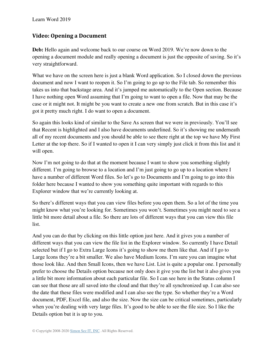#### <span id="page-20-0"></span>**Video: Opening a Document**

**Deb:** Hello again and welcome back to our course on Word 2019. We're now down to the opening a document module and really opening a document is just the opposite of saving. So it's very straightforward.

What we have on the screen here is just a blank Word application. So I closed down the previous document and now I want to reopen it. So I'm going to go up to the File tab. So remember this takes us into that backstage area. And it's jumped me automatically to the Open section. Because I have nothing open Word assuming that I'm going to want to open a file. Now that may be the case or it might not. It might be you want to create a new one from scratch. But in this case it's got it pretty much right. I do want to open a document.

So again this looks kind of similar to the Save As screen that we were in previously. You'll see that Recent is highlighted and I also have documents underlined. So it's showing me underneath all of my recent documents and you should be able to see there right at the top we have My First Letter at the top there. So if I wanted to open it I can very simply just click it from this list and it will open.

Now I'm not going to do that at the moment because I want to show you something slightly different. I'm going to browse to a location and I'm just going to go up to a location where I have a number of different Word files. So let's go to Documents and I'm going to go into this folder here because I wanted to show you something quite important with regards to this Explorer window that we're currently looking at.

So there's different ways that you can view files before you open them. So a lot of the time you might know what you're looking for. Sometimes you won't. Sometimes you might need to see a little bit more detail about a file. So there are lots of different ways that you can view this file list.

And you can do that by clicking on this little option just here. And it gives you a number of different ways that you can view the file list in the Explorer window. So currently I have Detail selected but if I go to Extra Large Icons it's going to show me them like that. And if I go to Large Icons they're a bit smaller. We also have Medium Icons. I'm sure you can imagine what those look like. And then Small Icons, then we have List. List is quite a popular one. I personally prefer to choose the Details option because not only does it give you the list but it also gives you a little bit more information about each particular file. So I can see here in the Status column I can see that those are all saved into the cloud and that they're all synchronized up. I can also see the date that these files were modified and I can also see the type. So whether they're a Word document, PDF, Excel file, and also the size. Now the size can be critical sometimes, particularly when you're dealing with very large files. It's good to be able to see the file size. So I like the Details option but it is up to you.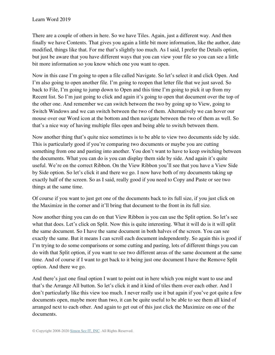There are a couple of others in here. So we have Tiles. Again, just a different way. And then finally we have Contents. That gives you again a little bit more information, like the author, date modified, things like that. For me that's slightly too much. As I said, I prefer the Details option, but just be aware that you have different ways that you can view your file so you can see a little bit more information so you know which one you want to open.

Now in this case I'm going to open a file called Navigate. So let's select it and click Open. And I'm also going to open another file. I'm going to reopen that letter file that we just saved. So back to File, I'm going to jump down to Open and this time I'm going to pick it up from my Recent list. So I'm just going to click and again it's going to open that document over the top of the other one. And remember we can switch between the two by going up to View, going to Switch Windows and we can switch between the two of them. Alternatively we can hover our mouse over our Word icon at the bottom and then navigate between the two of them as well. So that's a nice way of having multiple files open and being able to switch between them.

Now another thing that's quite nice sometimes is to be able to view two documents side by side. This is particularly good if you're comparing two documents or maybe you are cutting something from one and pasting into another. You don't want to have to keep switching between the documents. What you can do is you can display them side by side. And again it's quite useful. We're on the correct Ribbon. On the View Ribbon you'll see that you have a View Side by Side option. So let's click it and there we go. I now have both of my documents taking up exactly half of the screen. So as I said, really good if you need to Copy and Paste or see two things at the same time.

Of course if you want to just get one of the documents back to its full size, if you just click on the Maximize in the corner and it'll bring that document to the front in its full size.

Now another thing you can do on that View Ribbon is you can use the Split option. So let's see what that does. Let's click on Split. Now this is quite interesting. What it will do is it will split the same document. So I have the same document in both halves of the screen. You can see exactly the same. But it means I can scroll each document independently. So again this is good if I'm trying to do some comparisons or some cutting and pasting, lots of different things you can do with that Split option, if you want to see two different areas of the same document at the same time. And of course if I want to get back to it being just one document I have the Remove Split option. And there we go.

And there's just one final option I want to point out in here which you might want to use and that's the Arrange All button. So let's click it and it kind of tiles them over each other. And I don't particularly like this view too much. I never really use it but again if you've got quite a few documents open, maybe more than two, it can be quite useful to be able to see them all kind of arranged next to each other. And again to get out of this just click the Maximize on one of the documents.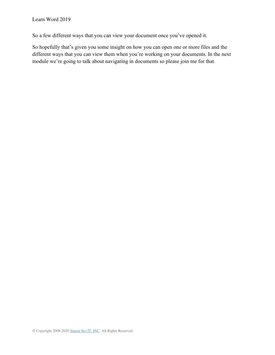So a few different ways that you can view your document once you've opened it.

So hopefully that's given you some insight on how you can open one or more files and the different ways that you can view them when you're working on your documents. In the next module we're going to talk about navigating in documents so please join me for that.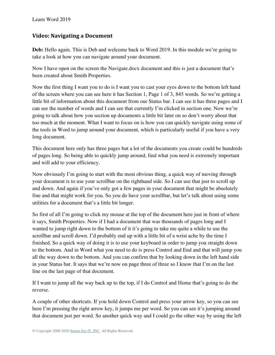#### <span id="page-23-0"></span>**Video: Navigating a Document**

**Deb:** Hello again. This is Deb and welcome back to Word 2019. In this module we're going to take a look at how you can navigate around your document.

Now I have open on the screen the Navigate.docx document and this is just a document that's been created about Smith Properties.

Now the first thing I want you to do is I want you to cast your eyes down to the bottom left hand of the screen where you can see here it has Section 1, Page 1 of 3, 845 words. So we're getting a little bit of information about this document from our Status bar. I can see it has three pages and I can see the number of words and I can see that currently I'm clicked in section one. Now we're going to talk about how you section up documents a little bit later on so don't worry about that too much at the moment. What I want to focus on is how you can quickly navigate using some of the tools in Word to jump around your document, which is particularly useful if you have a very long document.

This document here only has three pages but a lot of the documents you create could be hundreds of pages long. So being able to quickly jump around, find what you need is extremely important and will add to your efficiency.

Now obviously I'm going to start with the most obvious thing, a quick way of moving through your document is to use your scrollbar on the righthand side. So I can use that just to scroll up and down. And again if you've only got a few pages in your document that might be absolutely fine and that might work for you. So you do have your scrollbar, but let's talk about using some utilities for a document that's a little bit longer.

So first of all I'm going to click my mouse at the top of the document here just in front of where it says, Smith Properties. Now if I had a document that was thousands of pages long and I wanted to jump right down to the bottom of it it's going to take me quite a while to use the scrollbar and scroll down. I'd probably end up with a little bit of a wrist ache by the time I finished. So a quick way of doing it is to use your keyboard in order to jump you straight down to the bottom. And in Word what you need to do is press Control and End and that will jump you all the way down to the bottom. And you can confirm that by looking down in the left hand side in your Status bar. It says that we're now on page three of three so I know that I'm on the last line on the last page of that document.

If I want to jump all the way back up to the top, if I do Control and Home that's going to do the reverse.

A couple of other shortcuts. If you hold down Control and press your arrow key, so you can see here I'm pressing the right arrow key, it jumps me per word. So you can see it's jumping around that document just per word. So another quick way and I could go the other way by using the left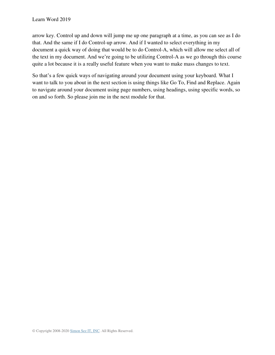arrow key. Control up and down will jump me up one paragraph at a time, as you can see as I do that. And the same if I do Control-up arrow. And if I wanted to select everything in my document a quick way of doing that would be to do Control-A, which will allow me select all of the text in my document. And we're going to be utilizing Control-A as we go through this course quite a lot because it is a really useful feature when you want to make mass changes to text.

So that's a few quick ways of navigating around your document using your keyboard. What I want to talk to you about in the next section is using things like Go To, Find and Replace. Again to navigate around your document using page numbers, using headings, using specific words, so on and so forth. So please join me in the next module for that.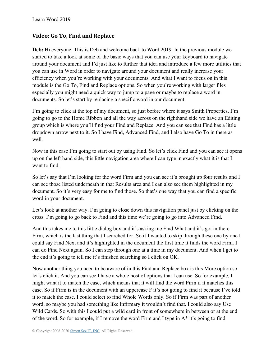#### <span id="page-25-0"></span>**Video: Go To, Find and Replace**

**Deb:** Hi everyone. This is Deb and welcome back to Word 2019. In the previous module we started to take a look at some of the basic ways that you can use your keyboard to navigate around your document and I'd just like to further that idea and introduce a few more utilities that you can use in Word in order to navigate around your document and really increase your efficiency when you're working with your documents. And what I want to focus on in this module is the Go To, Find and Replace options. So when you're working with larger files especially you might need a quick way to jump to a page or maybe to replace a word in documents. So let's start by replacing a specific word in our document.

I'm going to click at the top of my document, so just before where it says Smith Properties. I'm going to go to the Home Ribbon and all the way across on the righthand side we have an Editing group which is where you'll find your Find and Replace. And you can see that Find has a little dropdown arrow next to it. So I have Find, Advanced Find, and I also have Go To in there as well.

Now in this case I'm going to start out by using Find. So let's click Find and you can see it opens up on the left hand side, this little navigation area where I can type in exactly what it is that I want to find.

So let's say that I'm looking for the word Firm and you can see it's brought up four results and I can see those listed underneath in that Results area and I can also see them highlighted in my document. So it's very easy for me to find those. So that's one way that you can find a specific word in your document.

Let's look at another way. I'm going to close down this navigation panel just by clicking on the cross. I'm going to go back to Find and this time we're going to go into Advanced Find.

And this takes me to this little dialog box and it's asking me Find What and it's got in there Firm, which is the last thing that I searched for. So if I wanted to skip through these one by one I could say Find Next and it's highlighted in the document the first time it finds the word Firm. I can do Find Next again. So I can step through one at a time in my document. And when I get to the end it's going to tell me it's finished searching so I click on OK.

Now another thing you need to be aware of in this Find and Replace box is this More option so let's click it. And you can see I have a whole host of options that I can use. So for example, I might want it to match the case, which means that it will find the word Firm if it matches this case. So if Firm is in the document with an uppercase F it's not going to find it because I've told it to match the case. I could select to find Whole Words only. So if Firm was part of another word, so maybe you had something like Infirmary it wouldn't find that. I could also say Use Wild Cards. So with this I could put a wild card in front of somewhere in between or at the end of the word. So for example, if I remove the word Firm and I type in A\* it's going to find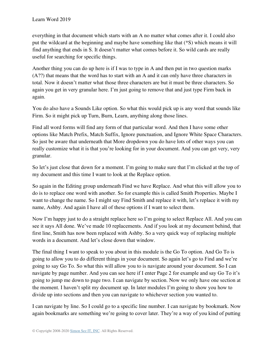everything in that document which starts with an A no matter what comes after it. I could also put the wildcard at the beginning and maybe have something like that (\*S) which means it will find anything that ends in S. It doesn't matter what comes before it. So wild cards are really useful for searching for specific things.

Another thing you can do up here is if I was to type in A and then put in two question marks (A??) that means that the word has to start with an A and it can only have three characters in total. Now it doesn't matter what those three characters are but it must be three characters. So again you get in very granular here. I'm just going to remove that and just type Firm back in again.

You do also have a Sounds Like option. So what this would pick up is any word that sounds like Firm. So it might pick up Turn, Burn, Learn, anything along those lines.

Find all word forms will find any form of that particular word. And then I have some other options like Match Prefix, Match Suffix, Ignore punctuation, and Ignore White Space Characters. So just be aware that underneath that More dropdown you do have lots of other ways you can really customize what it is that you're looking for in your document. And you can get very, very granular.

So let's just close that down for a moment. I'm going to make sure that I'm clicked at the top of my document and this time I want to look at the Replace option.

So again in the Editing group underneath Find we have Replace. And what this will allow you to do is to replace one word with another. So for example this is called Smith Properties. Maybe I want to change the name. So I might say Find Smith and replace it with, let's replace it with my name, Ashby. And again I have all of these options if I want to select them.

Now I'm happy just to do a straight replace here so I'm going to select Replace All. And you can see it says All done. We've made 10 replacements. And if you look at my document behind, that first line, Smith has now been replaced with Ashby. So a very quick way of replacing multiple words in a document. And let's close down that window.

The final thing I want to speak to you about in this module is the Go To option. And Go To is going to allow you to do different things in your document. So again let's go to Find and we're going to say Go To. So what this will allow you to is navigate around your document. So I can navigate by page number. And you can see here if I enter Page 2 for example and say Go To it's going to jump me down to page two. I can navigate by section. Now we only have one section at the moment. I haven't split my document up. In later modules I'm going to show you how to divide up into sections and then you can navigate to whichever section you wanted to.

I can navigate by line. So I could go to a specific line number. I can navigate by bookmark. Now again bookmarks are something we're going to cover later. They're a way of you kind of putting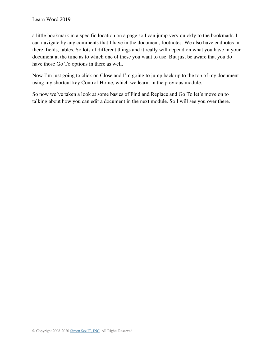a little bookmark in a specific location on a page so I can jump very quickly to the bookmark. I can navigate by any comments that I have in the document, footnotes. We also have endnotes in there, fields, tables. So lots of different things and it really will depend on what you have in your document at the time as to which one of these you want to use. But just be aware that you do have those Go To options in there as well.

Now I'm just going to click on Close and I'm going to jump back up to the top of my document using my shortcut key Control-Home, which we learnt in the previous module.

So now we've taken a look at some basics of Find and Replace and Go To let's move on to talking about how you can edit a document in the next module. So I will see you over there.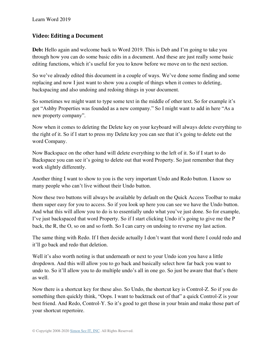#### <span id="page-28-0"></span>**Video: Editing a Document**

**Deb:** Hello again and welcome back to Word 2019. This is Deb and I'm going to take you through how you can do some basic edits in a document. And these are just really some basic editing functions, which it's useful for you to know before we move on to the next section.

So we've already edited this document in a couple of ways. We've done some finding and some replacing and now I just want to show you a couple of things when it comes to deleting, backspacing and also undoing and redoing things in your document.

So sometimes we might want to type some text in the middle of other text. So for example it's got "Ashby Properties was founded as a new company." So I might want to add in here "As a new property company".

Now when it comes to deleting the Delete key on your keyboard will always delete everything to the right of it. So if I start to press my Delete key you can see that it's going to delete out the word Company.

Now Backspace on the other hand will delete everything to the left of it. So if I start to do Backspace you can see it's going to delete out that word Property. So just remember that they work slightly differently.

Another thing I want to show to you is the very important Undo and Redo button. I know so many people who can't live without their Undo button.

Now these two buttons will always be available by default on the Quick Access Toolbar to make them super easy for you to access. So if you look up here you can see we have the Undo button. And what this will allow you to do is to essentially undo what you've just done. So for example, I've just backspaced that word Property. So if I start clicking Undo it's going to give me the P back, the R, the O, so on and so forth. So I can carry on undoing to reverse my last action.

The same thing with Redo. If I then decide actually I don't want that word there I could redo and it'll go back and redo that deletion.

Well it's also worth noting is that underneath or next to your Undo icon you have a little dropdown. And this will allow you to go back and basically select how far back you want to undo to. So it'll allow you to do multiple undo's all in one go. So just be aware that that's there as well.

Now there is a shortcut key for these also. So Undo, the shortcut key is Control-Z. So if you do something then quickly think, "Oops. I want to backtrack out of that" a quick Control-Z is your best friend. And Redo, Control-Y. So it's good to get those in your brain and make those part of your shortcut repertoire.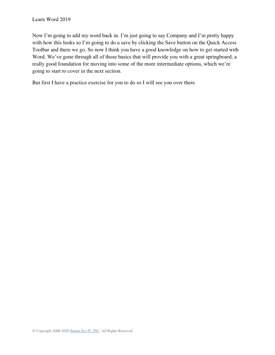Now I'm going to add my word back in. I'm just going to say Company and I'm pretty happy with how this looks so I'm going to do a save by clicking the Save button on the Quick Access Toolbar and there we go. So now I think you have a good knowledge on how to get started with Word. We've gone through all of those basics that will provide you with a great springboard, a really good foundation for moving into some of the more intermediate options, which we're going to start to cover in the next section.

But first I have a practice exercise for you to do so I will see you over there.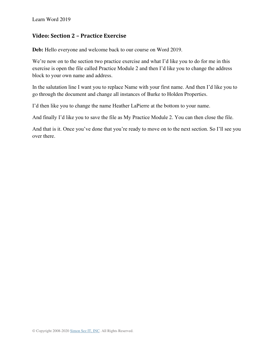#### <span id="page-30-0"></span>**Video: Section 2 – Practice Exercise**

**Deb:** Hello everyone and welcome back to our course on Word 2019.

We're now on to the section two practice exercise and what I'd like you to do for me in this exercise is open the file called Practice Module 2 and then I'd like you to change the address block to your own name and address.

In the salutation line I want you to replace Name with your first name. And then I'd like you to go through the document and change all instances of Burke to Holden Properties.

I'd then like you to change the name Heather LaPierre at the bottom to your name.

And finally I'd like you to save the file as My Practice Module 2. You can then close the file.

And that is it. Once you've done that you're ready to move on to the next section. So I'll see you over there.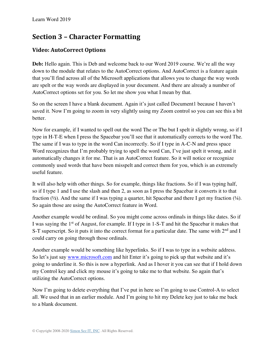## **Section 3 – Character Formatting**

#### <span id="page-31-0"></span>**Video: AutoCorrect Options**

**Deb:** Hello again. This is Deb and welcome back to our Word 2019 course. We're all the way down to the module that relates to the AutoCorrect options. And AutoCorrect is a feature again that you'll find across all of the Microsoft applications that allows you to change the way words are spelt or the way words are displayed in your document. And there are already a number of AutoCorrect options set for you. So let me show you what I mean by that.

So on the screen I have a blank document. Again it's just called Document1 because I haven't saved it. Now I'm going to zoom in very slightly using my Zoom control so you can see this a bit better.

Now for example, if I wanted to spell out the word The or The but I spelt it slightly wrong, so if I type in H-T-E when I press the Spacebar you'll see that it automatically corrects to the word The. The same if I was to type in the word Can incorrectly. So if I type in A-C-N and press space Word recognizes that I'm probably trying to spell the word Can, I've just spelt it wrong, and it automatically changes it for me. That is an AutoCorrect feature. So it will notice or recognize commonly used words that have been misspelt and correct them for you, which is an extremely useful feature.

It will also help with other things. So for example, things like fractions. So if I was typing half, so if I type 1 and I use the slash and then 2, as soon as I press the Spacebar it converts it to that fraction  $(\frac{1}{2})$ . And the same if I was typing a quarter, hit Spacebar and there I get my fraction  $(\frac{1}{4})$ . So again those are using the AutoCorrect feature in Word.

Another example would be ordinal. So you might come across ordinals in things like dates. So if I was saying the 1st of August, for example. If I type in 1-S-T and hit the Spacebar it makes that S-T superscript. So it puts it into the correct format for a particular date. The same with  $2<sup>nd</sup>$  and I could carry on going through those ordinals.

Another example would be something like hyperlinks. So if I was to type in a website address. So let's just say [www.microsoft.com](http://www.microsoft.com/) and hit Enter it's going to pick up that website and it's going to underline it. So this is now a hyperlink. And as I hover it you can see that if I hold down my Control key and click my mouse it's going to take me to that website. So again that's utilizing the AutoCorrect options.

Now I'm going to delete everything that I've put in here so I'm going to use Control-A to select all. We used that in an earlier module. And I'm going to hit my Delete key just to take me back to a blank document.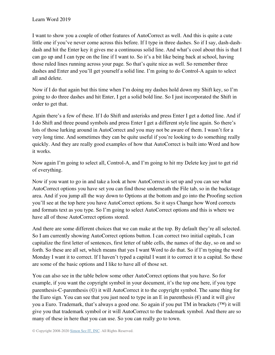I want to show you a couple of other features of AutoCorrect as well. And this is quite a cute little one if you've never come across this before. If I type in three dashes. So if I say, dash-dashdash and hit the Enter key it gives me a continuous solid line. And what's cool about this is that I can go up and I can type on the line if I want to. So it's a bit like being back at school, having those ruled lines running across your page. So that's quite nice as well. So remember three dashes and Enter and you'll get yourself a solid line. I'm going to do Control-A again to select all and delete.

Now if I do that again but this time when I'm doing my dashes hold down my Shift key, so I'm going to do three dashes and hit Enter, I get a solid bold line. So I just incorporated the Shift in order to get that.

Again there's a few of these. If I do Shift and asterisks and press Enter I get a dotted line. And if I do Shift and three pound symbols and press Enter I get a different style line again. So there's lots of those lurking around in AutoCorrect and you may not be aware of them. I wasn't for a very long time. And sometimes they can be quite useful if you're looking to do something really quickly. And they are really good examples of how that AutoCorrect is built into Word and how it works.

Now again I'm going to select all, Control-A, and I'm going to hit my Delete key just to get rid of everything.

Now if you want to go in and take a look at how AutoCorrect is set up and you can see what AutoCorrect options you have set you can find those underneath the File tab, so in the backstage area. And if you jump all the way down to Options at the bottom and go into the Proofing section you'll see at the top here you have AutoCorrect options. So it says Change how Word corrects and formats text as you type. So I'm going to select AutoCorrect options and this is where we have all of those AutoCorrect options stored.

And there are some different choices that we can make at the top. By default they're all selected. So I am currently showing AutoCorrect options button. I can correct two initial capitals, I can capitalize the first letter of sentences, first letter of table cells, the names of the day, so on and so forth. So these are all set, which means that yes I want Word to do that. So if I'm typing the word Monday I want it to correct. If I haven't typed a capital I want it to correct it to a capital. So these are some of the basic options and I like to have all of those set.

You can also see in the table below some other AutoCorrect options that you have. So for example, if you want the copyright symbol in your document, it's the top one here, if you type parenthesis-C-parenthesis (©) it will AutoCorrect it to the copyright symbol. The same thing for the Euro sign. You can see that you just need to type in an E in parenthesis  $(\epsilon)$  and it will give you a Euro. Trademark, that's always a good one. So again if you put TM in brackets (™) it will give you that trademark symbol or it will AutoCorrect to the trademark symbol. And there are so many of these in here that you can use. So you can really go to town.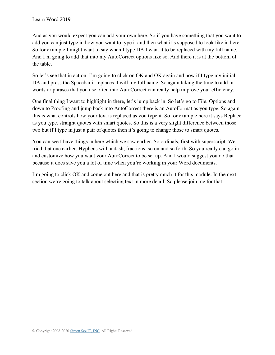And as you would expect you can add your own here. So if you have something that you want to add you can just type in how you want to type it and then what it's supposed to look like in here. So for example I might want to say when I type DA I want it to be replaced with my full name. And I'm going to add that into my AutoCorrect options like so. And there it is at the bottom of the table.

So let's see that in action. I'm going to click on OK and OK again and now if I type my initial DA and press the Spacebar it replaces it will my full name. So again taking the time to add in words or phrases that you use often into AutoCorrect can really help improve your efficiency.

One final thing I want to highlight in there, let's jump back in. So let's go to File, Options and down to Proofing and jump back into AutoCorrect there is an AutoFormat as you type. So again this is what controls how your text is replaced as you type it. So for example here it says Replace as you type, straight quotes with smart quotes. So this is a very slight difference between those two but if I type in just a pair of quotes then it's going to change those to smart quotes.

You can see I have things in here which we saw earlier. So ordinals, first with superscript. We tried that one earlier. Hyphens with a dash, fractions, so on and so forth. So you really can go in and customize how you want your AutoCorrect to be set up. And I would suggest you do that because it does save you a lot of time when you're working in your Word documents.

I'm going to click OK and come out here and that is pretty much it for this module. In the next section we're going to talk about selecting text in more detail. So please join me for that.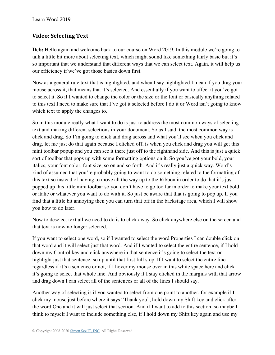#### <span id="page-34-0"></span>**Video: Selecting Text**

**Deb:** Hello again and welcome back to our course on Word 2019. In this module we're going to talk a little bit more about selecting text, which might sound like something fairly basic but it's so important that we understand that different ways that we can select text. Again, it will help us our efficiency if we've got those basics down first.

Now as a general rule text that is highlighted, and when I say highlighted I mean if you drag your mouse across it, that means that it's selected. And essentially if you want to affect it you've got to select it. So if I wanted to change the color or the size or the font or basically anything related to this text I need to make sure that I've got it selected before I do it or Word isn't going to know which text to apply the changes to.

So in this module really what I want to do is just to address the most common ways of selecting text and making different selections in your document. So as I said, the most common way is click and drag. So I'm going to click and drag across and what you'll see when you click and drag, let me just do that again because I clicked off, is when you click and drag you will get this mini toolbar popup and you can see it there just off to the righthand side. And this is just a quick sort of toolbar that pops up with some formatting options on it. So you've got your bold, your italics, your font color, font size, so on and so forth. And it's really just a quick way. Word's kind of assumed that you're probably going to want to do something related to the formatting of this text so instead of having to move all the way up to the Ribbon in order to do that it's just popped up this little mini toolbar so you don't have to go too far in order to make your text bold or italic or whatever you want to do with it. So just be aware that that is going to pop up. If you find that a little bit annoying then you can turn that off in the backstage area, which I will show you how to do later.

Now to deselect text all we need to do is to click away. So click anywhere else on the screen and that text is now no longer selected.

If you want to select one word, so if I wanted to select the word Properties I can double click on that word and it will select just that word. And if I wanted to select the entire sentence, if I hold down my Control key and click anywhere in that sentence it's going to select the text or highlight just that sentence, so up until that first full stop. If I want to select the entire line regardless if it's a sentence or not, if I hover my mouse over in this white space here and click it's going to select that whole line. And obviously if I stay clicked in the margins with that arrow and drag down I can select all of the sentences or all of the lines I should say.

Another way of selecting is if you wanted to select from one point to another, for example if I click my mouse just before where it says "Thank you", hold down my Shift key and click after the word One and it will just select that section. And if I want to add to this section, so maybe I think to myself I want to include something else, if I hold down my Shift key again and use my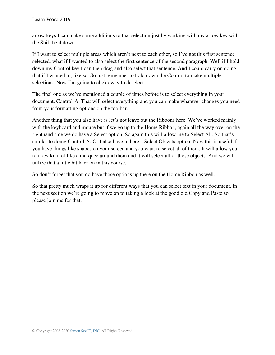arrow keys I can make some additions to that selection just by working with my arrow key with the Shift held down.

If I want to select multiple areas which aren't next to each other, so I've got this first sentence selected, what if I wanted to also select the first sentence of the second paragraph. Well if I hold down my Control key I can then drag and also select that sentence. And I could carry on doing that if I wanted to, like so. So just remember to hold down the Control to make multiple selections. Now I'm going to click away to deselect.

The final one as we've mentioned a couple of times before is to select everything in your document, Control-A. That will select everything and you can make whatever changes you need from your formatting options on the toolbar.

Another thing that you also have is let's not leave out the Ribbons here. We've worked mainly with the keyboard and mouse but if we go up to the Home Ribbon, again all the way over on the righthand side we do have a Select option. So again this will allow me to Select All. So that's similar to doing Control-A. Or I also have in here a Select Objects option. Now this is useful if you have things like shapes on your screen and you want to select all of them. It will allow you to draw kind of like a marquee around them and it will select all of those objects. And we will utilize that a little bit later on in this course.

So don't forget that you do have those options up there on the Home Ribbon as well.

So that pretty much wraps it up for different ways that you can select text in your document. In the next section we're going to move on to taking a look at the good old Copy and Paste so please join me for that.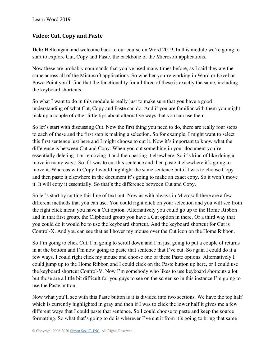### **Video: Cut, Copy and Paste**

**Deb:** Hello again and welcome back to our course on Word 2019. In this module we're going to start to explore Cut, Copy and Paste, the backbone of the Microsoft applications.

Now these are probably commands that you've used many times before, as I said they are the same across all of the Microsoft applications. So whether you're working in Word or Excel or PowerPoint you'll find that the functionality for all three of these is exactly the same, including the keyboard shortcuts.

So what I want to do in this module is really just to make sure that you have a good understanding of what Cut, Copy and Paste can do. And if you are familiar with them you might pick up a couple of other little tips about alternative ways that you can use them.

So let's start with discussing Cut. Now the first thing you need to do, there are really four steps to each of these and the first step is making a selection. So for example, I might want to select this first sentence just here and I might choose to cut it. Now it's important to know what the difference is between Cut and Copy. When you cut something in your document you're essentially deleting it or removing it and then pasting it elsewhere. So it's kind of like doing a move in many ways. So if I was to cut this sentence and then paste it elsewhere it's going to move it. Whereas with Copy I would highlight the same sentence but if I was to choose Copy and then paste it elsewhere in the document it's going to make an exact copy. So it won't move it. It will copy it essentially. So that's the difference between Cut and Copy.

So let's start by cutting this line of text out. Now as with always in Microsoft there are a few different methods that you can use. You could right click on your selection and you will see from the right click menu you have a Cut option. Alternatively you could go up to the Home Ribbon and in that first group, the Clipboard group you have a Cut option in there. Or a third way that you could do it would be to use the keyboard shortcut. And the keyboard shortcut for Cut is Control-X. And you can see that as I hover my mouse over the Cut icon on the Home Ribbon.

So I'm going to click Cut. I'm going to scroll down and I'm just going to put a couple of returns in at the bottom and I'm now going to paste that sentence that I've cut. So again I could do it a few ways. I could right click my mouse and choose one of these Paste options. Alternatively I could jump up to the Home Ribbon and I could click on the Paste button up here, or I could use the keyboard shortcut Control-V. Now I'm somebody who likes to use keyboard shortcuts a lot but those are a little bit difficult for you guys to see on the screen so in this instance I'm going to use the Paste button.

Now what you'll see with this Paste button is it is divided into two sections. We have the top half which is currently highlighted in gray and then if I was to click the lower half it gives me a few different ways that I could paste that sentence. So I could choose to paste and keep the source formatting. So what that's going to do is wherever I've cut it from it's going to bring that same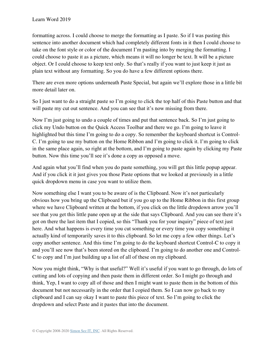formatting across. I could choose to merge the formatting as I paste. So if I was pasting this sentence into another document which had completely different fonts in it then I could choose to take on the font style or color of the document I'm pasting into by merging the formatting. I could choose to paste it as a picture, which means it will no longer be text. It will be a picture object. Or I could choose to keep text only. So that's really if you want to just keep it just as plain text without any formatting. So you do have a few different options there.

There are even more options underneath Paste Special, but again we'll explore those in a little bit more detail later on.

So I just want to do a straight paste so I'm going to click the top half of this Paste button and that will paste my cut out sentence. And you can see that it's now missing from there.

Now I'm just going to undo a couple of times and put that sentence back. So I'm just going to click my Undo button on the Quick Access Toolbar and there we go. I'm going to leave it highlighted but this time I'm going to do a copy. So remember the keyboard shortcut is Control-C. I'm going to use my button on the Home Ribbon and I'm going to click it. I'm going to click in the same place again, so right at the bottom, and I'm going to paste again by clicking my Paste button. Now this time you'll see it's done a copy as opposed a move.

And again what you'll find when you do paste something, you will get this little popup appear. And if you click it it just gives you those Paste options that we looked at previously in a little quick dropdown menu in case you want to utilize them.

Now something else I want you to be aware of is the Clipboard. Now it's not particularly obvious how you bring up the Clipboard but if you go up to the Home Ribbon in this first group where we have Clipboard written at the bottom, if you click on the little dropdown arrow you'll see that you get this little pane open up at the side that says Clipboard. And you can see there it's got on there the last item that I copied, so this "Thank you for your inquiry" piece of text just here. And what happens is every time you cut something or every time you copy something it actually kind of temporarily saves it to this clipboard. So let me copy a few other things. Let's copy another sentence. And this time I'm going to do the keyboard shortcut Control-C to copy it and you'll see now that's been stored on the clipboard. I'm going to do another one and Control-C to copy and I'm just building up a list of all of these on my clipboard.

Now you might think, "Why is that useful?" Well it's useful if you want to go through, do lots of cutting and lots of copying and then paste them in different order. So I might go through and think, Yep, I want to copy all of those and then I might want to paste them in the bottom of this document but not necessarily in the order that I copied them. So I can now go back to my clipboard and I can say okay I want to paste this piece of text. So I'm going to click the dropdown and select Paste and it pastes that into the document.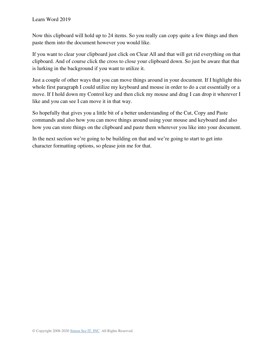Now this clipboard will hold up to 24 items. So you really can copy quite a few things and then paste them into the document however you would like.

If you want to clear your clipboard just click on Clear All and that will get rid everything on that clipboard. And of course click the cross to close your clipboard down. So just be aware that that is lurking in the background if you want to utilize it.

Just a couple of other ways that you can move things around in your document. If I highlight this whole first paragraph I could utilize my keyboard and mouse in order to do a cut essentially or a move. If I hold down my Control key and then click my mouse and drag I can drop it wherever I like and you can see I can move it in that way.

So hopefully that gives you a little bit of a better understanding of the Cut, Copy and Paste commands and also how you can move things around using your mouse and keyboard and also how you can store things on the clipboard and paste them wherever you like into your document.

In the next section we're going to be building on that and we're going to start to get into character formatting options, so please join me for that.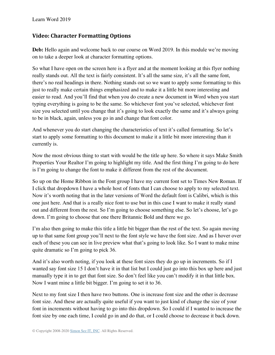#### **Video: Character Formatting Options**

**Deb:** Hello again and welcome back to our course on Word 2019. In this module we're moving on to take a deeper look at character formatting options.

So what I have open on the screen here is a flyer and at the moment looking at this flyer nothing really stands out. All the text is fairly consistent. It's all the same size, it's all the same font, there's no real headings in there. Nothing stands out so we want to apply some formatting to this just to really make certain things emphasized and to make it a little bit more interesting and easier to read. And you'll find that when you do create a new document in Word when you start typing everything is going to be the same. So whichever font you've selected, whichever font size you selected until you change that it's going to look exactly the same and it's always going to be in black, again, unless you go in and change that font color.

And whenever you do start changing the characteristics of text it's called formatting. So let's start to apply some formatting to this document to make it a little bit more interesting than it currently is.

Now the most obvious thing to start with would be the title up here. So where it says Make Smith Properties Your Realtor I'm going to highlight my title. And the first thing I'm going to do here is I'm going to change the font to make it different from the rest of the document.

So up on the Home Ribbon in the Font group I have my current font set to Times New Roman. If I click that dropdown I have a whole host of fonts that I can choose to apply to my selected text. Now it's worth noting that in the later versions of Word the default font is Calibri, which is this one just here. And that is a really nice font to use but in this case I want to make it really stand out and different from the rest. So I'm going to choose something else. So let's choose, let's go down. I'm going to choose that one there Britannic Bold and there we go.

I'm also then going to make this title a little bit bigger than the rest of the text. So again moving up to that same font group you'll next to the font style we have the font size. And as I hover over each of these you can see in live preview what that's going to look like. So I want to make mine quite dramatic so I'm going to pick 36.

And it's also worth noting, if you look at these font sizes they do go up in increments. So if I wanted say font size 15 I don't have it in that list but I could just go into this box up here and just manually type it in to get that font size. So don't feel like you can't modify it in that little box. Now I want mine a little bit bigger. I'm going to set it to 36.

Next to my font size I then have two buttons. One is increase font size and the other is decrease font size. And these are actually quite useful if you want to just kind of change the size of your font in increments without having to go into this dropdown. So I could if I wanted to increase the font size by one each time, I could go in and do that, or I could choose to decrease it back down.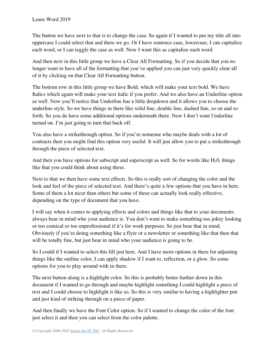The button we have next to that is to change the case. So again if I wanted to put my title all into uppercase I could select that and there we go. Or I have sentence case, lowercase, I can capitalize each word, or I can toggle the case as well. Now I want this as capitalize each word.

And then next in this little group we have a Clear All Formatting. So if you decide that you no longer want to have all of the formatting that you've applied you can just very quickly clear all of it by clicking on that Clear All Formatting button.

The bottom row in this little group we have Bold, which will make your text bold. We have Italics which again will make your text italic if you prefer. And we also have an Underline option as well. Now you'll notice that Underline has a little dropdown and it allows you to choose the underline style. So we have things in there like solid line, double line, dashed line, so on and so forth. So you do have some additional options underneath there. Now I don't want Underline turned on. I'm just going to turn that back off.

You also have a strikethrough option. So if you're someone who maybe deals with a lot of contracts then you might find this option very useful. It will just allow you to put a strikethrough through the piece of selected text.

And then you have options for subscript and superscript as well. So for words like  $H_20$ , things like that you could think about using these.

Next to that we then have some text effects. So this is really sort of changing the color and the look and feel of the piece of selected text. And there's quite a few options that you have in here. Some of them a lot nicer than others but some of these can actually look really effective, depending on the type of document that you have.

I will say when it comes to applying effects and colors and things like that to your documents always bear in mind who your audience is. You don't want to make something too jokey looking or too comical or too unprofessional if it's for work purposes. So just bear that in mind. Obviously if you're doing something like a flyer or a newsletter or something like that then that will be totally fine, but just bear in mind who your audience is going to be.

So I could if I wanted to select this fill just here. And I have more options in there for adjusting things like the outline color, I can apply shadow if I want to, reflection, or a glow. So some options for you to play around with in there.

The next button along is a highlight color. So this is probably better further down in this document if I wanted to go through and maybe highlight something I could highlight a piece of text and I could choose to highlight it like so. So this is very similar to having a highlighter pen and just kind of striking through on a piece of paper.

And then finally we have the Font Color option. So if I wanted to change the color of the font just select it and then you can select from the color palette.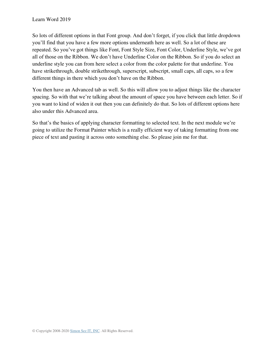So lots of different options in that Font group. And don't forget, if you click that little dropdown you'll find that you have a few more options underneath here as well. So a lot of these are repeated. So you've got things like Font, Font Style Size, Font Color, Underline Style, we've got all of those on the Ribbon. We don't have Underline Color on the Ribbon. So if you do select an underline style you can from here select a color from the color palette for that underline. You have strikethrough, double strikethrough, superscript, subscript, small caps, all caps, so a few different things in there which you don't have on the Ribbon.

You then have an Advanced tab as well. So this will allow you to adjust things like the character spacing. So with that we're talking about the amount of space you have between each letter. So if you want to kind of widen it out then you can definitely do that. So lots of different options here also under this Advanced area.

So that's the basics of applying character formatting to selected text. In the next module we're going to utilize the Format Painter which is a really efficient way of taking formatting from one piece of text and pasting it across onto something else. So please join me for that.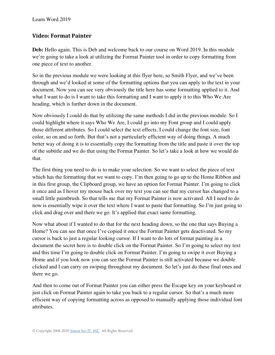#### **Video: Format Painter**

**Deb:** Hello again. This is Deb and welcome back to our course on Word 2019. In this module we're going to take a look at utilizing the Format Painter tool in order to copy formatting from one piece of text to another.

So in the previous module we were looking at this flyer here, so Smith Flyer, and we've been through and we'd looked at some of the formatting options that you can apply to the text in your document. Now you can see very obviously the title here has some formatting applied to it. And what I want to do is I want to take this formatting and I want to apply it to this Who We Are heading, which is further down in the document.

Now obviously I could do that by utilizing the same methods I did in the previous module. So I could highlight where it says Who We Are, I could go into my Font group and I could apply those different attributes. So I could select the text effects, I could change the font size, font color, so on and so forth. But that's not a particularly efficient way of doing things. A much better way of doing it is to essentially copy the formatting from the title and paste it over the top of the subtitle and we do that using the Format Painter. So let's take a look at how we would do that.

The first thing you need to do is to make your selection. So we want to select the piece of text which has the formatting that we want to copy. I'm then going to go up to the Home Ribbon and in this first group, the Clipboard group, we have an option for Format Painter. I'm going to click it once and as I hover my mouse back over my text you can see that my cursor has changed to a small little paintbrush. So that tells me that my Format Painter is now activated. All I need to do now is essentially wipe it over the text where I want to paste that formatting. So I'm just going to click and drag over and there we go. It's applied that exact same formatting.

Now what about if I wanted to do that for the next heading down, so the one that says Buying a Home? You can see that once I've copied it once the Format Painter gets deactivated. So my cursor is back to just a regular looking cursor. If I want to do lots of format painting in a document the secret here is to double click on the Format Painter. So I'm going to select my text and this time I'm going to double click on Format Painter. I'm going to swipe it over Buying a Home and if you look now you can see the Format Painter is still activated because we double clicked and I can carry on swiping throughout my document. So let's just do these final ones and there we go.

And then to come out of Format Painter you can either press the Escape key on your keyboard or just click on Format Painter again to take you back to a regular cursor. So that's a much more efficient way of copying formatting across as opposed to manually applying those individual font attributes.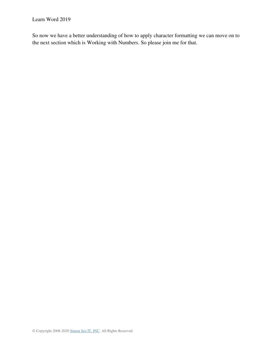So now we have a better understanding of how to apply character formatting we can move on to the next section which is Working with Numbers. So please join me for that.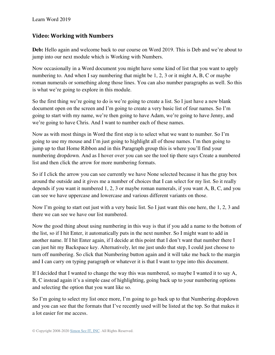#### **Video: Working with Numbers**

**Deb:** Hello again and welcome back to our course on Word 2019. This is Deb and we're about to jump into our next module which is Working with Numbers.

Now occasionally in a Word document you might have some kind of list that you want to apply numbering to. And when I say numbering that might be 1, 2, 3 or it might A, B, C or maybe roman numerals or something along those lines. You can also number paragraphs as well. So this is what we're going to explore in this module.

So the first thing we're going to do is we're going to create a list. So I just have a new blank document open on the screen and I'm going to create a very basic list of four names. So I'm going to start with my name, we're then going to have Adam, we're going to have Jenny, and we're going to have Chris. And I want to number each of these names.

Now as with most things in Word the first step is to select what we want to number. So I'm going to use my mouse and I'm just going to highlight all of those names. I'm then going to jump up to that Home Ribbon and in this Paragraph group this is where you'll find your numbering dropdown. And as I hover over you can see the tool tip there says Create a numbered list and then click the arrow for more numbering formats.

So if I click the arrow you can see currently we have None selected because it has the gray box around the outside and it gives me a number of choices that I can select for my list. So it really depends if you want it numbered 1, 2, 3 or maybe roman numerals, if you want A, B, C, and you can see we have uppercase and lowercase and various different variants on those.

Now I'm going to start out just with a very basic list. So I just want this one here, the 1, 2, 3 and there we can see we have our list numbered.

Now the good thing about using numbering in this way is that if you add a name to the bottom of the list, so if I hit Enter, it automatically puts in the next number. So I might want to add in another name. If I hit Enter again, if I decide at this point that I don't want that number there I can just hit my Backspace key. Alternatively, let me just undo that step, I could just choose to turn off numbering. So click that Numbering button again and it will take me back to the margin and I can carry on typing paragraph or whatever it is that I want to type into this document.

If I decided that I wanted to change the way this was numbered, so maybe I wanted it to say A, B, C instead again it's a simple case of highlighting, going back up to your numbering options and selecting the option that you want like so.

So I'm going to select my list once more, I'm going to go back up to that Numbering dropdown and you can see that the formats that I've recently used will be listed at the top. So that makes it a lot easier for me access.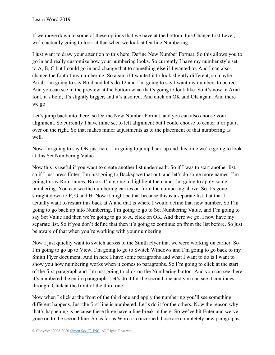If we move down to some of these options that we have at the bottom, this Change List Level, we're actually going to look at that when we look at Outline Numbering.

I just want to draw your attention to this here, Define New Number Format. So this allows you to go in and really customize how your numbering looks. So currently I have my number style set to A, B, C but I could go in and change that to something else if I wanted to. And I can also change the font of my numbering. So again if I wanted it to look slightly different, so maybe Arial, I'm going to say Bold and let's do 12 and I'm going to say I want my numbers to be red. And you can see in the preview at the bottom what that's going to look like. So it's now in Arial font, it's bold, it's slightly bigger, and it's also red. And click on OK and OK again. And there we go.

Let's jump back into there, so Define New Number Format, and you can also choose your alignment. So currently I have mine set to left alignment but I could choose to center it or put it over on the right. So that makes minor adjustments as to the placement of that numbering as well.

Now I'm going to say OK just here. I'm going to jump back up and this time we're going to look at this Set Numbering Value.

Now this is useful if you want to create another list underneath. So if I was to start another list, so if I just press Enter, I'm just going to Backspace that out, and let's do some more names. I'm going to say Rob, James, Brook. I'm going to highlight them and I'm going to apply some numbering. You can see the numbering carries on from the numbering above. So it's gone straight down to F, G and H. Now it might be that because this is a separate list that that I actually want to restart this back at A and that is where I would define that new number. So I'm going to go back up into Numbering, I'm going to go to Set Numbering Value, and I'm going to say Set Value and then we're going to go to A, click on OK. And there we go. I now have my separate list. So if you don't define that then it's going to continue on from the list before. So just be aware of that when you're working with your numbering.

Now I just quickly want to switch across to the Smith Flyer that we were working on earlier. So I'm going to go up to View, I'm going to go to Switch Windows and I'm going to go back to my Smith Flyer document. And in here I have some paragraphs and what I want to do is I want to show you how numbering works when it comes to paragraphs. So I'm going to click at the start of the first paragraph and I'm just going to click on the Numbering button. And you can see there it's numbered the entire paragraph. Let's do it for the second one and you can see it continues through. Click at the front of the third one.

Now when I click at the front of the third one and apply the numbering you'll see something different happens. Just the first line is numbered. Let's do it for the others. Now the reason why that's happening is because these three have a line break in there. So we've hit Enter and we've gone on to the second line. So as far as Word is concerned those are completely new paragraphs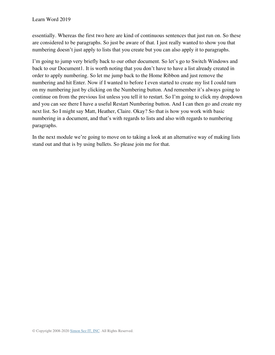essentially. Whereas the first two here are kind of continuous sentences that just run on. So these are considered to be paragraphs. So just be aware of that. I just really wanted to show you that numbering doesn't just apply to lists that you create but you can also apply it to paragraphs.

I'm going to jump very briefly back to our other document. So let's go to Switch Windows and back to our Document1. It is worth noting that you don't have to have a list already created in order to apply numbering. So let me jump back to the Home Ribbon and just remove the numbering and hit Enter. Now if I wanted to before I even started to create my list I could turn on my numbering just by clicking on the Numbering button. And remember it's always going to continue on from the previous list unless you tell it to restart. So I'm going to click my dropdown and you can see there I have a useful Restart Numbering button. And I can then go and create my next list. So I might say Matt, Heather, Claire. Okay? So that is how you work with basic numbering in a document, and that's with regards to lists and also with regards to numbering paragraphs.

In the next module we're going to move on to taking a look at an alternative way of making lists stand out and that is by using bullets. So please join me for that.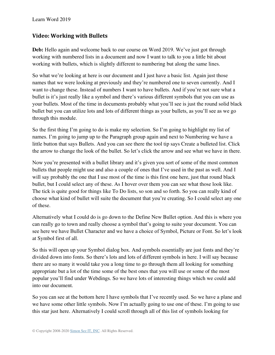#### **Video: Working with Bullets**

**Deb:** Hello again and welcome back to our course on Word 2019. We've just got through working with numbered lists in a document and now I want to talk to you a little bit about working with bullets, which is slightly different to numbering but along the same lines.

So what we're looking at here is our document and I just have a basic list. Again just those names that we were looking at previously and they're numbered one to seven currently. And I want to change these. Instead of numbers I want to have bullets. And if you're not sure what a bullet is it's just really like a symbol and there's various different symbols that you can use as your bullets. Most of the time in documents probably what you'll see is just the round solid black bullet but you can utilize lots and lots of different things as your bullets, as you'll see as we go through this module.

So the first thing I'm going to do is make my selection. So I'm going to highlight my list of names. I'm going to jump up to the Paragraph group again and next to Numbering we have a little button that says Bullets. And you can see there the tool tip says Create a bulleted list. Click the arrow to change the look of the bullet. So let's click the arrow and see what we have in there.

Now you're presented with a bullet library and it's given you sort of some of the most common bullets that people might use and also a couple of ones that I've used in the past as well. And I will say probably the one that I use most of the time is this first one here, just that round black bullet, but I could select any of these. As I hover over them you can see what those look like. The tick is quite good for things like To Do lists, so son and so forth. So you can really kind of choose what kind of bullet will suite the document that you're creating. So I could select any one of these.

Alternatively what I could do is go down to the Define New Bullet option. And this is where you can really go to town and really choose a symbol that's going to suite your document. You can see here we have Bullet Character and we have a choice of Symbol, Picture or Font. So let's look at Symbol first of all.

So this will open up your Symbol dialog box. And symbols essentially are just fonts and they're divided down into fonts. So there's lots and lots of different symbols in here. I will say because there are so many it would take you a long time to go through them all looking for something appropriate but a lot of the time some of the best ones that you will use or some of the most popular you'll find under Webdings. So we have lots of interesting things which we could add into our document.

So you can see at the bottom here I have symbols that I've recently used. So we have a plane and we have some other little symbols. Now I'm actually going to use one of these. I'm going to use this star just here. Alternatively I could scroll through all of this list of symbols looking for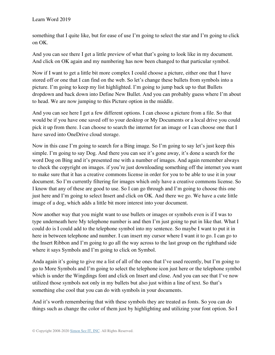something that I quite like, but for ease of use I'm going to select the star and I'm going to click on OK.

And you can see there I get a little preview of what that's going to look like in my document. And click on OK again and my numbering has now been changed to that particular symbol.

Now if I want to get a little bit more complex I could choose a picture, either one that I have stored off or one that I can find on the web. So let's change these bullets from symbols into a picture. I'm going to keep my list highlighted. I'm going to jump back up to that Bullets dropdown and back down into Define New Bullet. And you can probably guess where I'm about to head. We are now jumping to this Picture option in the middle.

And you can see here I get a few different options. I can choose a picture from a file. So that would be if you have one saved off to your desktop or My Documents or a local drive you could pick it up from there. I can choose to search the internet for an image or I can choose one that I have saved into OneDrive cloud storage.

Now in this case I'm going to search for a Bing image. So I'm going to say let's just keep this simple. I'm going to say Dog. And there you can see it's gone away, it's done a search for the word Dog on Bing and it's presented me with a number of images. And again remember always to check the copyright on images. if you're just downloading something off the internet you want to make sure that it has a creative commons license in order for you to be able to use it in your document. So I'm currently filtering for images which only have a creative commons license. So I know that any of these are good to use. So I can go through and I'm going to choose this one just here and I'm going to select Insert and click on OK. And there we go. We have a cute little image of a dog, which adds a little bit more interest into your document.

Now another way that you might want to use bullets or images or symbols even is if I was to type underneath here My telephone number is and then I'm just going to put in like that. What I could do is I could add to the telephone symbol into my sentence. So maybe I want to put it in here in between telephone and number. I can insert my cursor where I want it to go. I can go to the Insert Ribbon and I'm going to go all the way across to the last group on the righthand side where it says Symbols and I'm going to click on Symbol.

Anda again it's going to give me a list of all of the ones that I've used recently, but I'm going to go to More Symbols and I'm going to select the telephone icon just here or the telephone symbol which is under the Wingdings font and click on Insert and close. And you can see that I've now utilized those symbols not only in my bullets but also just within a line of text. So that's something else cool that you can do with symbols in your documents.

And it's worth remembering that with these symbols they are treated as fonts. So you can do things such as change the color of them just by highlighting and utilizing your font option. So I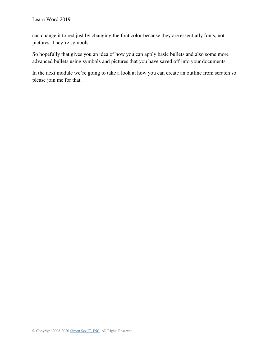can change it to red just by changing the font color because they are essentially fonts, not pictures. They're symbols.

So hopefully that gives you an idea of how you can apply basic bullets and also some more advanced bullets using symbols and pictures that you have saved off into your documents.

In the next module we're going to take a look at how you can create an outline from scratch so please join me for that.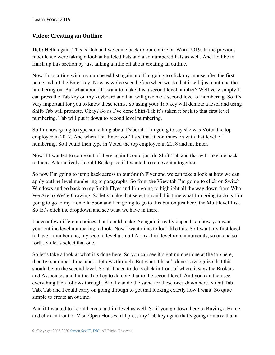### **Video: Creating an Outline**

Deb: Hello again. This is Deb and welcome back to our course on Word 2019. In the previous module we were taking a look at bulleted lists and also numbered lists as well. And I'd like to finish up this section by just talking a little bit about creating an outline.

Now I'm starting with my numbered list again and I'm going to click my mouse after the first name and hit the Enter key. Now as we've seen before when we do that it will just continue the numbering on. But what about if I want to make this a second level number? Well very simply I can press the Tab key on my keyboard and that will give me a second level of numbering. So it's very important for you to know these terms. So using your Tab key will demote a level and using Shift-Tab will promote. Okay? So as I've done Shift-Tab it's taken it back to that first level numbering. Tab will put it down to second level numbering.

So I'm now going to type something about Deborah. I'm going to say she was Voted the top employee in 2017. And when I hit Enter you'll see that it continues on with that level of numbering. So I could then type in Voted the top employee in 2018 and hit Enter.

Now if I wanted to come out of there again I could just do Shift-Tab and that will take me back to there. Alternatively I could Backspace if I wanted to remove it altogether.

So now I'm going to jump back across to our Smith Flyer and we can take a look at how we can apply outline level numbering to paragraphs. So from the View tab I'm going to click on Switch Windows and go back to my Smith Flyer and I'm going to highlight all the way down from Who We Are to We're Growing. So let's make that selection and this time what I'm going to do is I'm going to go to my Home Ribbon and I'm going to go to this button just here, the Multilevel List. So let's click the dropdown and see what we have in there.

I have a few different choices that I could make. So again it really depends on how you want your outline level numbering to look. Now I want mine to look like this. So I want my first level to have a number one, my second level a small A, my third level roman numerals, so on and so forth. So let's select that one.

So let's take a look at what it's done here. So you can see it's got number one at the top here, then two, number three, and it follows through. But what it hasn't done is recognize that this should be on the second level. So all I need to do is click in front of where it says the Brokers and Associates and hit the Tab key to demote that to the second level. And you can then see everything then follows through. And I can do the same for these ones down here. So hit Tab, Tab, Tab and I could carry on going through to get that looking exactly how I want. So quite simple to create an outline.

And if I wanted to I could create a third level as well. So if you go down here to Buying a Home and click in front of Visit Open Houses, if I press my Tab key again that's going to make that a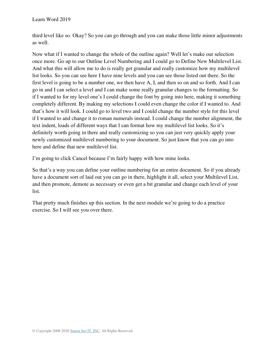third level like so. Okay? So you can go through and you can make those little minor adjustments as well.

Now what if I wanted to change the whole of the outline again? Well let's make our selection once more. Go up to our Outline Level Numbering and I could go to Define New Multilevel List. And what this will allow me to do is really get granular and really customize how my multilevel list looks. So you can see here I have nine levels and you can see those listed out there. So the first level is going to be a number one, we then have A, I, and then so on and so forth. And I can go in and I can select a level and I can make some really granular changes to the formatting. So if I wanted to for my level one's I could change the font by going into here, making it something completely different. By making my selections I could even change the color if I wanted to. And that's how it will look. I could go to level two and I could change the number style for this level if I wanted to and change it to roman numerals instead. I could change the number alignment, the text indent, loads of different ways that I can format how my multilevel list looks. So it's definitely worth going in there and really customizing so you can just very quickly apply your newly customized multilevel numbering to your document. So just know that you can go into here and define that new multilevel list.

I'm going to click Cancel because I'm fairly happy with how mine looks.

So that's a way you can define your outline numbering for an entire document. So if you already have a document sort of laid out you can go in there, highlight it all, select your Multilevel List, and then promote, demote as necessary or even get a bit granular and change each level of your list.

That pretty much finishes up this section. In the next module we're going to do a practice exercise. So I will see you over there.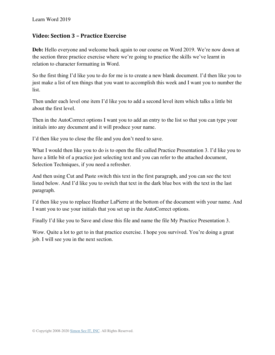#### **Video: Section 3 – Practice Exercise**

**Deb:** Hello everyone and welcome back again to our course on Word 2019. We're now down at the section three practice exercise where we're going to practice the skills we've learnt in relation to character formatting in Word.

So the first thing I'd like you to do for me is to create a new blank document. I'd then like you to just make a list of ten things that you want to accomplish this week and I want you to number the list.

Then under each level one item I'd like you to add a second level item which talks a little bit about the first level.

Then in the AutoCorrect options I want you to add an entry to the list so that you can type your initials into any document and it will produce your name.

I'd then like you to close the file and you don't need to save.

What I would then like you to do is to open the file called Practice Presentation 3. I'd like you to have a little bit of a practice just selecting text and you can refer to the attached document, Selection Techniques, if you need a refresher.

And then using Cut and Paste switch this text in the first paragraph, and you can see the text listed below. And I'd like you to switch that text in the dark blue box with the text in the last paragraph.

I'd then like you to replace Heather LaPierre at the bottom of the document with your name. And I want you to use your initials that you set up in the AutoCorrect options.

Finally I'd like you to Save and close this file and name the file My Practice Presentation 3.

Wow. Quite a lot to get to in that practice exercise. I hope you survived. You're doing a great job. I will see you in the next section.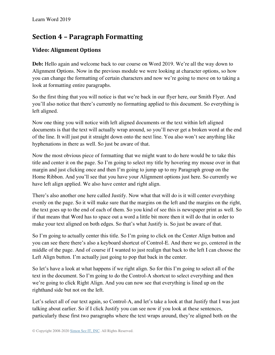# **Section 4 – Paragraph Formatting**

## **Video: Alignment Options**

**Deb:** Hello again and welcome back to our course on Word 2019. We're all the way down to Alignment Options. Now in the previous module we were looking at character options, so how you can change the formatting of certain characters and now we're going to move on to taking a look at formatting entire paragraphs.

So the first thing that you will notice is that we're back in our flyer here, our Smith Flyer. And you'll also notice that there's currently no formatting applied to this document. So everything is left aligned.

Now one thing you will notice with left aligned documents or the text within left aligned documents is that the text will actually wrap around, so you'll never get a broken word at the end of the line. It will just put it straight down onto the next line. You also won't see anything like hyphenations in there as well. So just be aware of that.

Now the most obvious piece of formatting that we might want to do here would be to take this title and center it on the page. So I'm going to select my title by hovering my mouse over in that margin and just clicking once and then I'm going to jump up to my Paragraph group on the Home Ribbon. And you'll see that you have your Alignment options just here. So currently we have left align applied. We also have center and right align.

There's also another one here called Justify. Now what that will do is it will center everything evenly on the page. So it will make sure that the margins on the left and the margins on the right, the text goes up to the end of each of them. So you kind of see this is newspaper print as well. So if that means that Word has to space out a word a little bit more then it will do that in order to make your text aligned on both edges. So that's what Justify is. So just be aware of that.

So I'm going to actually center this title. So I'm going to click on the Center Align button and you can see there there's also a keyboard shortcut of Control-E. And there we go, centered in the middle of the page. And of course if I wanted to just realign that back to the left I can choose the Left Align button. I'm actually just going to pop that back in the center.

So let's have a look at what happens if we right align. So for this I'm going to select all of the text in the document. So I'm going to do the Control-A shortcut to select everything and then we're going to click Right Align. And you can now see that everything is lined up on the righthand side but not on the left.

Let's select all of our text again, so Control-A, and let's take a look at that Justify that I was just talking about earlier. So if I click Justify you can see now if you look at these sentences, particularly these first two paragraphs where the text wraps around, they're aligned both on the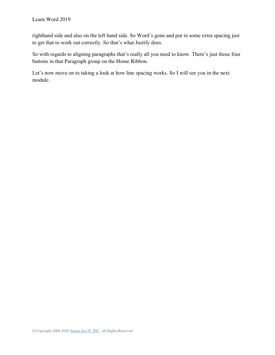righthand side and also on the left hand side. So Word's gone and put in some extra spacing just to get that to work out correctly. So that's what Justify does.

So with regards to aligning paragraphs that's really all you need to know. There's just those four buttons in that Paragraph group on the Home Ribbon.

Let's now move on to taking a look at how line spacing works. So I will see you in the next module.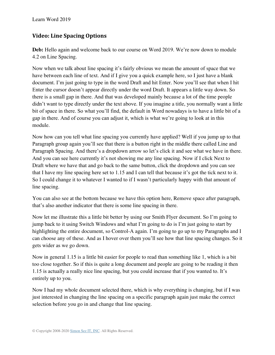## **Video: Line Spacing Options**

Deb: Hello again and welcome back to our course on Word 2019. We're now down to module 4.2 on Line Spacing.

Now when we talk about line spacing it's fairly obvious we mean the amount of space that we have between each line of text. And if I give you a quick example here, so I just have a blank document. I'm just going to type in the word Draft and hit Enter. Now you'll see that when I hit Enter the cursor doesn't appear directly under the word Draft. It appears a little way down. So there is a small gap in there. And that was developed mainly because a lot of the time people didn't want to type directly under the text above. If you imagine a title, you normally want a little bit of space in there. So what you'll find, the default in Word nowadays is to have a little bit of a gap in there. And of course you can adjust it, which is what we're going to look at in this module.

Now how can you tell what line spacing you currently have applied? Well if you jump up to that Paragraph group again you'll see that there is a button right in the middle there called Line and Paragraph Spacing. And there's a dropdown arrow so let's click it and see what we have in there. And you can see here currently it's not showing me any line spacing. Now if I click Next to Draft where we have that and go back to the same button, click the dropdown and you can see that I have my line spacing here set to 1.15 and I can tell that because it's got the tick next to it. So I could change it to whatever I wanted to if I wasn't particularly happy with that amount of line spacing.

You can also see at the bottom because we have this option here, Remove space after paragraph, that's also another indicator that there is some line spacing in there.

Now let me illustrate this a little bit better by using our Smith Flyer document. So I'm going to jump back to it using Switch Windows and what I'm going to do is I'm just going to start by highlighting the entire document, so Control-A again. I'm going to go up to my Paragraphs and I can choose any of these. And as I hover over them you'll see how that line spacing changes. So it gets wider as we go down.

Now in general 1.15 is a little bit easier for people to read than something like 1, which is a bit too close together. So if this is quite a long document and people are going to be reading it then 1.15 is actually a really nice line spacing, but you could increase that if you wanted to. It's entirely up to you.

Now I had my whole document selected there, which is why everything is changing, but if I was just interested in changing the line spacing on a specific paragraph again just make the correct selection before you go in and change that line spacing.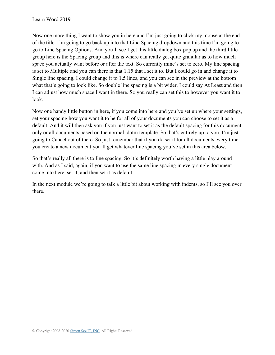Now one more thing I want to show you in here and I'm just going to click my mouse at the end of the title. I'm going to go back up into that Line Spacing dropdown and this time I'm going to go to Line Spacing Options. And you'll see I get this little dialog box pop up and the third little group here is the Spacing group and this is where can really get quite granular as to how much space you actually want before or after the text. So currently mine's set to zero. My line spacing is set to Multiple and you can there is that 1.15 that I set it to. But I could go in and change it to Single line spacing, I could change it to 1.5 lines, and you can see in the preview at the bottom what that's going to look like. So double line spacing is a bit wider. I could say At Least and then I can adjust how much space I want in there. So you really can set this to however you want it to look.

Now one handy little button in here, if you come into here and you've set up where your settings, set your spacing how you want it to be for all of your documents you can choose to set it as a default. And it will then ask you if you just want to set it as the default spacing for this document only or all documents based on the normal .dotm template. So that's entirely up to you. I'm just going to Cancel out of there. So just remember that if you do set it for all documents every time you create a new document you'll get whatever line spacing you've set in this area below.

So that's really all there is to line spacing. So it's definitely worth having a little play around with. And as I said, again, if you want to use the same line spacing in every single document come into here, set it, and then set it as default.

In the next module we're going to talk a little bit about working with indents, so I'll see you over there.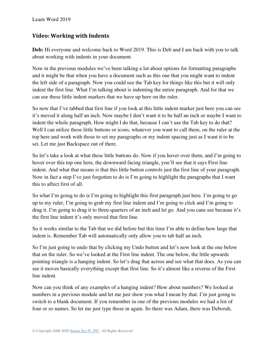#### **Video: Working with Indents**

**Deb:** Hi everyone and welcome back to Word 2019. This is Deb and I am back with you to talk about working with indents in your document.

Now in the previous modules we've been talking a lot about options for formatting paragraphs and it might be that when you have a document such as this one that you might want to indent the left side of a paragraph. Now you could use the Tab key for things like this but it will only indent the first line. What I'm talking about is indenting the entire paragraph. And for that we can use these little indent markers that we have up here on the ruler.

So now that I've tabbed that first line if you look at this little indent marker just here you can see it's moved it along half an inch. Now maybe I don't want it to be half an inch or maybe I want to indent the whole paragraph. How might I do that, because I can't use the Tab key to do that? Well I can utilize these little buttons or icons, whatever you want to call them, on the ruler at the top here and work with those to set my paragraphs or my indent spacing just as I want it to be set. Let me just Backspace out of there.

So let's take a look at what these little buttons do. Now if you hover over them, and I'm going to hover over this top one here, the downward facing triangle, you'll see that it says First line indent. And what that means is that this little button controls just the first line of your paragraph. Now in fact a step I've just forgotten to do is I'm going to highlight the paragraphs that I want this to affect first of all.

So what I'm going to do is I'm going to highlight this first paragraph just here. I'm going to go up to my ruler, I'm going to grab my first line indent and I'm going to click and I'm going to drag it. I'm going to drag it to three-quarters of an inch and let go. And you cans see because it's the first line indent it's only moved that first line.

So it works similar to the Tab that we did before but this time I'm able to define how large that indent is. Remember Tab will automatically only allow you to tab half an inch.

So I'm just going to undo that by clicking my Undo button and let's now look at the one below that on the ruler. So we've looked at the First line indent. The one below, the little upwards pointing triangle is a hanging indent. So let's drag that across and see what that does. As you can see it moves basically everything except that first line. So it's almost like a reverse of the First line indent.

Now can you think of any examples of a hanging indent? How about numbers? We looked at numbers in a previous module and let me just show you what I mean by that. I'm just going to switch to a blank document. If you remember in one of the previous modules we had a list of four or so names. So let me just type those in again. So there was Adam, there was Deborah,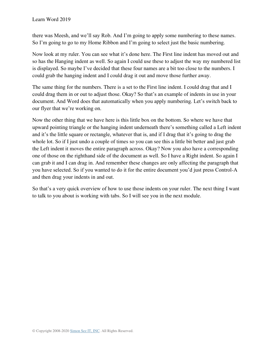there was Meesh, and we'll say Rob. And I'm going to apply some numbering to these names. So I'm going to go to my Home Ribbon and I'm going to select just the basic numbering.

Now look at my ruler. You can see what it's done here. The First line indent has moved out and so has the Hanging indent as well. So again I could use these to adjust the way my numbered list is displayed. So maybe I've decided that these four names are a bit too close to the numbers. I could grab the hanging indent and I could drag it out and move those further away.

The same thing for the numbers. There is a set to the First line indent. I could drag that and I could drag them in or out to adjust those. Okay? So that's an example of indents in use in your document. And Word does that automatically when you apply numbering. Let's switch back to our flyer that we're working on.

Now the other thing that we have here is this little box on the bottom. So where we have that upward pointing triangle or the hanging indent underneath there's something called a Left indent and it's the little square or rectangle, whatever that is, and if I drag that it's going to drag the whole lot. So if I just undo a couple of times so you can see this a little bit better and just grab the Left indent it moves the entire paragraph across. Okay? Now you also have a corresponding one of those on the righthand side of the document as well. So I have a Right indent. So again I can grab it and I can drag in. And remember these changes are only affecting the paragraph that you have selected. So if you wanted to do it for the entire document you'd just press Control-A and then drag your indents in and out.

So that's a very quick overview of how to use those indents on your ruler. The next thing I want to talk to you about is working with tabs. So I will see you in the next module.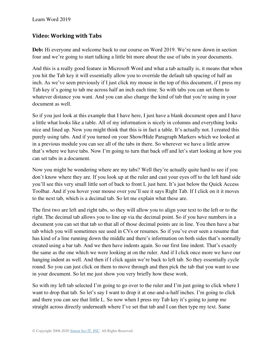#### **Video: Working with Tabs**

**Deb:** Hi everyone and welcome back to our course on Word 2019. We're now down in section four and we're going to start talking a little bit more about the use of tabs in your documents.

And this is a really good feature in Microsoft Word and what a tab actually is, it means that when you hit the Tab key it will essentially allow you to override the default tab spacing of half an inch. As we've seen previously if I just click my mouse in the top of this document, if I press my Tab key it's going to tab me across half an inch each time. So with tabs you can set them to whatever distance you want. And you can also change the kind of tab that you're using in your document as well.

So if you just look at this example that I have here, I just have a blank document open and I have a little what looks like a table. All of my information is nicely in columns and everything looks nice and lined up. Now you might think that this is in fact a table. It's actually not. I created this purely using tabs. And if you turned on your Show/Hide Paragraph Markers which we looked at in a previous module you can see all of the tabs in there. So wherever we have a little arrow that's where we have tabs. Now I'm going to turn that back off and let's start looking at how you can set tabs in a document.

Now you might be wondering where are my tabs? Well they're actually quite hard to see if you don't know where they are. If you look up at the ruler and cast your eyes off to the left hand side you'll see this very small little sort of back to front L just here. It's just below the Quick Access Toolbar. And if you hover your mouse over you'll see it says Right Tab. If I click on it it moves to the next tab, which is a decimal tab. So let me explain what these are.

The first two are left and right tabs, so they will allow you to align your text to the left or to the right. The decimal tab allows you to line up via the decimal point. So if you have numbers in a document you can set that tab so that all of those decimal points are in line. You then have a bar tab which you will sometimes see used in CVs or resumes. So if you've ever seen a resume that has kind of a line running down the middle and there's information on both sides that's normally created using a bar tab. And we then have indents again. So our first line indent. That's exactly the same as the one which we were looking at on the ruler. And if I click once more we have our hanging indent as well. And then if I click again we're back to left tab. So they essentially cycle round. So you can just click on them to move through and then pick the tab that you want to use in your document. So let me just show you very briefly how these work.

So with my left tab selected I'm going to go over to the ruler and I'm just going to click where I want to drop that tab. So let's say I want to drop it at one-and-a-half inches. I'm going to click and there you can see that little L. So now when I press my Tab key it's going to jump me straight across directly underneath where I've set that tab and I can then type my text. Same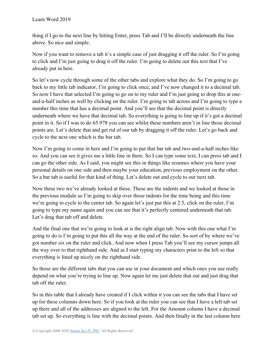thing if I go to the next line by hitting Enter, press Tab and I'll be directly underneath the line above. So nice and simple.

Now if you want to remove a tab it's a simple case of just dragging it off the ruler. So I'm going to click and I'm just going to drag it off the ruler. I'm going to delete out this text that I've already put in here.

So let's now cycle through some of the other tabs and explore what they do. So I'm going to go back to my little tab indicator, I'm going to click once, and I've now changed it to a decimal tab. So now I have that selected I'm going to go on to my ruler and I'm just going to drop this at oneand-a-half inches as well by clicking on the ruler. I'm going to tab across and I'm going to type a number this time that has a decimal point. And you'll see that the decimal point is directly underneath where we have that decimal tab. So everything is going to line up if it's got a decimal point in it. So if I was to do 65.978 you can see whilst these numbers aren't in line those decimal points are. Let's delete that and get rid of our tab by dragging it off the ruler. Let's go back and cycle to the next one which is the bar tab.

Now I'm going to come in here and I'm going to put that bar tab and two-and-a-half inches like so. And you can see it gives me a little line in there. So I can type some text, I can press tab and I can go the other side. As I said, you might see this in things like resumes where you have your personal details on one side and then maybe your education, previous employment on the other. So a bar tab is useful for that kind of thing. Let's delete out and cycle to our next tab.

Now these two we've already looked at these. These are the indents and we looked at those in the previous module so I'm going to skip over those indents for the time being and this time we're going to cycle to the center tab. So again let's just put this at 2.5, click on the ruler, I'm going to type my name again and you can see that it's perfectly centered underneath that tab. Let's drag that tab off and delete.

And the final one that we're going to look at is the right align tab. Now with this one what I'm going to do is I'm going to put this all the way at the end of the ruler. So sort of by where we've got number six on the ruler and click. And now when I press Tab you'll see my cursor jumps all the way over to that righthand side. And as I start typing my characters print to the left so that everything is lined up nicely on the righthand side.

So those are the different tabs that you can use in your document and which ones you use really depend on what you're trying to line up. Now again let me just delete that out and just drag that tab off the ruler.

So in this table that I already have created if I click within it you can see the tabs that I have set up for these columns down here. So if you look at the ruler you can see that I have a left tab set up there and all of the addresses are aligned to the left. For the Amount column I have a decimal tab set up. So everything is line with the decimal points. And then finally in the last column here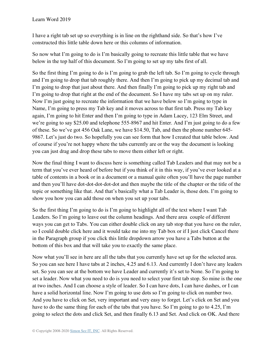I have a right tab set up so everything is in line on the righthand side. So that's how I've constructed this little table down here or this columns of information.

So now what I'm going to do is I'm basically going to recreate this little table that we have below in the top half of this document. So I'm going to set up my tabs first of all.

So the first thing I'm going to do is I'm going to grab the left tab. So I'm going to cycle through and I'm going to drop that tab roughly there. And then I'm going to pick up my decimal tab and I'm going to drop that just about there. And then finally I'm going to pick up my right tab and I'm going to drop that right at the end of the document. So I have my tabs set up on my ruler. Now I'm just going to recreate the information that we have below so I'm going to type in Name, I'm going to press my Tab key and it moves across to that first tab. Press my Tab key again, I'm going to hit Enter and then I'm going to type in Adam Lacey, 123 Elm Street, and we're going to say \$25.00 and telephone 555-8967 and hit Enter. And I'm just going to do a few of these. So we've got 456 Oak Lane, we have \$14.50, Tab, and then the phone number 645- 9867. Let's just do two. So hopefully you can see form that how I created that table below. And of course if you're not happy where the tabs currently are or the way the document is looking you can just drag and drop these tabs to move them either left or right.

Now the final thing I want to discuss here is something called Tab Leaders and that may not be a term that you've ever heard of before but if you think of it in this way, if you've ever looked at a table of contents in a book or in a document or a manual quite often you'll have the page number and then you'll have dot-dot-dot-dot-dot and then maybe the title of the chapter or the title of the topic or something like that. And that's basically what a Tab Leader is, those dots. I'm going to show you how you can add those on when you set up your tabs.

So the first thing I'm going to do is I'm going to highlight all of the text where I want Tab Leaders. So I'm going to leave out the column headings. And there area couple of different ways you can get to Tabs. You can either double click on any tab stop that you have on the ruler, so I could double click here and it would take me into my Tab box or if I just click Cancel there in the Paragraph group if you click this little dropdown arrow you have a Tabs button at the bottom of this box and that will take you to exactly the same place.

Now what you'll see in here are all the tabs that you currently have set up for the selected area. So you can see here I have tabs at 2 inches, 4.25 and 6.13. And currently I don't have any leaders set. So you can see at the bottom we have Leader and currently it's set to None. So I'm going to set a leader. Now what you need to do is you need to select your first tab stop. So mine is the one at two inches. And I can choose a style of leader. So I can have dots, I can have dashes, or I can have a solid horizontal line. Now I'm going to use dots so I'm going to click on number two. And you have to click on Set, very important and very easy to forget. Let's click on Set and you have to do the same thing for each of the tabs that you have. So I'm going to go to 4.25, I'm going to select the dots and click Set, and then finally 6.13 and Set. And click on OK. And there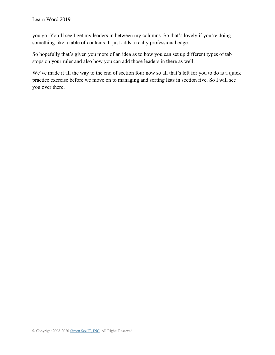you go. You'll see I get my leaders in between my columns. So that's lovely if you're doing something like a table of contents. It just adds a really professional edge.

So hopefully that's given you more of an idea as to how you can set up different types of tab stops on your ruler and also how you can add those leaders in there as well.

We've made it all the way to the end of section four now so all that's left for you to do is a quick practice exercise before we move on to managing and sorting lists in section five. So I will see you over there.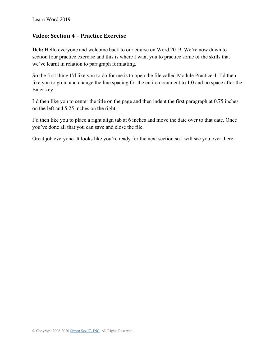#### **Video: Section 4 – Practice Exercise**

**Deb:** Hello everyone and welcome back to our course on Word 2019. We're now down to section four practice exercise and this is where I want you to practice some of the skills that we've learnt in relation to paragraph formatting.

So the first thing I'd like you to do for me is to open the file called Module Practice 4. I'd then like you to go in and change the line spacing for the entire document to 1.0 and no space after the Enter key.

I'd then like you to center the title on the page and then indent the first paragraph at 0.75 inches on the left and 5.25 inches on the right.

I'd then like you to place a right align tab at 6 inches and move the date over to that date. Once you've done all that you can save and close the file.

Great job everyone. It looks like you're ready for the next section so I will see you over there.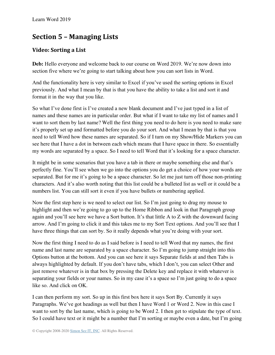# **Section 5 – Managing Lists**

## **Video: Sorting a List**

**Deb:** Hello everyone and welcome back to our course on Word 2019. We're now down into section five where we're going to start talking about how you can sort lists in Word.

And the functionality here is very similar to Excel if you've used the sorting options in Excel previously. And what I mean by that is that you have the ability to take a list and sort it and format it in the way that you like.

So what I've done first is I've created a new blank document and I've just typed in a list of names and these names are in particular order. But what if I want to take my list of names and I want to sort them by last name? Well the first thing you need to do here is you need to make sure it's properly set up and formatted before you do your sort. And what I mean by that is that you need to tell Word how these names are separated. So if I turn on my Show/Hide Markers you can see here that I have a dot in between each which means that I have space in there. So essentially my words are separated by a space. So I need to tell Word that it's looking for a space character.

It might be in some scenarios that you have a tab in there or maybe something else and that's perfectly fine. You'll see when we go into the options you do get a choice of how your words are separated. But for me it's going to be a space character. So let me just turn off those non-printing characters. And it's also worth noting that this list could be a bulleted list as well or it could be a numbers list. You can still sort it even if you have bullets or numbering applied.

Now the first step here is we need to select our list. So I'm just going to drag my mouse to highlight and then we're going to go up to the Home Ribbon and look in that Paragraph group again and you'll see here we have a Sort button. It's that little A to Z with the downward facing arrow. And I'm going to click it and this takes me to my Sort Text options. And you'll see that I have three things that can sort by. So it really depends what you're doing with your sort.

Now the first thing I need to do as I said before is I need to tell Word that my names, the first name and last name are separated by a space character. So I'm going to jump straight into this Options button at the bottom. And you can see here it says Separate fields at and then Tabs is always highlighted by default. If you don't have tabs, which I don't, you can select Other and just remove whatever is in that box by pressing the Delete key and replace it with whatever is separating your fields or your names. So in my case it's a space so I'm just going to do a space like so. And click on OK.

I can then perform my sort. So up in this first box here it says Sort By. Currently it says Paragraphs. We've got headings as well but then I have Word 1 or Word 2. Now in this case I want to sort by the last name, which is going to be Word 2. I then get to stipulate the type of text. So I could have text or it might be a number that I'm sorting or maybe even a date, but I'm going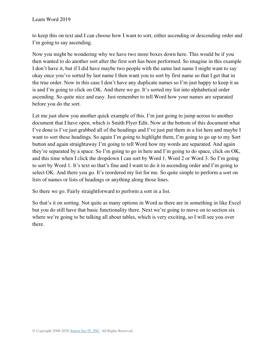to keep this on text and I can choose how I want to sort, either ascending or descending order and I'm going to say ascending.

Now you might be wondering why we have two more boxes down here. This would be if you then wanted to do another sort after the first sort has been performed. So imagine in this example I don't have it, but if I did have maybe two people with the same last name I might want to say okay once you've sorted by last name I then want you to sort by first name so that I get that in the true order. Now in this case I don't have any duplicate names so I'm just happy to keep it as is and I'm going to click on OK. And there we go. It's sorted my list into alphabetical order ascending. So quite nice and easy. Just remember to tell Word how your names are separated before you do the sort.

Let me just show you another quick example of this. I'm just going to jump across to another document that I have open, which is Smith Flyer Edit. Now at the bottom of this document what I've done is I've just grabbed all of the headings and I've just put them in a list here and maybe I want to sort these headings. So again I'm going to highlight them, I'm going to go up to my Sort button and again straightaway I'm going to tell Word how my words are separated. And again they're separated by a space. So I'm going to go in here and I'm going to do space, click on OK, and this time when I click the dropdown I can sort by Word 1, Word 2 or Word 3. So I'm going to sort by Word 1. It's text so that's fine and I want to do it in ascending order and I'm going to select OK. And there you go. It's reordered my list for me. So quite simple to perform a sort on lists of names or lists of headings or anything along those lines.

So there we go. Fairly straightforward to perform a sort in a list.

So that's it on sorting. Not quite as many options in Word as there are in something in like Excel but you do still have that basic functionality there. Next we're going to move on to section six where we're going to be talking all about tables, which is very exciting, so I will see you over there.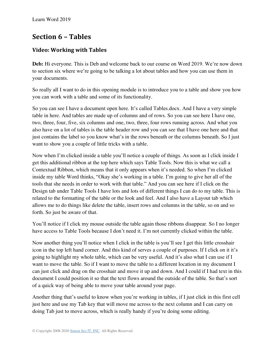# **Section 6 – Tables**

## **Video: Working with Tables**

**Deb:** Hi everyone. This is Deb and welcome back to our course on Word 2019. We're now down to section six where we're going to be talking a lot about tables and how you can use them in your documents.

So really all I want to do in this opening module is to introduce you to a table and show you how you can work with a table and some of its functionality.

So you can see I have a document open here. It's called Tables.docx. And I have a very simple table in here. And tables are made up of columns and of rows. So you can see here I have one, two, three, four, five, six columns and one, two, three, four rows running across. And what you also have on a lot of tables is the table header row and you can see that I have one here and that just contains the label so you know what's in the rows beneath or the columns beneath. So I just want to show you a couple of little tricks with a table.

Now when I'm clicked inside a table you'll notice a couple of things. As soon as I click inside I get this additional ribbon at the top here which says Table Tools. Now this is what we call a Contextual Ribbon, which means that it only appears when it's needed. So when I'm clicked inside my table Word thinks, "Okay she's working in a table. I'm going to give her all of the tools that she needs in order to work with that table." And you can see here if I click on the Design tab under Table Tools I have lots and lots of different things I can do to my table. This is related to the formatting of the table or the look and feel. And I also have a Layout tab which allows me to do things like delete the table, insert rows and columns in the table, so on and so forth. So just be aware of that.

You'll notice if I click my mouse outside the table again those ribbons disappear. So I no longer have access to Table Tools because I don't need it. I'm not currently clicked within the table.

Now another thing you'll notice when I click in the table is you'll see I get this little crosshair icon in the top left hand corner. And this kind of serves a couple of purposes. If I click on it it's going to highlight my whole table, which can be very useful. And it's also what I can use if I want to move the table. So if I want to move the table to a different location in my document I can just click and drag on the crosshair and move it up and down. And I could if I had text in this document I could position it so that the text flows around the outside of the table. So that's sort of a quick way of being able to move your table around your page.

Another thing that's useful to know when you're working in tables, if I just click in this first cell just here and use my Tab key that will move me across to the next column and I can carry on doing Tab just to move across, which is really handy if you're doing some editing.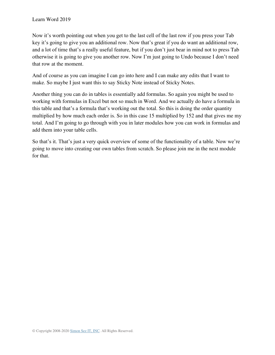Now it's worth pointing out when you get to the last cell of the last row if you press your Tab key it's going to give you an additional row. Now that's great if you do want an additional row, and a lot of time that's a really useful feature, but if you don't just bear in mind not to press Tab otherwise it is going to give you another row. Now I'm just going to Undo because I don't need that row at the moment.

And of course as you can imagine I can go into here and I can make any edits that I want to make. So maybe I just want this to say Sticky Note instead of Sticky Notes.

Another thing you can do in tables is essentially add formulas. So again you might be used to working with formulas in Excel but not so much in Word. And we actually do have a formula in this table and that's a formula that's working out the total. So this is doing the order quantity multiplied by how much each order is. So in this case 15 multiplied by 152 and that gives me my total. And I'm going to go through with you in later modules how you can work in formulas and add them into your table cells.

So that's it. That's just a very quick overview of some of the functionality of a table. Now we're going to move into creating our own tables from scratch. So please join me in the next module for that.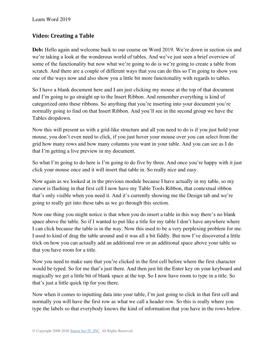### **Video: Creating a Table**

**Deb:** Hello again and welcome back to our course on Word 2019. We're down in section six and we're taking a look at the wonderous world of tables. And we've just seen a brief overview of some of the functionality but now what we're going to do is we're going to create a table from scratch. And there are a couple of different ways that you can do this so I'm going to show you one of the ways now and also show you a little bit more functionality with regards to tables.

So I have a blank document here and I am just clicking my mouse at the top of that document and I'm going to go straight up to the Insert Ribbon. And remember everything is kind of categorized onto these ribbons. So anything that you're inserting into your document you're normally going to find on that Insert Ribbon. And you'll see in the second group we have the Tables dropdown.

Now this will present us with a grid-like structure and all you need to do is if you just hold your mouse, you don't even need to click, if you just hover your mouse over you can select from the grid how many rows and how many columns you want in your table. And you can see as I do that I'm getting a live preview in my document.

So what I'm going to do here is I'm going to do five by three. And once you're happy with it just click your mouse once and it will insert that table in. So really nice and easy.

Now again as we looked at in the previous module because I have actually in my table, so my cursor is flashing in that first cell I now have my Table Tools Ribbon, that contextual ribbon that's only visible when you need it. And it's currently showing me the Design tab and we're going to really get into these tabs as we go through this section.

Now one thing you might notice is that when you do insert a table in this way there's no blank space above the table. So if I wanted to put like a title for my table I don't have anywhere where I can click because the table is in the way. Now this used to be a very perplexing problem for me. I used to kind of drag the table around and it was all a bit fiddly. But now I've discovered a little trick on how you can actually add an additional row or an additional space above your table so that you have room for a title.

Now you need to make sure that you're clicked in the first cell before where the first character would be typed. So for me that's just there. And then just hit the Enter key on your keyboard and magically we get a little bit of blank space at the top. So I now have room to type in a title. So that's just a little quick tip for you there.

Now when it comes to inputting data into your table, I'm just going to click in that first cell and normally you will have the first row as what we call a header row. So this is really where you type the labels so that everybody knows the kind of information that you have in the rows below.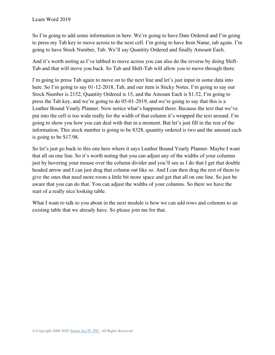So I'm going to add some information in here. We're going to have Date Ordered and I'm going to press my Tab key to move across to the next cell. I'm going to have Item Name, tab again. I'm going to have Stock Number, Tab. We'll say Quantity Ordered and finally Amount Each.

And it's worth noting as I've tabbed to move across you can also do the reverse by doing Shift-Tab and that will move you back. So Tab and Shift-Tab will allow you to move through there.

I'm going to press Tab again to move on to the next line and let's just input in some data into here. So I'm going to say 01-12-2018, Tab, and our item is Sticky Notes. I'm going to say our Stock Number is 2152, Quantity Ordered is 15, and the Amount Each is \$1.52, I'm going to press the Tab key, and we're going to do 05-01-2019, and we're going to say that this is a Leather Bound Yearly Planner. Now notice what's happened there. Because the text that we've put into the cell is too wide really for the width of that column it's wrapped the text around. I'm going to show you how you can deal with that in a moment. But let's just fill in the rest of the information. This stock number is going to be 8328, quantity ordered is two and the amount each is going to be \$17.98.

So let's just go back to this one here where it says Leather Bound Yearly Planner. Maybe I want that all on one line. So it's worth noting that you can adjust any of the widths of your columns just by hovering your mouse over the column divider and you'll see as I do that I get that double headed arrow and I can just drag that column out like so. And I can then drag the rest of them to give the ones that need more room a little bit more space and get that all on one line. So just be aware that you can do that. You can adjust the widths of your columns. So there we have the start of a really nice looking table.

What I want to talk to you about in the next module is how we can add rows and columns to an existing table that we already have. So please join me for that.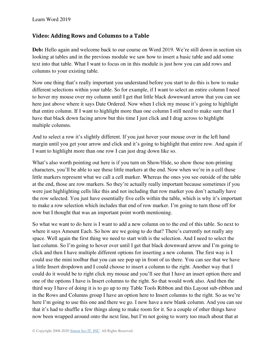#### **Video: Adding Rows and Columns to a Table**

**Deb:** Hello again and welcome back to our course on Word 2019. We're still down in section six looking at tables and in the previous module we saw how to insert a basic table and add some text into that table. What I want to focus on in this module is just how you can add rows and columns to your existing table.

Now one thing that's really important you understand before you start to do this is how to make different selections within your table. So for example, if I want to select an entire column I need to hover my mouse over my column until I get that little black downward arrow that you can see here just above where it says Date Ordered. Now when I click my mouse it's going to highlight that entire column. If I want to highlight more than one column I still need to make sure that I have that black down facing arrow but this time I just click and I drag across to highlight multiple columns.

And to select a row it's slightly different. If you just hover your mouse over in the left hand margin until you get your arrow and click and it's going to highlight that entire row. And again if I want to highlight more than one row I can just drag down like so.

What's also worth pointing out here is if you turn on Show/Hide, so show those non-printing characters, you'll be able to see these little markers at the end. Now when we're in a cell these little markers represent what we call a cell marker. Whereas the ones you see outside of the table at the end, those are row markers. So they're actually really important because sometimes if you were just highlighting cells like this and not including that row marker you don't actually have the row selected. You just have essentially five cells within the table, which is why it's important to make a row selection which includes that end of row marker. I'm going to turn those off for now but I thought that was an important point worth mentioning.

So what we want to do here is I want to add a new column on to the end of this table. So next to where it says Amount Each. So how are we going to do that? There's currently not really any space. Well again the first thing we need to start with is the selection. And I need to select the last column. So I'm going to hover over until I get that black downward arrow and I'm going to click and then I have multiple different options for inserting a new column. The first way is I could use the mini toolbar that you can see pop up in front of us there. You can see that we have a little Insert dropdown and I could choose to insert a column to the right. Another way that I could do it would be to right click my mouse and you'll see that I have an insert option there and one of the options I have is Insert columns to the right. So that would work also. And then the third way I have of doing it is to go up to my Table Tools Ribbon and this Layout sub-ribbon and in the Rows and Columns group I have an option here to Insert columns to the right. So as we're here I'm going to use this one and there we go. I now have a new blank column. And you can see that it's had to shuffle a few things along to make room for it. So a couple of other things have now been wrapped around onto the next line, but I'm not going to worry too much about that at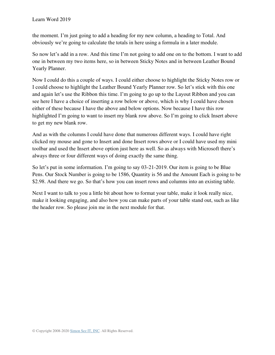the moment. I'm just going to add a heading for my new column, a heading to Total. And obviously we're going to calculate the totals in here using a formula in a later module.

So now let's add in a row. And this time I'm not going to add one on to the bottom. I want to add one in between my two items here, so in between Sticky Notes and in between Leather Bound Yearly Planner.

Now I could do this a couple of ways. I could either choose to highlight the Sticky Notes row or I could choose to highlight the Leather Bound Yearly Planner row. So let's stick with this one and again let's use the Ribbon this time. I'm going to go up to the Layout Ribbon and you can see here I have a choice of inserting a row below or above, which is why I could have chosen either of these because I have the above and below options. Now because I have this row highlighted I'm going to want to insert my blank row above. So I'm going to click Insert above to get my new blank row.

And as with the columns I could have done that numerous different ways. I could have right clicked my mouse and gone to Insert and done Insert rows above or I could have used my mini toolbar and used the Insert above option just here as well. So as always with Microsoft there's always three or four different ways of doing exactly the same thing.

So let's put in some information. I'm going to say 03-21-2019. Our item is going to be Blue Pens. Our Stock Number is going to be 1586, Quantity is 56 and the Amount Each is going to be \$2.98. And there we go. So that's how you can insert rows and columns into an existing table.

Next I want to talk to you a little bit about how to format your table, make it look really nice, make it looking engaging, and also how you can make parts of your table stand out, such as like the header row. So please join me in the next module for that.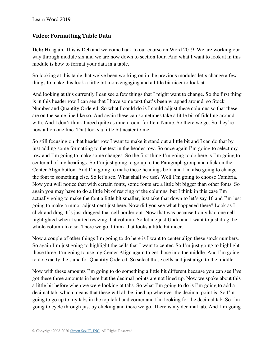## **Video: Formatting Table Data**

**Deb:** Hi again. This is Deb and welcome back to our course on Word 2019. We are working our way through module six and we are now down to section four. And what I want to look at in this module is how to format your data in a table.

So looking at this table that we've been working on in the previous modules let's change a few things to make this look a little bit more engaging and a little bit nicer to look at.

And looking at this currently I can see a few things that I might want to change. So the first thing is in this header row I can see that I have some text that's been wrapped around, so Stock Number and Quantity Ordered. So what I could do is I could adjust these columns so that these are on the same line like so. And again these can sometimes take a little bit of fiddling around with. And I don't think I need quite as much room for Item Name. So there we go. So they're now all on one line. That looks a little bit neater to me.

So still focusing on that header row I want to make it stand out a little bit and I can do that by just adding some formatting to the text in the header row. So once again I'm going to select my row and I'm going to make some changes. So the first thing I'm going to do here is I'm going to center all of my headings. So I'm just going to go up to the Paragraph group and click on the Center Align button. And I'm going to make these headings bold and I'm also going to change the font to something else. So let's see. What shall we use? Well I'm going to choose Cambria. Now you will notice that with certain fonts, some fonts are a little bit bigger than other fonts. So again you may have to do a little bit of resizing of the columns, but I think in this case I'm actually going to make the font a little bit smaller, just take that down to let's say 10 and I'm just going to make a minor adjustment just here. Now did you see what happened there? Look as I click and drag. It's just dragged that cell border out. Now that was because I only had one cell highlighted when I started resizing that column. So let me just Undo and I want to just drag the whole column like so. There we go. I think that looks a little bit nicer.

Now a couple of other things I'm going to do here is I want to center align these stock numbers. So again I'm just going to highlight the cells that I want to center. So I'm just going to highlight those three. I'm going to use my Center Align again to get those into the middle. And I'm going to do exactly the same for Quantity Ordered. So select those cells and just align to the middle.

Now with these amounts I'm going to do something a little bit different because you can see I've got these three amounts in here but the decimal points are not lined up. Now we spoke about this a little bit before when we were looking at tabs. So what I'm going to do is I'm going to add a decimal tab, which means that these will all be lined up wherever the decimal point is. So I'm going to go up to my tabs in the top left hand corner and I'm looking for the decimal tab. So I'm going to cycle through just by clicking and there we go. There is my decimal tab. And I'm going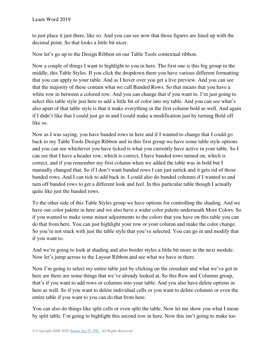to just place it just there, like so. And you can see now that those figures are lined up with the decimal point. So that looks a little bit nicer.

Now let's go up to the Design Ribbon on our Table Tools contextual ribbon.

Now a couple of things I want to highlight to you in here. The first one is this big group in the middle, this Table Styles. If you click the dropdown there you have various different formatting that you can apply to your table. And as I hover over you get a live preview. And you can see that the majority of these contain what we call Banded Rows. So that means that you have a white row in between a colored row. And you can change that if you want to. I'm just going to select this table style just here to add a little bit of color into my table. And you can see what's also apart of that table style is that it make everything in the first column bold as well. And again if I didn't like that I could just go in and I could make a modification just by turning Bold off like so.

Now as I was saying, you have banded rows in here and if I wanted to change that I could go back to my Table Tools Design Ribbon and in this first group we have some table style options and you can see whichever you have ticked is what you currently have active in your table. So I can see that I have a header row, which is correct, I have banded rows turned on, which is correct, and if you remember my first column when we added the table was in bold but I manually changed that. So if I don't want banded rows I can just untick and it gets rid of those banded rows. And I can tick to add back in. I could also do banded columns if I wanted to and turn off banded rows to get a different look and feel. In this particular table though I actually quite like just the banded rows.

To the other side of this Table Styles group we have options for controlling the shading. And we have our color palette in here and we also have a wider color palette underneath More Colors. So if you wanted to make some minor adjustments to the colors that you have on this table you can do that from here. You can just highlight your row or your column and make the color change. So you're not stuck with just the table style that you've selected. You can go in and modify that if you want to.

And we're going to look at shading and also border styles a little bit more in the next module. Now let's jump across to the Layout Ribbon and see what we have in there.

Now I'm going to select my entire table just by clicking on the crosshair and what we've got in here are there are some things that we've already looked at. So this Row and Columns group, that's if you want to add rows or columns into your table. And you also have delete options in here as well. So if you want to delete individual cells or you want to delete columns or even the entire table if you want to you can do that from here.

You can also do things like split cells or even split the table. Now let me show you what I mean by split table. I'm going to highlight this second row in here. Now this isn't going to make too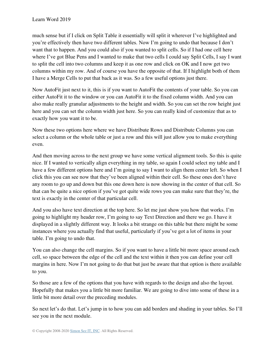much sense but if I click on Split Table it essentially will split it wherever I've highlighted and you're effectively then have two different tables. Now I'm going to undo that because I don't want that to happen. And you could also if you wanted to split cells. So if I had one cell here where I've got Blue Pens and I wanted to make that two cells I could say Split Cells, I say I want to split the cell into two columns and keep it as one row and click on OK and I now get two columns within my row. And of course you have the opposite of that. If I highlight both of them I have a Merge Cells to put that back as it was. So a few useful options just there.

Now AutoFit just next to it, this is if you want to AutoFit the contents of your table. So you can either AutoFit it to the window or you can AutoFit it to the fixed column width. And you can also make really granular adjustments to the height and width. So you can set the row height just here and you can set the column width just here. So you can really kind of customize that as to exactly how you want it to be.

Now these two options here where we have Distribute Rows and Distribute Columns you can select a column or the whole table or just a row and this will just allow you to make everything even.

And then moving across to the next group we have some vertical alignment tools. So this is quite nice. If I wanted to vertically align everything in my table, so again I could select my table and I have a few different options here and I'm going to say I want to align them center left. So when I click this you can see now that they've been aligned within their cell. So these ones don't have any room to go up and down but this one down here is now showing in the center of that cell. So that can be quite a nice option if you've got quite wide rows you can make sure that they're, the text is exactly in the center of that particular cell.

And you also have text direction at the top here. So let me just show you how that works. I'm going to highlight my header row, I'm going to say Text Direction and there we go. I have it displayed in a slightly different way. It looks a bit strange on this table but there might be some instances where you actually find that useful, particularly if you've got a lot of items in your table. I'm going to undo that.

You can also change the cell margins. So if you want to have a little bit more space around each cell, so space between the edge of the cell and the text within it then you can define your cell margins in here. Now I'm not going to do that but just be aware that that option is there available to you.

So those are a few of the options that you have with regards to the design and also the layout. Hopefully that makes you a little bit more familiar. We are going to dive into some of these in a little bit more detail over the preceding modules.

So next let's do that. Let's jump in to how you can add borders and shading in your tables. So I'll see you in the next module.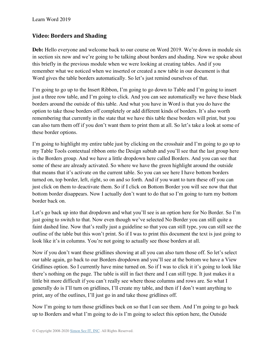## **Video: Borders and Shading**

Deb: Hello everyone and welcome back to our course on Word 2019. We're down in module six in section six now and we're going to be talking about borders and shading. Now we spoke about this briefly in the previous module when we were looking at creating tables. And if you remember what we noticed when we inserted or created a new table in our document is that Word gives the table borders automatically. So let's just remind ourselves of that.

I'm going to go up to the Insert Ribbon, I'm going to go down to Table and I'm going to insert just a three row table, and I'm going to click. And you can see automatically we have these black borders around the outside of this table. And what you have in Word is that you do have the option to take those borders off completely or add different kinds of borders. It's also worth remembering that currently in the state that we have this table these borders will print, but you can also turn them off if you don't want them to print them at all. So let's take a look at some of these border options.

I'm going to highlight my entire table just by clicking on the crosshair and I'm going to go up to my Table Tools contextual ribbon onto the Design subtab and you'll see that the last group here is the Borders group. And we have a little dropdown here called Borders. And you can see that some of these are already activated. So where we have the green highlight around the outside that means that it's activate on the current table. So you can see here I have bottom borders turned on, top border, left, right, so on and so forth. And if you want to turn these off you can just click on them to deactivate them. So if I click on Bottom Border you will see now that that bottom border disappears. Now I actually don't want to do that so I'm going to turn my bottom border back on.

Let's go back up into that dropdown and what you'll see is an option here for No Border. So I'm just going to switch to that. Now even though we've selected No Border you can still quite a faint dashed line. Now that's really just a guideline so that you can still type, you can still see the outline of the table but this won't print. So if I was to print this document the text is just going to look like it's in columns. You're not going to actually see those borders at all.

Now if you don't want these gridlines showing at all you can also turn those off. So let's select our table again, go back to our Borders dropdown and you'll see at the bottom we have a View Gridlines option. So I currently have mine turned on. So if I was to click it it's going to look like there's nothing on the page. The table is still in fact there and I can still type. It just makes it a little bit more difficult if you can't really see where those columns and rows are. So what I generally do is I'll turn on gridlines, I'll create my table, and then if I don't want anything to print, any of the outlines, I'll just go in and take those gridlines off.

Now I'm going to turn those gridlines back on so that I can see them. And I'm going to go back up to Borders and what I'm going to do is I'm going to select this option here, the Outside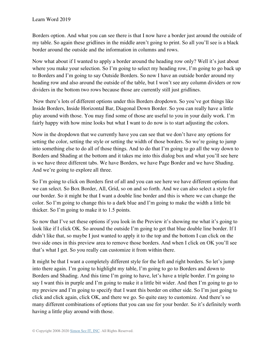Borders option. And what you can see there is that I now have a border just around the outside of my table. So again these gridlines in the middle aren't going to print. So all you'll see is a black border around the outside and the information in columns and rows.

Now what about if I wanted to apply a border around the heading row only? Well it's just about where you make your selection. So I'm going to select my heading row, I'm going to go back up to Borders and I'm going to say Outside Borders. So now I have an outside border around my heading row and also around the outside of the table, but I won't see any column dividers or row dividers in the bottom two rows because those are currently still just gridlines.

Now there's lots of different options under this Borders dropdown. So you've got things like Inside Borders, Inside Horizontal Bar, Diagonal Down Border. So you can really have a little play around with those. You may find some of those are useful to you in your daily work. I'm fairly happy with how mine looks but what I want to do now is to start adjusting the colors.

Now in the dropdown that we currently have you can see that we don't have any options for setting the color, setting the style or setting the width of those borders. So we're going to jump into something else to do all of those things. And to do that I'm going to go all the way down to Borders and Shading at the bottom and it takes me into this dialog box and what you'll see here is we have three different tabs. We have Borders, we have Page Border and we have Shading. And we're going to explore all three.

So I'm going to click on Borders first of all and you can see here we have different options that we can select. So Box Border, All, Grid, so on and so forth. And we can also select a style for our border. So it might be that I want a double line border and this is where we can change the color. So I'm going to change this to a dark blue and I'm going to make the width a little bit thicker. So I'm going to make it to 1.5 points.

So now that I've set these options if you look in the Preview it's showing me what it's going to look like if I click OK. So around the outside I'm going to get that blue double line border. If I didn't like that, so maybe I just wanted to apply it to the top and the bottom I can click on the two side ones in this preview area to remove those borders. And when I click on OK you'll see that's what I get. So you really can customize it from within there.

It might be that I want a completely different style for the left and right borders. So let's jump into there again. I'm going to highlight my table, I'm going to go to Borders and down to Borders and Shading. And this time I'm going to have, let's have a triple border. I'm going to say I want this in purple and I'm going to make it a little bit wider. And then I'm going to go to my preview and I'm going to specify that I want this border on either side. So I'm just going to click and click again, click OK, and there we go. So quite easy to customize. And there's so many different combinations of options that you can use for your border. So it's definitely worth having a little play around with those.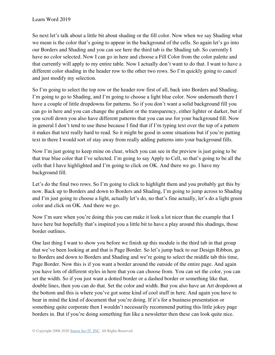So next let's talk about a little bit about shading or the fill color. Now when we say Shading what we mean is the color that's going to appear in the background of the cells. So again let's go into our Borders and Shading and you can see here the third tab is the Shading tab. So currently I have no color selected. Now I can go in here and choose a Fill Color from the color palette and that currently will apply to my entire table. Now I actually don't want to do that. I want to have a different color shading in the header row to the other two rows. So I'm quickly going to cancel and just modify my selection.

So I'm going to select the top row or the header row first of all, back into Borders and Shading, I'm going to go to Shading, and I'm going to choose a light blue color. Now underneath there I have a couple of little dropdowns for patterns. So if you don't want a solid background fill you can go in here and you can change the gradient or the transparency, either lighter or darker, but if you scroll down you also have different patterns that you can use for your background fill. Now in general I don't tend to use these because I find that if I'm typing text over the top of a pattern it makes that text really hard to read. So it might be good in some situations but if you're putting text in there I would sort of stay away from really adding patterns into your background fills.

Now I'm just going to keep mine on clear, which you can see in the preview is just going to be that true blue color that I've selected. I'm going to say Apply to Cell, so that's going to be all the cells that I have highlighted and I'm going to click on OK. And there we go. I have my background fill.

Let's do the final two rows. So I'm going to click to highlight them and you probably get this by now. Back up to Borders and down to Borders and Shading, I'm going to jump across to Shading and I'm just going to choose a light, actually let's do, no that's fine actually, let's do a light green color and click on OK. And there we go.

Now I'm sure when you're doing this you can make it look a lot nicer than the example that I have here but hopefully that's inspired you a little bit to have a play around this shadings, those border outlines.

One last thing I want to show you before we finish up this module is the third tab in that group that we've been looking at and that is Page Border. So let's jump back to our Design Ribbon, go to Borders and down to Borders and Shading and we're going to select the middle tab this time, Page Border. Now this is if you want a border around the outside of the entire page. And again you have lots of different styles in here that you can choose from. You can set the color, you can set the width. So if you just want a dotted border or a dashed border or something like that, double lines, then you can do that. Set the color and width. But you also have an Art dropdown at the bottom and this is where you've got some kind of cool stuff in here. And again you have to bear in mind the kind of document that you're doing. If it's for a business presentation or something quite corporate then I wouldn't necessarily recommend putting this little jokey page borders in. But if you're doing something fun like a newsletter then these can look quite nice.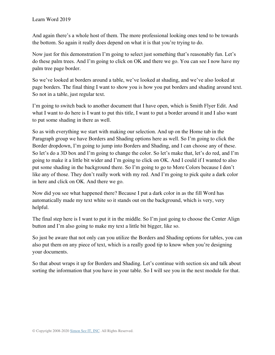And again there's a whole host of them. The more professional looking ones tend to be towards the bottom. So again it really does depend on what it is that you're trying to do.

Now just for this demonstration I'm going to select just something that's reasonably fun. Let's do these palm trees. And I'm going to click on OK and there we go. You can see I now have my palm tree page border.

So we've looked at borders around a table, we've looked at shading, and we've also looked at page borders. The final thing I want to show you is how you put borders and shading around text. So not in a table, just regular text.

I'm going to switch back to another document that I have open, which is Smith Flyer Edit. And what I want to do here is I want to put this title, I want to put a border around it and I also want to put some shading in there as well.

So as with everything we start with making our selection. And up on the Home tab in the Paragraph group we have Borders and Shading options here as well. So I'm going to click the Border dropdown, I'm going to jump into Borders and Shading, and I can choose any of these. So let's do a 3D box and I'm going to change the color. So let's make that, let's do red, and I'm going to make it a little bit wider and I'm going to click on OK. And I could if I wanted to also put some shading in the background there. So I'm going to go to More Colors because I don't like any of those. They don't really work with my red. And I'm going to pick quite a dark color in here and click on OK. And there we go.

Now did you see what happened there? Because I put a dark color in as the fill Word has automatically made my text white so it stands out on the background, which is very, very helpful.

The final step here is I want to put it in the middle. So I'm just going to choose the Center Align button and I'm also going to make my text a little bit bigger, like so.

So just be aware that not only can you utilize the Borders and Shading options for tables, you can also put them on any piece of text, which is a really good tip to know when you're designing your documents.

So that about wraps it up for Borders and Shading. Let's continue with section six and talk about sorting the information that you have in your table. So I will see you in the next module for that.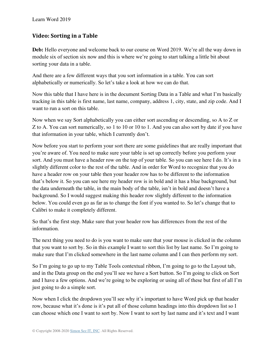# **Video: Sorting in a Table**

**Deb:** Hello everyone and welcome back to our course on Word 2019. We're all the way down in module six of section six now and this is where we're going to start talking a little bit about sorting your data in a table.

And there are a few different ways that you sort information in a table. You can sort alphabetically or numerically. So let's take a look at how we can do that.

Now this table that I have here is in the document Sorting Data in a Table and what I'm basically tracking in this table is first name, last name, company, address 1, city, state, and zip code. And I want to run a sort on this table.

Now when we say Sort alphabetically you can either sort ascending or descending, so A to Z or Z to A. You can sort numerically, so 1 to 10 or 10 to 1. And you can also sort by date if you have that information in your table, which I currently don't.

Now before you start to perform your sort there are some guidelines that are really important that you're aware of. You need to make sure your table is set up correctly before you perform your sort. And you must have a header row on the top of your table. So you can see here I do. It's in a slightly different color to the rest of the table. And in order for Word to recognize that you do have a header row on your table then your header row has to be different to the information that's below it. So you can see here my header row is in bold and it has a blue background, but the data underneath the table, in the main body of the table, isn't in bold and doesn't have a background. So I would suggest making this header row slightly different to the information below. You could even go as far as to change the font if you wanted to. So let's change that to Calibri to make it completely different.

So that's the first step. Make sure that your header row has differences from the rest of the information.

The next thing you need to do is you want to make sure that your mouse is clicked in the column that you want to sort by. So in this example I want to sort this list by last name. So I'm going to make sure that I'm clicked somewhere in the last name column and I can then perform my sort.

So I'm going to go up to my Table Tools contextual ribbon, I'm going to go to the Layout tab, and in the Data group on the end you'll see we have a Sort button. So I'm going to click on Sort and I have a few options. And we're going to be exploring or using all of these but first of all I'm just going to do a simple sort.

Now when I click the dropdown you'll see why it's important to have Word pick up that header row, because what it's done is it's put all of those column headings into this dropdown list so I can choose which one I want to sort by. Now I want to sort by last name and it's text and I want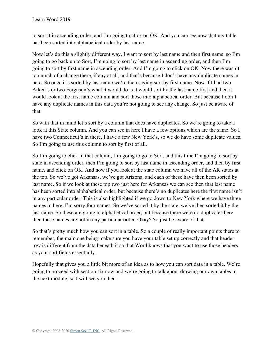to sort it in ascending order, and I'm going to click on OK. And you can see now that my table has been sorted into alphabetical order by last name.

Now let's do this a slightly different way. I want to sort by last name and then first name. so I'm going to go back up to Sort, I'm going to sort by last name in ascending order, and then I'm going to sort by first name in ascending order. And I'm going to click on OK. Now there wasn't too much of a change there, if any at all, and that's because I don't have any duplicate names in here. So once it's sorted by last name we're then saying sort by first name. Now if I had two Arken's or two Ferguson's what it would do is it would sort by the last name first and then it would look at the first name column and sort those into alphabetical order. But because I don't have any duplicate names in this data you're not going to see any change. So just be aware of that.

So with that in mind let's sort by a column that does have duplicates. So we're going to take a look at this State column. And you can see in here I have a few options which are the same. So I have two Connecticut's in there, I have a few New York's, so we do have some duplicate values. So I'm going to use this column to sort by first of all.

So I'm going to click in that column, I'm going to go to Sort, and this time I'm going to sort by state in ascending order, then I'm going to sort by last name in ascending order, and then by first name, and click on OK. And now if you look at the state column we have all of the AR states at the top. So we've got Arkansas, we've got Arizona, and each of these have then been sorted by last name. So if we look at these top two just here for Arkansas we can see then that last name has been sorted into alphabetical order, but because there's no duplicates here the first name isn't in any particular order. This is also highlighted if we go down to New York where we have three names in here, I'm sorry four names. So we've sorted it by the state, we've then sorted it by the last name. So these are going in alphabetical order, but because there were no duplicates here then these names are not in any particular order. Okay? So just be aware of that.

So that's pretty much how you can sort in a table. So a couple of really important points there to remember, the main one being make sure you have your table set up correctly and that header row is different from the data beneath it so that Word knows that you want to use those headers as your sort fields essentially.

Hopefully that gives you a little bit more of an idea as to how you can sort data in a table. We're going to proceed with section six now and we're going to talk about drawing our own tables in the next module, so I will see you then.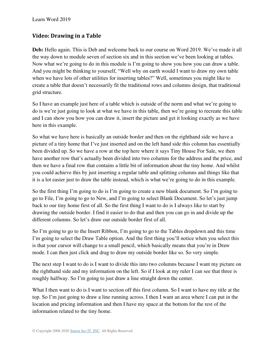# **Video: Drawing in a Table**

**Deb:** Hello again. This is Deb and welcome back to our course on Word 2019. We've made it all the way down to module seven of section six and in this section we've been looking at tables. Now what we're going to do in this module is I'm going to show you how you can draw a table. And you might be thinking to yourself, "Well why on earth would I want to draw my own table when we have lots of other utilities for inserting tables?" Well, sometimes you might like to create a table that doesn't necessarily fit the traditional rows and columns design, that traditional grid structure.

So I have an example just here of a table which is outside of the norm and what we're going to do is we're just going to look at what we have in this table, then we're going to recreate this table and I can show you how you can draw it, insert the picture and get it looking exactly as we have here in this example.

So what we have here is basically an outside border and then on the righthand side we have a picture of a tiny home that I've just inserted and on the left hand side this column has essentially been divided up. So we have a row at the top here where it says Tiny House For Sale, we then have another row that's actually been divided into two columns for the address and the price, and then we have a final row that contains a little bit of information about the tiny home. And whilst you could achieve this by just inserting a regular table and splitting columns and things like that it is a lot easier just to draw the table instead, which is what we're going to do in this example.

So the first thing I'm going to do is I'm going to create a new blank document. So I'm going to go to File, I'm going to go to New, and I'm going to select Blank Document. So let's just jump back to our tiny home first of all. So the first thing I want to do is I always like to start by drawing the outside border. I find it easier to do that and then you can go in and divide up the different columns. So let's draw our outside border first of all.

So I'm going to go to the Insert Ribbon, I'm going to go to the Tables dropdown and this time I'm going to select the Draw Table option. And the first thing you'll notice when you select this is that your cursor will change to a small pencil, which basically means that you're in Draw mode. I can then just click and drag to draw my outside border like so. So very simple.

The next step I want to do is I want to divide this into two columns because I want my picture on the righthand side and my information on the left. So if I look at my ruler I can see that three is roughly halfway. So I'm going to just draw a line straight down the center.

What I then want to do is I want to section off this first column. So I want to have my title at the top. So I'm just going to draw a line running across. I then I want an area where I can put in the location and pricing information and then I have my space at the bottom for the rest of the information related to the tiny home.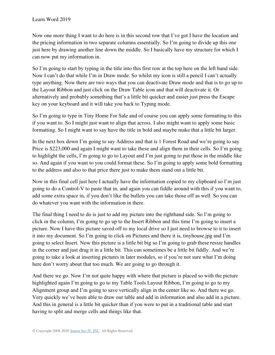Now one more thing I want to do here is in this second row that I've got I have the location and the pricing information in two separate columns essentially. So I'm going to divide up this one just here by drawing another line down the middle. So I basically have my structure for which I can now put my information in.

So I'm going to start by typing in the title into this first row at the top here on the left hand side. Now I can't do that while I'm in Draw mode. So whilst my icon is still a pencil I can't actually type anything. Now there are two ways that you can deactivate Draw mode and that is to go up to the Layout Ribbon and just click on the Draw Table icon and that will deactivate it. Or alternatively and probably something that's a little bit quicker and easier just press the Escape key on your keyboard and it will take you back to Typing mode.

So I'm going to type in Tiny Home For Sale and of course you can apply some formatting to this if you want to. So I might just want to align that across. I also might want to apply some basic formatting. So I might want to say have the title in bold and maybe make that a little bit larger.

In the next box down I'm going to say Address and that is 1 Forest Road and we're going to say Price is \$223,000 and again I might want to take these and align them in their cells. So I'm going to highlight the cells, I'm going to go to Layout and I'm just going to put those in the middle like so. And again if you want to you could format these. So I'm going to apply some bold formatting to the address and also to that price there just to make them stand out a little bit.

Now in this final cell just here I actually have the information copied to my clipboard so I'm just going to do a Control-V to paste that in, and again you can fiddle around with this if you want to, add some extra space in, if you don't like the bullets you can take those off as well. So you can do whatever you want with the information in there.

The final thing I need to do is just to add my picture into the righthand side. So I'm going to click in the column, I'm going to go up to the Insert Ribbon and this time I'm going to insert a picture. Now I have this picture saved off to my local drive so I just need to browse to it to insert it into my document. So I'm going to click on Pictures and there it is, tinyhouse.jpg and I'm going to select Insert. Now this picture is a little bit big so I'm going to grab these resize handles in the corner and just drag it in a little bit. This can sometimes be a little bit fiddly. And we're going to take a look at inserting pictures in later modules, so if you're not sure what I'm doing here don't worry about that too much. We are going to go through it.

And there we go. Now I'm not quite happy with where that picture is placed so with the picture highlighted again I'm going to go to my Table Tools Layout Ribbon, I'm going to go to my Alignment group and I'm going to save vertically align in the center like so. And there we go. Very quickly we've been able to draw our table and add in information and also add in a picture. And this in general is a little bit quicker than if you were to put in a traditional table and start having to split and merge cells and things like that.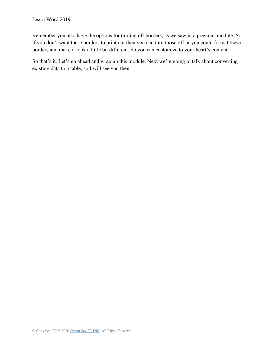Remember you also have the options for turning off borders, as we saw in a previous module. So if you don't want these borders to print out then you can turn those off or you could format these borders and make it look a little bit different. So you can customize to your heart's content.

So that's it. Let's go ahead and wrap up this module. Next we're going to talk about converting existing data to a table, so I will see you then.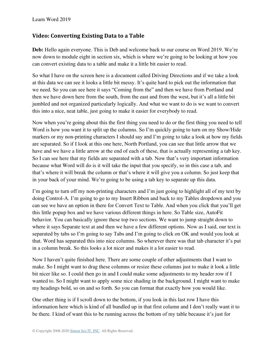## **Video: Converting Existing Data to a Table**

**Deb:** Hello again everyone. This is Deb and welcome back to our course on Word 2019. We're now down to module eight in section six, which is where we're going to be looking at how you can convert existing data to a table and make it a little bit easier to read.

So what I have on the screen here is a document called Driving Directions and if we take a look at this data we can see it looks a little bit messy. It's quite hard to pick out the information that we need. So you can see here it says "Coming from the" and then we have from Portland and then we have down here from the south, from the east and from the west, but it's all a little bit jumbled and not organized particularly logically. And what we want to do is we want to convert this into a nice, neat table, just going to make it easier for everybody to read.

Now when you're going about this the first thing you need to do or the first thing you need to tell Word is how you want it to split up the columns. So I'm quickly going to turn on my Show/Hide markers or my non-printing characters I should say and I'm going to take a look at how my fields are separated. So if I look at this one here, North Portland, you can see that little arrow that we have and we have a little arrow at the end of each of these, that is actually representing a tab key. So I can see here that my fields are separated with a tab. Now that's very important information because what Word will do is it will take the input that you specify, so in this case a tab, and that's where it will break the column or that's where it will give you a column. So just keep that in your back of your mind. We're going to be using a tab key to separate up this data.

I'm going to turn off my non-printing characters and I'm just going to highlight all of my text by doing Control-A. I'm going to go to my Insert Ribbon and back to my Tables dropdown and you can see we have an option in there for Convert Text to Table. And when you click that you'll get this little popup box and we have various different things in here. So Table size, AutoFit behavior. You can basically ignore these top two sections. We want to jump straight down to where it says Separate text at and then we have a few different options. Now as I said, our text is separated by tabs so I'm going to say Tabs and I'm going to click on OK and would you look at that. Word has separated this into nice columns. So wherever there was that tab character it's put in a column break. So this looks a lot nicer and makes it a lot easier to read.

Now I haven't quite finished here. There are some couple of other adjustments that I want to make. So I might want to drag these columns or resize these columns just to make it look a little bit nicer like so. I could then go in and I could make some adjustments to my header row if I wanted to. So I might want to apply some nice shading in the background. I might want to make my headings bold, so on and so forth. So you can format that exactly how you would like.

One other thing is if I scroll down to the bottom, if you look in this last row I have this information here which is kind of all bundled up in that first column and I don't really want it to be there. I kind of want this to be running across the bottom of my table because it's just for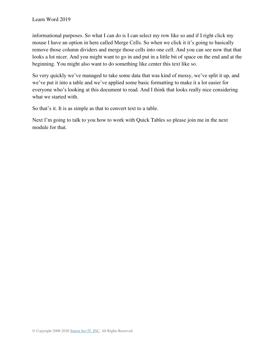informational purposes. So what I can do is I can select my row like so and if I right click my mouse I have an option in here called Merge Cells. So when we click it it's going to basically remove those column dividers and merge those cells into one cell. And you can see now that that looks a lot nicer. And you might want to go in and put in a little bit of space on the end and at the beginning. You might also want to do something like center this text like so.

So very quickly we've managed to take some data that was kind of messy, we've split it up, and we've put it into a table and we've applied some basic formatting to make it a lot easier for everyone who's looking at this document to read. And I think that looks really nice considering what we started with.

So that's it. It is as simple as that to convert text to a table.

Next I'm going to talk to you how to work with Quick Tables so please join me in the next module for that.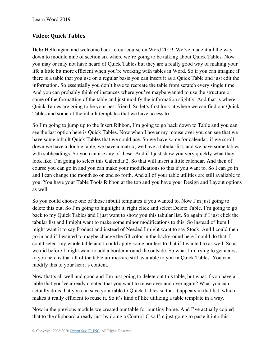# **Video: Quick Tables**

**Deb:** Hello again and welcome back to our course on Word 2019. We've made it all the way down to module nine of section six where we're going to be talking about Quick Tables. Now you may or may not have heard of Quick Tables but they are a really good way of making your life a little bit more efficient when you're working with tables in Word. So if you can imagine if there is a table that you use on a regular basis you can insert it as a Quick Table and just edit the information. So essentially you don't have to recreate the table from scratch every single time. And you can probably think of instances where you've maybe wanted to use the structure or some of the formatting of the table and just modify the information slightly. And that is where Quick Tables are going to be your best friend. So let's first look at where we can find our Quick Tables and some of the inbuilt templates that we have access to.

So I'm going to jump up to the Insert Ribbon, I'm going to go back down to Table and you can see the last option here is Quick Tables. Now when I hover my mouse over you can see that we have some inbuilt Quick Tables that we could use. So we have some for calendar, if we scroll down we have a double table, we have a matrix, we have a tabular list, and we have some tables with subheadings. So you can use any of these. And if I just show you very quickly what they look like, I'm going to select this Calendar 2. So that will insert a little calendar. And then of course you can go in and you can make your modifications to this if you want to. So I can go in and I can change the month so on and so forth. And all of your table utilities are still available to you. You have your Table Tools Ribbon at the top and you have your Design and Layout options as well.

So you could choose one of those inbuilt templates if you wanted to. Now I'm just going to delete this out. So I'm going to highlight it, right click and select Delete Table. I'm going to go back to my Quick Tables and I just want to show you this tabular list. So again if I just click the tabular list and I might want to make some minor modifications to this. So instead of Item I might want it to say Product and instead of Needed I might want to say Stock. And I could then go in and if I wanted to maybe change the fill color in the background here I could do that. I could select my whole table and I could apply some borders to that if I wanted to as well. So as we did before I might want to add a border around the outside. So what I'm trying to get across to you here is that all of the table utilities are still available to you in Quick Tables. You can modify this to your heart's content.

Now that's all well and good and I'm just going to delete out this table, but what if you have a table that you've already created that you want to reuse over and over again? What you can actually do is that you can save your table to Quick Tables so that it appears in that list, which makes it really efficient to reuse it. So it's kind of like utilizing a table template in a way.

Now in the previous module we created our table for our tiny home. And I've actually copied that to the clipboard already just by doing a Control-C so I'm just going to paste it into this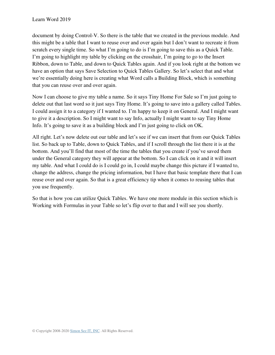document by doing Control-V. So there is the table that we created in the previous module. And this might be a table that I want to reuse over and over again but I don't want to recreate it from scratch every single time. So what I'm going to do is I'm going to save this as a Quick Table. I'm going to highlight my table by clicking on the crosshair, I'm going to go to the Insert Ribbon, down to Table, and down to Quick Tables again. And if you look right at the bottom we have an option that says Save Selection to Quick Tables Gallery. So let's select that and what we're essentially doing here is creating what Word calls a Building Block, which is something that you can reuse over and over again.

Now I can choose to give my table a name. So it says Tiny Home For Sale so I'm just going to delete out that last word so it just says Tiny Home. It's going to save into a gallery called Tables. I could assign it to a category if I wanted to. I'm happy to keep it on General. And I might want to give it a description. So I might want to say Info, actually I might want to say Tiny Home Info. It's going to save it as a building block and I'm just going to click on OK.

All right. Let's now delete out our table and let's see if we can insert that from our Quick Tables list. So back up to Table, down to Quick Tables, and if I scroll through the list there it is at the bottom. And you'll find that most of the time the tables that you create if you've saved them under the General category they will appear at the bottom. So I can click on it and it will insert my table. And what I could do is I could go in, I could maybe change this picture if I wanted to, change the address, change the pricing information, but I have that basic template there that I can reuse over and over again. So that is a great efficiency tip when it comes to reusing tables that you use frequently.

So that is how you can utilize Quick Tables. We have one more module in this section which is Working with Formulas in your Table so let's flip over to that and I will see you shortly.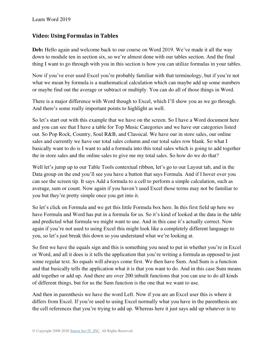#### **Video: Using Formulas in Tables**

**Deb:** Hello again and welcome back to our course on Word 2019. We've made it all the way down to module ten in section six, so we're almost done with our tables section. And the final thing I want to go through with you in this section is how you can utilize formulas in your tables.

Now if you've ever used Excel you're probably familiar with that terminology, but if you're not what we mean by formula is a mathematical calculation which can maybe add up some numbers or maybe find out the average or subtract or multiply. You can do all of those things in Word.

There is a major difference with Word though to Excel, which I'll show you as we go through. And there's some really important points to highlight as well.

So let's start out with this example that we have on the screen. So I have a Word document here and you can see that I have a table for Top Music Categories and we have our categories listed out. So Pop Rock, Country, Soul R&B, and Classical. We have our in store sales, our online sales and currently we have our total sales column and our total sales row blank. So what I basically want to do is I want to add a formula into this total sales which is going to add together the in store sales and the online sales to give me my total sales. So how do we do that?

Well let's jump up to our Table Tools contextual ribbon, let's go to our Layout tab, and in the Data group on the end you'll see you have a button that says Formula. And if I hover over you can see the screen tip. It says Add a formula to a cell to perform a simple calculation, such as average, sum or count. Now again if you haven't used Excel those terms may not be familiar to you but they're pretty simple once you get into it.

So let's click on Formula and we get this little Formula box here. In this first field up here we have Formula and Word has put in a formula for us. So it's kind of looked at the data in the table and predicted what formula we might want to use. And in this case it's actually correct. Now again if you're not used to using Excel this might look like a completely different language to you, so let's just break this down so you understand what we're looking at.

So first we have the equals sign and this is something you need to put in whether you're in Excel or Word, and all it does is it tells the application that you're writing a formula as opposed to just some regular text. So equals will always come first. We then have Sum. And Sum is a function and that basically tells the application what it is that you want to do. And in this case Sum means add together or add up. And there are over 200 inbuilt functions that you can use to do all kinds of different things, but for us the Sum function is the one that we want to use.

And then in parenthesis we have the word Left. Now if you are an Excel user this is where it differs from Excel. If you're used to using Excel normally what you have in the parenthesis are the cell references that you're trying to add up. Whereas here it just says add up whatever is to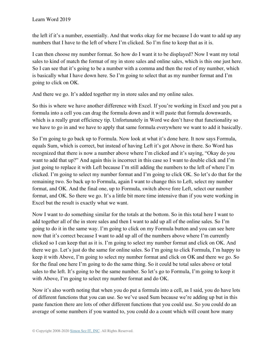the left if it's a number, essentially. And that works okay for me because I do want to add up any numbers that I have to the left of where I'm clicked. So I'm fine to keep that as it is.

I can then choose my number format. So how do I want it to be displayed? Now I want my total sales to kind of match the format of my in store sales and online sales, which is this one just here. So I can see that it's going to be a number with a comma and then the rest of my number, which is basically what I have down here. So I'm going to select that as my number format and I'm going to click on OK.

And there we go. It's added together my in store sales and my online sales.

So this is where we have another difference with Excel. If you're working in Excel and you put a formula into a cell you can drag the formula down and it will paste that formula downwards, which is a really great efficiency tip. Unfortunately in Word we don't have that functionality so we have to go in and we have to apply that same formula everywhere we want to add it basically.

So I'm going to go back up to Formula. Now look at what it's done here. It now says Formula, equals Sum, which is correct, but instead of having Left it's got Above in there. So Word has recognized that there is now a number above where I'm clicked and it's saying, "Okay do you want to add that up?" And again this is incorrect in this case so I want to double click and I'm just going to replace it with Left because I'm still adding the numbers to the left of where I'm clicked. I'm going to select my number format and I'm going to click OK. So let's do that for the remaining two. So back up to Formula, again I want to change this to Left, select my number format, and OK. And the final one, up to Formula, switch above fore Left, select our number format, and OK. So there we go. It's a little bit more time intensive than if you were working in Excel but the result is exactly what we want.

Now I want to do something similar for the totals at the bottom. So in this total here I want to add together all of the in store sales and then I want to add up all of the online sales. So I'm going to do it in the same way. I'm going to click on my Formula button and you can see here now that it's correct because I want to add up all of the numbers above where I'm currently clicked so I can keep that as it is. I'm going to select my number format and click on OK. And there we go. Let's just do the same for online sales. So I'm going to click Formula, I'm happy to keep it with Above, I'm going to select my number format and click on OK and there we go. So for the final one here I'm going to do the same thing. So it could be total sales above or total sales to the left. It's going to be the same number. So let's go to Formula, I'm going to keep it with Above, I'm going to select my number format and do OK.

Now it's also worth noting that when you do put a formula into a cell, as I said, you do have lots of different functions that you can use. So we've used Sum because we're adding up but in this paste function there are lots of other different functions that you could use. So you could do an average of some numbers if you wanted to, you could do a count which will count how many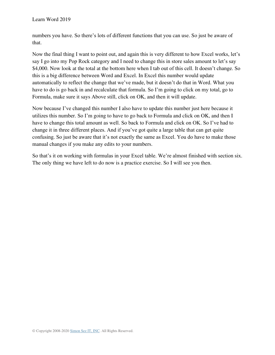numbers you have. So there's lots of different functions that you can use. So just be aware of that.

Now the final thing I want to point out, and again this is very different to how Excel works, let's say I go into my Pop Rock category and I need to change this in store sales amount to let's say \$4,000. Now look at the total at the bottom here when I tab out of this cell. It doesn't change. So this is a big difference between Word and Excel. In Excel this number would update automatically to reflect the change that we've made, but it doesn't do that in Word. What you have to do is go back in and recalculate that formula. So I'm going to click on my total, go to Formula, make sure it says Above still, click on OK, and then it will update.

Now because I've changed this number I also have to update this number just here because it utilizes this number. So I'm going to have to go back to Formula and click on OK, and then I have to change this total amount as well. So back to Formula and click on OK. So I've had to change it in three different places. And if you've got quite a large table that can get quite confusing. So just be aware that it's not exactly the same as Excel. You do have to make those manual changes if you make any edits to your numbers.

So that's it on working with formulas in your Excel table. We're almost finished with section six. The only thing we have left to do now is a practice exercise. So I will see you then.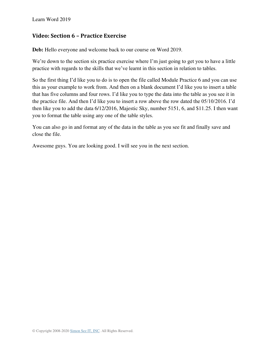### **Video: Section 6 – Practice Exercise**

**Deb:** Hello everyone and welcome back to our course on Word 2019.

We're down to the section six practice exercise where I'm just going to get you to have a little practice with regards to the skills that we've learnt in this section in relation to tables.

So the first thing I'd like you to do is to open the file called Module Practice 6 and you can use this as your example to work from. And then on a blank document I'd like you to insert a table that has five columns and four rows. I'd like you to type the data into the table as you see it in the practice file. And then I'd like you to insert a row above the row dated the 05/10/2016. I'd then like you to add the data 6/12/2016, Majestic Sky, number 5151, 6, and \$11.25. I then want you to format the table using any one of the table styles.

You can also go in and format any of the data in the table as you see fit and finally save and close the file.

Awesome guys. You are looking good. I will see you in the next section.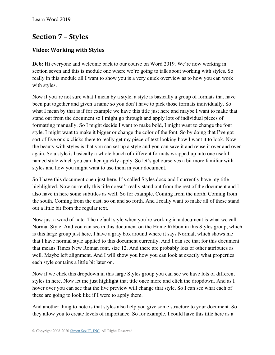# **Section 7 – Styles**

# **Video: Working with Styles**

**Deb:** Hi everyone and welcome back to our course on Word 2019. We're now working in section seven and this is module one where we're going to talk about working with styles. So really in this module all I want to show you is a very quick overview as to how you can work with styles.

Now if you're not sure what I mean by a style, a style is basically a group of formats that have been put together and given a name so you don't have to pick those formats individually. So what I mean by that is if for example we have this title just here and maybe I want to make that stand out from the document so I might go through and apply lots of individual pieces of formatting manually. So I might decide I want to make bold, I might want to change the font style, I might want to make it bigger or change the color of the font. So by doing that I've got sort of five or six clicks there to really get my piece of text looking how I want it to look. Now the beauty with styles is that you can set up a style and you can save it and reuse it over and over again. So a style is basically a whole bunch of different formats wrapped up into one useful named style which you can then quickly apply. So let's get ourselves a bit more familiar with styles and how you might want to use them in your document.

So I have this document open just here. It's called Styles.docx and I currently have my title highlighted. Now currently this title doesn't really stand out from the rest of the document and I also have in here some subtitles as well. So for example, Coming from the north, Coming from the south, Coming from the east, so on and so forth. And I really want to make all of these stand out a little bit from the regular text.

Now just a word of note. The default style when you're working in a document is what we call Normal Style. And you can see in this document on the Home Ribbon in this Styles group, which is this large group just here, I have a gray box around where it says Normal, which shows me that I have normal style applied to this document currently. And I can see that for this document that means Times New Roman font, size 12. And there are probably lots of other attributes as well. Maybe left alignment. And I will show you how you can look at exactly what properties each style contains a little bit later on.

Now if we click this dropdown in this large Styles group you can see we have lots of different styles in here. Now let me just highlight that title once more and click the dropdown. And as I hover over you can see that the live preview will change that style. So I can see what each of these are going to look like if I were to apply them.

And another thing to note is that styles also help you give some structure to your document. So they allow you to create levels of importance. So for example, I could have this title here as a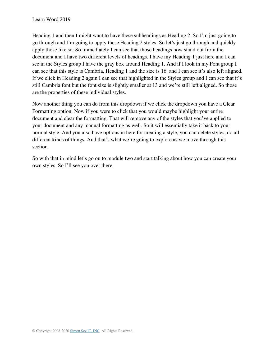Heading 1 and then I might want to have these subheadings as Heading 2. So I'm just going to go through and I'm going to apply these Heading 2 styles. So let's just go through and quickly apply those like so. So immediately I can see that those headings now stand out from the document and I have two different levels of headings. I have my Heading 1 just here and I can see in the Styles group I have the gray box around Heading 1. And if I look in my Font group I can see that this style is Cambria, Heading 1 and the size is 16, and I can see it's also left aligned. If we click in Heading 2 again I can see that highlighted in the Styles group and I can see that it's still Cambria font but the font size is slightly smaller at 13 and we're still left aligned. So those are the properties of these individual styles.

Now another thing you can do from this dropdown if we click the dropdown you have a Clear Formatting option. Now if you were to click that you would maybe highlight your entire document and clear the formatting. That will remove any of the styles that you've applied to your document and any manual formatting as well. So it will essentially take it back to your normal style. And you also have options in here for creating a style, you can delete styles, do all different kinds of things. And that's what we're going to explore as we move through this section.

So with that in mind let's go on to module two and start talking about how you can create your own styles. So I'll see you over there.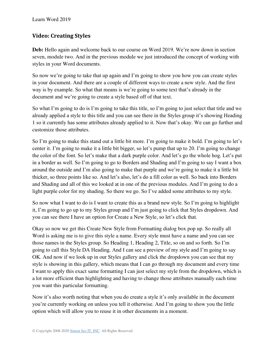# **Video: Creating Styles**

**Deb:** Hello again and welcome back to our course on Word 2019. We're now down in section seven, module two. And in the previous module we just introduced the concept of working with styles in your Word documents.

So now we're going to take that up again and I'm going to show you how you can create styles in your document. And there are a couple of different ways to create a new style. And the first way is by example. So what that means is we're going to some text that's already in the document and we're going to create a style based off of that text.

So what I'm going to do is I'm going to take this title, so I'm going to just select that title and we already applied a style to this title and you can see there in the Styles group it's showing Heading 1 so it currently has some attributes already applied to it. Now that's okay. We can go further and customize those attributes.

So I'm going to make this stand out a little bit more. I'm going to make it bold. I'm going to let's center it. I'm going to make it a little bit bigger, so let's pump that up to 20. I'm going to change the color of the font. So let's make that a dark purple color. And let's go the whole hog. Let's put in a border as well. So I'm going to go to Borders and Shading and I'm going to say I want a box around the outside and I'm also going to make that purple and we're going to make it a little bit thicker, so three points like so. And let's also, let's do a fill color as well. So back into Borders and Shading and all of this we looked at in one of the previous modules. And I'm going to do a light purple color for my shading. So there we go. So I've added some attributes to my style.

So now what I want to do is I want to create this as a brand new style. So I'm going to highlight it, I'm going to go up to my Styles group and I'm just going to click that Styles dropdown. And you can see there I have an option for Create a New Style, so let's click that.

Okay so now we get this Create New Style from Formatting dialog box pop up. So really all Word is asking me is to give this style a name. Every style must have a name and you can see those names in the Styles group. So Heading 1, Heading 2, Title, so on and so forth. So I'm going to call this Style DA Heading. And I can see a preview of my style and I'm going to say OK. And now if we look up in our Styles gallery and click the dropdown you can see that my style is showing in this gallery, which means that I can go through my document and every time I want to apply this exact same formatting I can just select my style from the dropdown, which is a lot more efficient than highlighting and having to change those attributes manually each time you want this particular formatting.

Now it's also worth noting that when you do create a style it's only available in the document you're currently working on unless you tell it otherwise. And I'm going to show you the little option which will allow you to reuse it in other documents in a moment.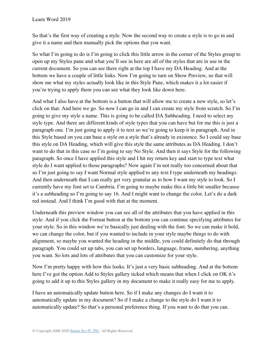So that's the first way of creating a style. Now the second way to create a style is to go in and give it a name and then manually pick the options that you want.

So what I'm going to do is I'm going to click this little arrow in the corner of the Styles group to open up my Styles pane and what you'll see in here are all of the styles that are in use in the current document. So you can see there right at the top I have my DA Heading. And at the bottom we have a couple of little links. Now I'm going to turn on Show Preview, so that will show me what my styles actually look like in this Style Pane, which makes it a lot easier if you're trying to apply them you can see what they look like down here.

And what I also have at the bottom is a button that will allow me to create a new style, so let's click on that. And here we go. So now I can go in and I can create my style from scratch. So I'm going to give my style a name. This is going to be called DA Subheading. I need to select my style type. And there are different kinds of style types that you can have but for me this is just a paragraph one. I'm just going to apply it to text so we're going to keep it in paragraph. And in this Style based on you can base a style on a style that's already in existence. So I could say base this style on DA Heading, which will give this style the same attributes as DA Heading. I don't want to do that in this case so I'm going to say No Style. And then it says Style for the following paragraph. So once I have applied this style and I hit my return key and start to type text what style do I want applied to those paragraphs? Now again I'm not really too concerned about that so I'm just going to say I want Normal style applied to any text I type underneath my headings. And then underneath that I can really get very granular as to how I want my style to look. So I currently have my font set to Cambria. I'm going to maybe make this a little bit smaller because it's a subheading so I'm going to say 16. And I might want to change the color. Let's do a dark red instead. And I think I'm good with that at the moment.

Underneath this preview window you can see all of the attributes that you have applied in this style. And if you click the Format button at the bottom you can continue specifying attributes for your style. So in this window we're basically just dealing with the font. So we can make it bold, we can change the color, but if you wanted to include in your style maybe things to do with alignment, so maybe you wanted the heading in the middle, you could definitely do that through paragraph. You could set up tabs, you can set up borders, language, frame, numbering, anything you want. So lots and lots of attributes that you can customize for your style.

Now I'm pretty happy with how this looks. It's just a very basic subheading. And at the bottom here I've got the option Add to Styles gallery ticked which means that when I click on OK it's going to add it up to this Styles gallery in my document to make it really easy for me to apply.

I have an automatically update button here. So if I make any changes do I want it to automatically update in my document? So if I make a change to the style do I want it to automatically update? So that's a personal preference thing. If you want to do that you can.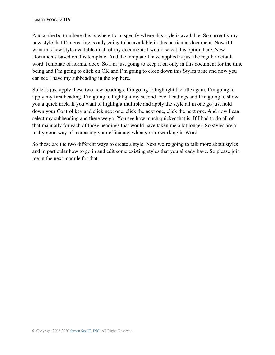And at the bottom here this is where I can specify where this style is available. So currently my new style that I'm creating is only going to be available in this particular document. Now if I want this new style available in all of my documents I would select this option here, New Documents based on this template. And the template I have applied is just the regular default word Template of normal.docx. So I'm just going to keep it on only in this document for the time being and I'm going to click on OK and I'm going to close down this Styles pane and now you can see I have my subheading in the top here.

So let's just apply these two new headings. I'm going to highlight the title again, I'm going to apply my first heading. I'm going to highlight my second level headings and I'm going to show you a quick trick. If you want to highlight multiple and apply the style all in one go just hold down your Control key and click next one, click the next one, click the next one. And now I can select my subheading and there we go. You see how much quicker that is. If I had to do all of that manually for each of those headings that would have taken me a lot longer. So styles are a really good way of increasing your efficiency when you're working in Word.

So those are the two different ways to create a style. Next we're going to talk more about styles and in particular how to go in and edit some existing styles that you already have. So please join me in the next module for that.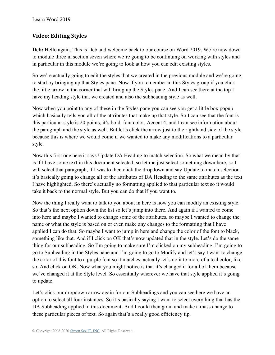# **Video: Editing Styles**

**Deb:** Hello again. This is Deb and welcome back to our course on Word 2019. We're now down to module three in section seven where we're going to be continuing on working with styles and in particular in this module we're going to look at how you can edit existing styles.

So we're actually going to edit the styles that we created in the previous module and we're going to start by bringing up that Styles pane. Now if you remember in this Styles group if you click the little arrow in the corner that will bring up the Styles pane. And I can see there at the top I have my heading style that we created and also the subheading style as well.

Now when you point to any of these in the Styles pane you can see you get a little box popup which basically tells you all of the attributes that make up that style. So I can see that the font is this particular style is 20 points, it's bold, font color, Accent 4, and I can see information about the paragraph and the style as well. But let's click the arrow just to the righthand side of the style because this is where we would come if we wanted to make any modifications to a particular style.

Now this first one here it says Update DA Heading to match selection. So what we mean by that is if I have some text in this document selected, so let me just select something down here, so I will select that paragraph, if I was to then click the dropdown and say Update to match selection it's basically going to change all of the attributes of DA Heading to the same attributes as the text I have highlighted. So there's actually no formatting applied to that particular text so it would take it back to the normal style. But you can do that if you want to.

Now the thing I really want to talk to you about in here is how you can modify an existing style. So that's the next option down the list so let's jump into there. And again if I wanted to come into here and maybe I wanted to change some of the attributes, so maybe I wanted to change the name or what the style is based on or even make any changes to the formatting that I have applied I can do that. So maybe I want to jump in here and change the color of the font to black, something like that. And if I click on OK that's now updated that in the style. Let's do the same thing for our subheading. So I'm going to make sure I'm clicked on my subheading. I'm going to go to Subheading in the Styles pane and I'm going to go to Modify and let's say I want to change the color of this font to a purple font so it matches, actually let's do it to more of a teal color, like so. And click on OK. Now what you might notice is that it's changed it for all of them because we've changed it at the Style level. So essentially wherever we have that style applied it's going to update.

Let's click our dropdown arrow again for our Subheadings and you can see here we have an option to select all four instances. So it's basically saying I want to select everything that has the DA Subheading applied in this document. And I could then go in and make a mass change to these particular pieces of text. So again that's a really good efficiency tip.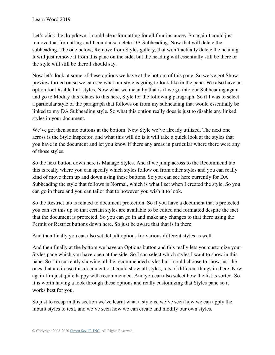Let's click the dropdown. I could clear formatting for all four instances. So again I could just remove that formatting and I could also delete DA Subheading. Now that will delete the subheading. The one below, Remove from Styles gallery, that won't actually delete the heading. It will just remove it from this pane on the side, but the heading will essentially still be there or the style will still be there I should say.

Now let's look at some of these options we have at the bottom of this pane. So we've got Show preview turned on so we can see what our style is going to look like in the pane. We also have an option for Disable link styles. Now what we mean by that is if we go into our Subheading again and go to Modify this relates to this here, Style for the following paragraph. So if I was to select a particular style of the paragraph that follows on from my subheading that would essentially be linked to my DA Subheading style. So what this option really does is just to disable any linked styles in your document.

We've got then some buttons at the bottom. New Style we've already utilized. The next one across is the Style Inspector, and what this will do is it will take a quick look at the styles that you have in the document and let you know if there any areas in particular where there were any of those styles.

So the next button down here is Manage Styles. And if we jump across to the Recommend tab this is really where you can specify which styles follow on from other styles and you can really kind of move them up and down using these buttons. So you can see here currently for DA Subheading the style that follows is Normal, which is what I set when I created the style. So you can go in there and you can tailor that to however you wish it to look.

So the Restrict tab is related to document protection. So if you have a document that's protected you can set this up so that certain styles are available to be edited and formatted despite the fact that the document is protected. So you can go in and make any changes to that there using the Permit or Restrict buttons down here. So just be aware that that is in there.

And then finally you can also set default options for various different styles as well.

And then finally at the bottom we have an Options button and this really lets you customize your Styles pane which you have open at the side. So I can select which styles I want to show in this pane. So I'm currently showing all the recommended styles but I could choose to show just the ones that are in use this document or I could show all styles, lots of different things in there. Now again I'm just quite happy with recommended. And you can also select how the list is sorted. So it is worth having a look through these options and really customizing that Styles pane so it works best for you.

So just to recap in this section we've learnt what a style is, we've seen how we can apply the inbuilt styles to text, and we've seen how we can create and modify our own styles.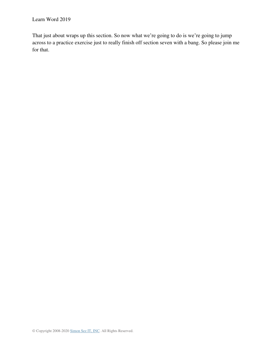That just about wraps up this section. So now what we're going to do is we're going to jump across to a practice exercise just to really finish off section seven with a bang. So please join me for that.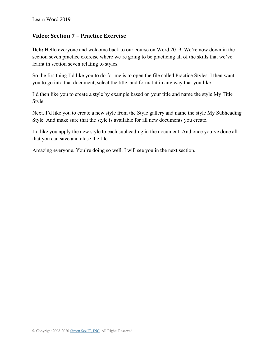## **Video: Section 7 – Practice Exercise**

**Deb:** Hello everyone and welcome back to our course on Word 2019. We're now down in the section seven practice exercise where we're going to be practicing all of the skills that we've learnt in section seven relating to styles.

So the firs thing I'd like you to do for me is to open the file called Practice Styles. I then want you to go into that document, select the title, and format it in any way that you like.

I'd then like you to create a style by example based on your title and name the style My Title Style.

Next, I'd like you to create a new style from the Style gallery and name the style My Subheading Style. And make sure that the style is available for all new documents you create.

I'd like you apply the new style to each subheading in the document. And once you've done all that you can save and close the file.

Amazing everyone. You're doing so well. I will see you in the next section.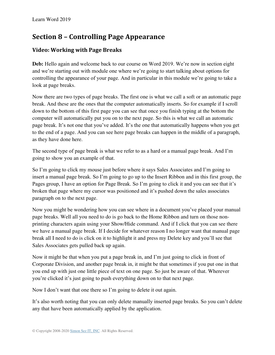# **Section 8 – Controlling Page Appearance**

# **Video: Working with Page Breaks**

**Deb:** Hello again and welcome back to our course on Word 2019. We're now in section eight and we're starting out with module one where we're going to start talking about options for controlling the appearance of your page. And in particular in this module we're going to take a look at page breaks.

Now there are two types of page breaks. The first one is what we call a soft or an automatic page break. And these are the ones that the computer automatically inserts. So for example if I scroll down to the bottom of this first page you can see that once you finish typing at the bottom the computer will automatically put you on to the next page. So this is what we call an automatic page break. It's not one that you've added. It's the one that automatically happens when you get to the end of a page. And you can see here page breaks can happen in the middle of a paragraph, as they have done here.

The second type of page break is what we refer to as a hard or a manual page break. And I'm going to show you an example of that.

So I'm going to click my mouse just before where it says Sales Associates and I'm going to insert a manual page break. So I'm going to go up to the Insert Ribbon and in this first group, the Pages group, I have an option for Page Break. So I'm going to click it and you can see that it's broken that page where my cursor was positioned and it's pushed down the sales associates paragraph on to the next page.

Now you might be wondering how you can see where in a document you've placed your manual page breaks. Well all you need to do is go back to the Home Ribbon and turn on those nonprinting characters again using your Show/Hide command. And if I click that you can see there we have a manual page break. If I decide for whatever reason I no longer want that manual page break all I need to do is click on it to highlight it and press my Delete key and you'll see that Sales Associates gets pulled back up again.

Now it might be that when you put a page break in, and I'm just going to click in front of Corporate Division, and another page break in, it might be that sometimes if you put one in that you end up with just one little piece of text on one page. So just be aware of that. Wherever you're clicked it's just going to push everything down on to that next page.

Now I don't want that one there so I'm going to delete it out again.

It's also worth noting that you can only delete manually inserted page breaks. So you can't delete any that have been automatically applied by the application.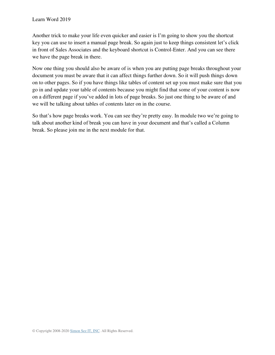Another trick to make your life even quicker and easier is I'm going to show you the shortcut key you can use to insert a manual page break. So again just to keep things consistent let's click in front of Sales Associates and the keyboard shortcut is Control-Enter. And you can see there we have the page break in there.

Now one thing you should also be aware of is when you are putting page breaks throughout your document you must be aware that it can affect things further down. So it will push things down on to other pages. So if you have things like tables of content set up you must make sure that you go in and update your table of contents because you might find that some of your content is now on a different page if you've added in lots of page breaks. So just one thing to be aware of and we will be talking about tables of contents later on in the course.

So that's how page breaks work. You can see they're pretty easy. In module two we're going to talk about another kind of break you can have in your document and that's called a Column break. So please join me in the next module for that.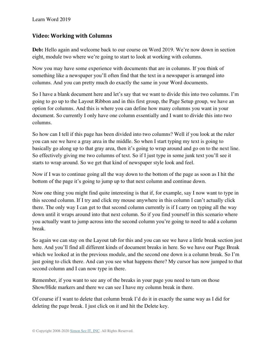#### **Video: Working with Columns**

**Deb:** Hello again and welcome back to our course on Word 2019. We're now down in section eight, module two where we're going to start to look at working with columns.

Now you may have some experience with documents that are in columns. If you think of something like a newspaper you'll often find that the text in a newspaper is arranged into columns. And you can pretty much do exactly the same in your Word documents.

So I have a blank document here and let's say that we want to divide this into two columns. I'm going to go up to the Layout Ribbon and in this first group, the Page Setup group, we have an option for columns. And this is where you can define how many columns you want in your document. So currently I only have one column essentially and I want to divide this into two columns.

So how can I tell if this page has been divided into two columns? Well if you look at the ruler you can see we have a gray area in the middle. So when I start typing my text is going to basically go along up to that gray area, then it's going to wrap around and go on to the next line. So effectively giving me two columns of text. So if I just type in some junk text you'll see it starts to wrap around. So we get that kind of newspaper style look and feel.

Now if I was to continue going all the way down to the bottom of the page as soon as I hit the bottom of the page it's going to jump up to that next column and continue down.

Now one thing you might find quite interesting is that if, for example, say I now want to type in this second column. If I try and click my mouse anywhere in this column I can't actually click there. The only way I can get to that second column currently is if I carry on typing all the way down until it wraps around into that next column. So if you find yourself in this scenario where you actually want to jump across into the second column you're going to need to add a column break.

So again we can stay on the Layout tab for this and you can see we have a little break section just here. And you'll find all different kinds of document breaks in here. So we have our Page Break which we looked at in the previous module, and the second one down is a column break. So I'm just going to click there. And can you see what happens there? My cursor has now jumped to that second column and I can now type in there.

Remember, if you want to see any of the breaks in your page you need to turn on those Show/Hide markers and there we can see I have my column break in there.

Of course if I want to delete that column break I'd do it in exactly the same way as I did for deleting the page break. I just click on it and hit the Delete key.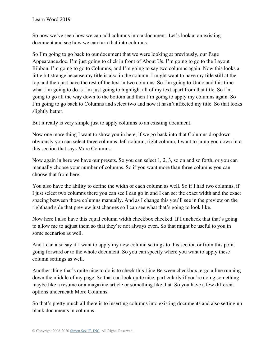So now we've seen how we can add columns into a document. Let's look at an existing document and see how we can turn that into columns.

So I'm going to go back to our document that we were looking at previously, our Page Appearance.doc. I'm just going to click in front of About Us. I'm going to go to the Layout Ribbon, I'm going to go to Columns, and I'm going to say two columns again. Now this looks a little bit strange because my title is also in the column. I might want to have my title still at the top and then just have the rest of the text in two columns. So I'm going to Undo and this time what I'm going to do is I'm just going to highlight all of my text apart from that title. So I'm going to go all the way down to the bottom and then I'm going to apply my columns again. So I'm going to go back to Columns and select two and now it hasn't affected my title. So that looks slightly better.

But it really is very simple just to apply columns to an existing document.

Now one more thing I want to show you in here, if we go back into that Columns dropdown obviously you can select three columns, left column, right column, I want to jump you down into this section that says More Columns.

Now again in here we have our presets. So you can select 1, 2, 3, so on and so forth, or you can manually choose your number of columns. So if you want more than three columns you can choose that from here.

You also have the ability to define the width of each column as well. So if I had two columns, if I just select two columns there you can see I can go in and I can set the exact width and the exact spacing between those columns manually. And as I change this you'll see in the preview on the righthand side that preview just changes so I can see what that's going to look like.

Now here I also have this equal column width checkbox checked. If I uncheck that that's going to allow me to adjust them so that they're not always even. So that might be useful to you in some scenarios as well.

And I can also say if I want to apply my new column settings to this section or from this point going forward or to the whole document. So you can specify where you want to apply these column settings as well.

Another thing that's quite nice to do is to check this Line Between checkbox, ergo a line running down the middle of my page. So that can look quite nice, particularly if you're doing something maybe like a resume or a magazine article or something like that. So you have a few different options underneath More Columns.

So that's pretty much all there is to inserting columns into existing documents and also setting up blank documents in columns.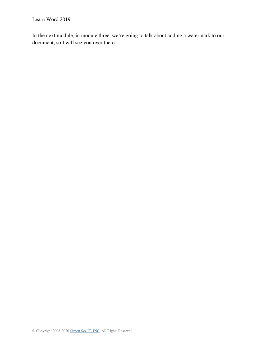In the next module, in module three, we're going to talk about adding a watermark to our document, so I will see you over there.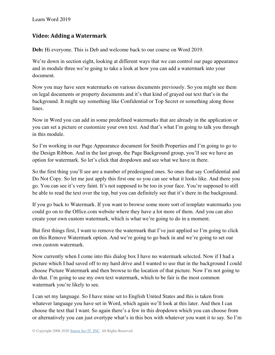## **Video: Adding a Watermark**

**Deb:** Hi everyone. This is Deb and welcome back to our course on Word 2019.

We're down in section eight, looking at different ways that we can control our page appearance and in module three we're going to take a look at how you can add a watermark into your document.

Now you may have seen watermarks on various documents previously. So you might see them on legal documents or property documents and it's that kind of grayed out text that's in the background. It might say something like Confidential or Top Secret or something along those lines.

Now in Word you can add in some predefined watermarks that are already in the application or you can set a picture or customize your own text. And that's what I'm going to talk you through in this module.

So I'm working in our Page Appearance document for Smith Properties and I'm going to go to the Design Ribbon. And in the last group, the Page Background group, you'll see we have an option for watermark. So let's click that dropdown and see what we have in there.

So the first thing you'll see are a number of predesigned ones. So ones that say Confidential and Do Not Copy. So let me just apply this first one so you can see what it looks like. And there you go. You can see it's very faint. It's not supposed to be too in your face. You're supposed to still be able to read the text over the top, but you can definitely see that it's there in the background.

If you go back to Watermark. If you want to browse some more sort of template watermarks you could go on to the Office.com website where they have a lot more of them. And you can also create your own custom watermark, which is what we're going to do in a moment.

But first things first, I want to remove the watermark that I've just applied so I'm going to click on this Remove Watermark option. And we're going to go back in and we're going to set our own custom watermark.

Now currently when I come into this dialog box I have no watermark selected. Now if I had a picture which I had saved off to my hard drive and I wanted to use that in the background I could choose Picture Watermark and then browse to the location of that picture. Now I'm not going to do that. I'm going to use my own text watermark, which to be fair is the most common watermark you're likely to see.

I can set my language. So I have mine set to English United States and this is taken from whatever language you have set in Word, which again we'll look at this later. And then I can choose the text that I want. So again there's a few in this dropdown which you can choose from or alternatively you can just overtype what's in this box with whatever you want it to say. So I'm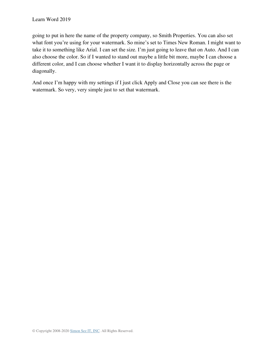going to put in here the name of the property company, so Smith Properties. You can also set what font you're using for your watermark. So mine's set to Times New Roman. I might want to take it to something like Arial. I can set the size. I'm just going to leave that on Auto. And I can also choose the color. So if I wanted to stand out maybe a little bit more, maybe I can choose a different color, and I can choose whether I want it to display horizontally across the page or diagonally.

And once I'm happy with my settings if I just click Apply and Close you can see there is the watermark. So very, very simple just to set that watermark.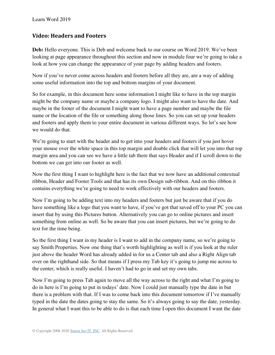## **Video: Headers and Footers**

**Deb:** Hello everyone. This is Deb and welcome back to our course on Word 2019. We've been looking at page appearance throughout this section and now in module four we're going to take a look at how you can change the appearance of your page by adding headers and footers.

Now if you've never come across headers and footers before all they are, are a way of adding some useful information into the top and bottom margins of your document.

So for example, in this document here some information I might like to have in the top margin might be the company name or maybe a company logo. I might also want to have the date. And maybe in the footer of the document I might want to have a page number and maybe the file name or the location of the file or something along those lines. So you can set up your headers and footers and apply them to your entire document in various different ways. So let's see how we would do that.

We're going to start with the header and to get into your headers and footers if you just hover your mouse over the white space in this top margin and double click that will let you into that top margin area and you can see we have a little tab there that says Header and if I scroll down to the bottom we can get into our footer as well.

Now the first thing I want to highlight here is the fact that we now have an additional contextual ribbon, Header and Footer Tools and that has its own Design sub-ribbon. And on this ribbon it contains everything we're going to need to work effectively with our headers and footers.

Now I'm going to be adding text into my headers and footers but just be aware that if you do have something like a logo that you want to have, if you've got that saved off to your PC you can insert that by using this Pictures button. Alternatively you can go to online pictures and insert something from online as well. So be aware that you can insert pictures, but we're going to do text for the time being.

So the first thing I want in my header is I want to add in the company name, so we're going to say Smith Properties. Now one thing that's worth highlighting as well is if you look at the ruler just above the header Word has already added in for us a Center tab and also a Right Align tab over on the righthand side. So that means if I press my Tab key it's going to jump me across to the center, which is really useful. I haven't had to go in and set my own tabs.

Now I'm going to press Tab again to move all the way across to the right and what I'm going to do in here is I'm going to put in todays' date. Now I could just manually type the date in but there is a problem with that. If I was to come back into this document tomorrow if I've manually typed in the date the dates going to stay the same. So it's always going to say the date, yesterday. In general what I want this to be able to do is that each time I open this document I want the date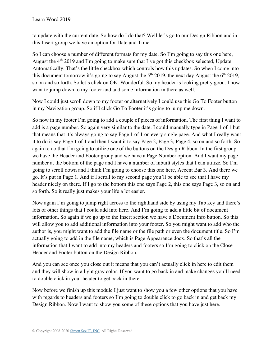to update with the current date. So how do I do that? Well let's go to our Design Ribbon and in this Insert group we have an option for Date and Time.

So I can choose a number of different formats for my date. So I'm going to say this one here, August the 4<sup>th</sup> 2019 and I'm going to make sure that I've got this checkbox selected, Update Automatically. That's the little checkbox which controls how this updates. So when I come into this document tomorrow it's going to say August the  $5<sup>th</sup>$  2019, the next day August the  $6<sup>th</sup>$  2019, so on and so forth. So let's click on OK. Wonderful. So my header is looking pretty good. I now want to jump down to my footer and add some information in there as well.

Now I could just scroll down to my footer or alternatively I could use this Go To Footer button in my Navigation group. So if I click Go To Footer it's going to jump me down.

So now in my footer I'm going to add a couple of pieces of information. The first thing I want to add is a page number. So again very similar to the date. I could manually type in Page 1 of 1 but that means that it's always going to say Page 1 of 1 on every single page. And what I really want it to do is say Page 1 of 1 and then I want it to say Page 2, Page 3, Page 4, so on and so forth. So again to do that I'm going to utilize one of the buttons on the Design Ribbon. In the first group we have the Header and Footer group and we have a Page Number option. And I want my page number at the bottom of the page and I have a number of inbuilt styles that I can utilize. So I'm going to scroll down and I think I'm going to choose this one here, Accent Bar 3. And there we go. It's put in Page 1. And if I scroll to my second page you'll be able to see that I have my header nicely on there. If I go to the bottom this one says Page 2, this one says Page 3, so on and so forth. So it really just makes your life a lot easier.

Now again I'm going to jump right across to the righthand side by using my Tab key and there's lots of other things that I could add into here. And I'm going to add a little bit of document information. So again if we go up to the Insert section we have a Document Info button. So this will allow you to add additional information into your footer. So you might want to add who the author is, you might want to add the file name or the file path or even the document title. So I'm actually going to add in the file name, which is Page Appearance.docx. So that's all the information that I want to add into my headers and footers so I'm going to click on the Close Header and Footer button on the Design Ribbon.

And you can see once you close out it means that you can't actually click in here to edit them and they will show in a light gray color. If you want to go back in and make changes you'll need to double click in your header to get back in there.

Now before we finish up this module I just want to show you a few other options that you have with regards to headers and footers so I'm going to double click to go back in and get back my Design Ribbon. Now I want to show you some of these options that you have just here.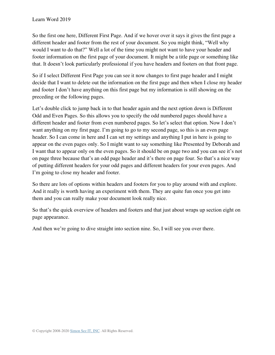So the first one here, Different First Page. And if we hover over it says it gives the first page a different header and footer from the rest of your document. So you might think, "Well why would I want to do that?" Well a lot of the time you might not want to have your header and footer information on the first page of your document. It might be a title page or something like that. It doesn't look particularly professional if you have headers and footers on that front page.

So if I select Different First Page you can see it now changes to first page header and I might decide that I want to delete out the information on the first page and then when I close my header and footer I don't have anything on this first page but my information is still showing on the preceding or the following pages.

Let's double click to jump back in to that header again and the next option down is Different Odd and Even Pages. So this allows you to specify the odd numbered pages should have a different header and footer from even numbered pages. So let's select that option. Now I don't want anything on my first page. I'm going to go to my second page, so this is an even page header. So I can come in here and I can set my settings and anything I put in here is going to appear on the even pages only. So I might want to say something like Presented by Deborah and I want that to appear only on the even pages. So it should be on page two and you can see it's not on page three because that's an odd page header and it's there on page four. So that's a nice way of putting different headers for your odd pages and different headers for your even pages. And I'm going to close my header and footer.

So there are lots of options within headers and footers for you to play around with and explore. And it really is worth having an experiment with them. They are quite fun once you get into them and you can really make your document look really nice.

So that's the quick overview of headers and footers and that just about wraps up section eight on page appearance.

And then we're going to dive straight into section nine. So, I will see you over there.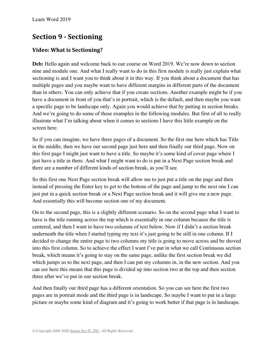# **Section 9 - Sectioning**

# **Video: What is Sectioning?**

**Deb:** Hello again and welcome back to our course on Word 2019. We're now down to section nine and module one. And what I really want to do in this first module is really just explain what sectioning is and I want you to think about it in this way. If you think about a document that has multiple pages and you maybe want to have different margins in different parts of the document than in others. You can only achieve that if you create sections. Another example might be if you have a document in front of you that's in portrait, which is the default, and then maybe you want a specific page to be landscape only. Again you would achieve that by putting in section breaks. And we're going to do some of these examples in the following modules. But first of all to really illustrate what I'm talking about when it comes to sections I have this little example on the screen here.

So if you can imagine, we have three pages of a document. So the first one here which has Title in the middle, then we have our second page just here and then finally our third page. Now on this first page I might just want to have a title. So maybe it's some kind of cover page where I just have a title in there. And what I might want to do is put in a Next Page section break and there are a number of different kinds of section break, as you'll see.

So this first one Next Page section break will allow me to just put a title on the page and then instead of pressing the Enter key to get to the bottom of the page and jump to the next one I can just put in a quick section break or a Next Page section break and it will give me a new page. And essentially this will become section one of my document.

On to the second page, this is a slightly different scenario. So on the second page what I want to have is the title running across the top which is essentially in one column because the title is centered, and then I want to have two columns of text below. Now if I didn't a section break underneath the title when I started typing my text it's just going to be still in one column. If I decided to change the entire page to two columns my title is going to move across and be shoved into this first column. So to achieve the effect I want I've put in what we call Continuous section break, which means it's going to stay on the same page, unlike the first section break we did which jumps us to the next page, and then I can put my columns in, in the new section. And you can see here this means that this page is divided up into section two at the top and then section three after we've put in our section break.

And then finally our third page has a different orientation. So you can see here the first two pages are in portrait mode and the third page is in landscape. So maybe I want to put in a large picture or maybe some kind of diagram and it's going to work better if that page is in landscape.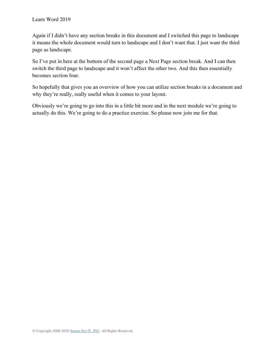Again if I didn't have any section breaks in this document and I switched this page to landscape it means the whole document would turn to landscape and I don't want that. I just want the third page as landscape.

So I've put in here at the bottom of the second page a Next Page section break. And I can then switch the third page to landscape and it won't affect the other two. And this then essentially becomes section four.

So hopefully that gives you an overview of how you can utilize section breaks in a document and why they're really, really useful when it comes to your layout.

Obviously we're going to go into this in a little bit more and in the next module we're going to actually do this. We're going to do a practice exercise. So please now join me for that.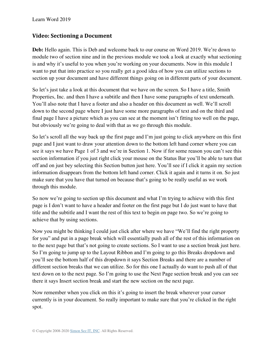## **Video: Sectioning a Document**

**Deb:** Hello again. This is Deb and welcome back to our course on Word 2019. We're down to module two of section nine and in the previous module we took a look at exactly what sectioning is and why it's useful to you when you're working on your documents. Now in this module I want to put that into practice so you really get a good idea of how you can utilize sections to section up your document and have different things going on in different parts of your document.

So let's just take a look at this document that we have on the screen. So I have a title, Smith Properties, Inc. and then I have a subtitle and then I have some paragraphs of text underneath. You'll also note that I have a footer and also a header on this document as well. We'll scroll down to the second page where I just have some more paragraphs of text and on the third and final page I have a picture which as you can see at the moment isn't fitting too well on the page, but obviously we're going to deal with that as we go through this module.

So let's scroll all the way back up the first page and I'm just going to click anywhere on this first page and I just want to draw your attention down to the bottom left hand corner where you can see it says we have Page 1 of 3 and we're in Section 1. Now if for some reason you can't see this section information if you just right click your mouse on the Status Bar you'll be able to turn that off and on just bey selecting this Section button just here. You'll see if I click it again my section information disappears from the bottom left hand corner. Click it again and it turns it on. So just make sure that you have that turned on because that's going to be really useful as we work through this module.

So now we're going to section up this document and what I'm trying to achieve with this first page is I don't want to have a header and footer on the first page but I do just want to have that title and the subtitle and I want the rest of this text to begin on page two. So we're going to achieve that by using sections.

Now you might be thinking I could just click after where we have "We'll find the right property for you" and put in a page break which will essentially push all of the rest of this information on to the next page but that's not going to create sections. So I want to use a section break just here. So I'm going to jump up to the Layout Ribbon and I'm going to go this Breaks dropdown and you'll see the bottom half of this dropdown it says Section Breaks and there are a number of different section breaks that we can utilize. So for this one I actually do want to push all of that text down on to the next page. So I'm going to use the Next Page section break and you can see there it says Insert section break and start the new section on the next page.

Now remember when you click on this it's going to insert the break wherever your cursor currently is in your document. So really important to make sure that you're clicked in the right spot.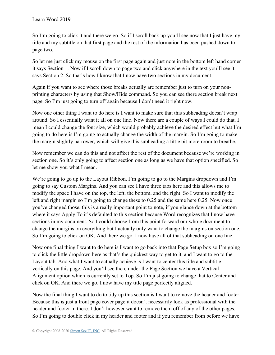So I'm going to click it and there we go. So if I scroll back up you'll see now that I just have my title and my subtitle on that first page and the rest of the information has been pushed down to page two.

So let me just click my mouse on the first page again and just note in the bottom left hand corner it says Section 1. Now if I scroll down to page two and click anywhere in the text you'll see it says Section 2. So that's how I know that I now have two sections in my document.

Again if you want to see where those breaks actually are remember just to turn on your nonprinting characters by using that Show/Hide command. So you can see there section break next page. So I'm just going to turn off again because I don't need it right now.

Now one other thing I want to do here is I want to make sure that this subheading doesn't wrap around. So I essentially want it all on one line. Now there are a couple of ways I could do that. I mean I could change the font size, which would probably achieve the desired effect but what I'm going to do here is I'm going to actually change the width of the margin. So I'm going to make the margin slightly narrower, which will give this subheading a little bit more room to breathe.

Now remember we can do this and not affect the rest of the document because we're working in section one. So it's only going to affect section one as long as we have that option specified. So let me show you what I mean.

We're going to go up to the Layout Ribbon, I'm going to go to the Margins dropdown and I'm going to say Custom Margins. And you can see I have three tabs here and this allows me to modify the space I have on the top, the left, the bottom, and the right. So I want to modify the left and right margin so I'm going to change these to 0.25 and the same here 0.25. Now once you've changed those, this is a really important point to note, if you glance down at the bottom where it says Apply To it's defaulted to this section because Word recognizes that I now have sections in my document. So I could choose from this point forward our whole document to change the margins on everything but I actually only want to change the margins on section one. So I'm going to click on OK. And there we go. I now have all of that subheading on one line.

Now one final thing I want to do here is I want to go back into that Page Setup box so I'm going to click the little dropdown here as that's the quickest way to get to it, and I want to go to the Layout tab. And what I want to actually achieve is I want to center this title and subtitle vertically on this page. And you'll see there under the Page Section we have a Vertical Alignment option which is currently set to Top. So I'm just going to change that to Center and click on OK. And there we go. I now have my title page perfectly aligned.

Now the final thing I want to do to tidy up this section is I want to remove the header and footer. Because this is just a front page cover page it doesn't necessarily look as professional with the header and footer in there. I don't however want to remove them off of any of the other pages. So I'm going to double click in my header and footer and if you remember from before we have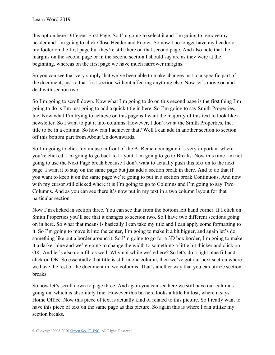this option here Different First Page. So I'm going to select it and I'm going to remove my header and I'm going to click Close Header and Footer. So now I no longer have my header or my footer on the first page but they're still there on that second page. And also note that the margins on the second page or in the second section I should say are as they were at the beginning, whereas on the first page we have much narrower margins.

So you can see that very simply that we've been able to make changes just to a specific part of the document, just to that first section without affecting anything else. Now let's move on and deal with section two.

So I'm going to scroll down. Now what I'm going to do on this second page is the first thing I'm going to do is I'm just going to add a quick title in here. So I'm going to say Smith Properties, Inc. Now what I'm trying to achieve on this page is I want the majority of this text to look like a newsletter. So I want to put it into columns. However, I don't want the Smith Properties, Inc. title to be in a column. So how can I achiever that? Well I can add in another section to section off this bottom part from About Us downwards.

So I'm going to click my mouse in front of the A. Remember again it's very important where you're clicked. I'm going to go back to Layout, I'm going to go to Breaks. Now this time I'm not going to use the Next Page break because I don't want to actually push this text on to the next page. I want it to stay on the same page but just add a section break in there. And to do that if you want to keep it on the same page we're going to put in a section break Continuous. And now with my cursor still clicked where it is I'm going to go to Columns and I'm going to say Two Columns. And as you can see there it's now put in my text in a two column layout for that particular section.

Now I'm clicked in section three. You can see that from the bottom left hand corner. If I click on Smith Properties you'll see that it changes to section two. So I have two different sections going on in here. So what that means is basically I can take my title and I can apply some formatting to it. So I'm going to move it into the center, I'm going to make it a bit bigger, and again let's do something like put a border around it. So I'm going to go for a 3D box border, I'm going to make it a darker blue and we're going to change the width to something a little bit thicker and click on OK. And let's also do a fill as well. Why not while we're here? So let's do a light blue fill and click on OK. So essentially that title is still in one column, then we've got our next section where we have the rest of the document in two columns. That's another way that you can utilize section breaks.

So now let's scroll down to page three. And again you can see here we still have our columns going on, which is absolutely fine. However this bit here looks a little bit lost, where it says Home Office. Now this piece of text is actually kind of related to this picture. So I really want to have this piece of text on the same page as this picture. So again this is where I can utilize my section breaks.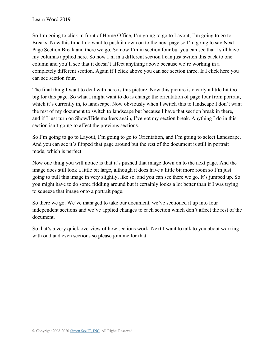So I'm going to click in front of Home Office, I'm going to go to Layout, I'm going to go to Breaks. Now this time I do want to push it down on to the next page so I'm going to say Next Page Section Break and there we go. So now I'm in section four but you can see that I still have my columns applied here. So now I'm in a different section I can just switch this back to one column and you'll see that it doesn't affect anything above because we're working in a completely different section. Again if I click above you can see section three. If I click here you can see section four.

The final thing I want to deal with here is this picture. Now this picture is clearly a little bit too big for this page. So what I might want to do is change the orientation of page four from portrait, which it's currently in, to landscape. Now obviously when I switch this to landscape I don't want the rest of my document to switch to landscape but because I have that section break in there, and if I just turn on Show/Hide markers again, I've got my section break. Anything I do in this section isn't going to affect the previous sections.

So I'm going to go to Layout, I'm going to go to Orientation, and I'm going to select Landscape. And you can see it's flipped that page around but the rest of the document is still in portrait mode, which is perfect.

Now one thing you will notice is that it's pushed that image down on to the next page. And the image does still look a little bit large, although it does have a little bit more room so I'm just going to pull this image in very slightly, like so, and you can see there we go. It's jumped up. So you might have to do some fiddling around but it certainly looks a lot better than if I was trying to squeeze that image onto a portrait page.

So there we go. We've managed to take our document, we've sectioned it up into four independent sections and we've applied changes to each section which don't affect the rest of the document.

So that's a very quick overview of how sections work. Next I want to talk to you about working with odd and even sections so please join me for that.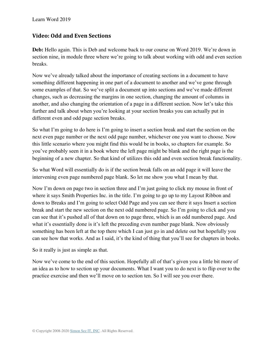## **Video: Odd and Even Sections**

**Deb:** Hello again. This is Deb and welcome back to our course on Word 2019. We're down in section nine, in module three where we're going to talk about working with odd and even section breaks.

Now we've already talked about the importance of creating sections in a document to have something different happening in one part of a document to another and we've gone through some examples of that. So we've split a document up into sections and we've made different changes, such as decreasing the margins in one section, changing the amount of columns in another, and also changing the orientation of a page in a different section. Now let's take this further and talk about when you're looking at your section breaks you can actually put in different even and odd page section breaks.

So what I'm going to do here is I'm going to insert a section break and start the section on the next even page number or the next odd page number, whichever one you want to choose. Now this little scenario where you might find this would be in books, so chapters for example. So you've probably seen it in a book where the left page might be blank and the right page is the beginning of a new chapter. So that kind of utilizes this odd and even section break functionality.

So what Word will essentially do is if the section break falls on an odd page it will leave the intervening even page numbered page blank. So let me show you what I mean by that.

Now I'm down on page two in section three and I'm just going to click my mouse in front of where it says Smith Properties Inc. in the title. I'm going to go up to my Layout Ribbon and down to Breaks and I'm going to select Odd Page and you can see there it says Insert a section break and start the new section on the next odd numbered page. So I'm going to click and you can see that it's pushed all of that down on to page three, which is an odd numbered page. And what it's essentially done is it's left the preceding even number page blank. Now obviously something has been left at the top there which I can just go in and delete out but hopefully you can see how that works. And as I said, it's the kind of thing that you'll see for chapters in books.

So it really is just as simple as that.

Now we've come to the end of this section. Hopefully all of that's given you a little bit more of an idea as to how to section up your documents. What I want you to do next is to flip over to the practice exercise and then we'll move on to section ten. So I will see you over there.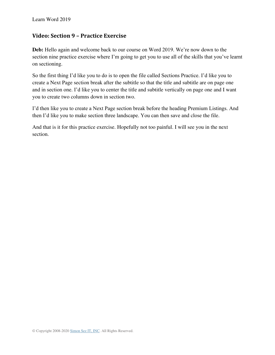## **Video: Section 9 – Practice Exercise**

**Deb:** Hello again and welcome back to our course on Word 2019. We're now down to the section nine practice exercise where I'm going to get you to use all of the skills that you've learnt on sectioning.

So the first thing I'd like you to do is to open the file called Sections Practice. I'd like you to create a Next Page section break after the subtitle so that the title and subtitle are on page one and in section one. I'd like you to center the title and subtitle vertically on page one and I want you to create two columns down in section two.

I'd then like you to create a Next Page section break before the heading Premium Listings. And then I'd like you to make section three landscape. You can then save and close the file.

And that is it for this practice exercise. Hopefully not too painful. I will see you in the next section.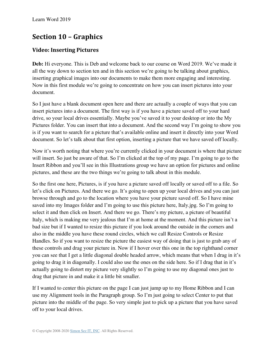# **Section 10 – Graphics**

# **Video: Inserting Pictures**

**Deb:** Hi everyone. This is Deb and welcome back to our course on Word 2019. We've made it all the way down to section ten and in this section we're going to be talking about graphics, inserting graphical images into our documents to make them more engaging and interesting. Now in this first module we're going to concentrate on how you can insert pictures into your document.

So I just have a blank document open here and there are actually a couple of ways that you can insert pictures into a document. The first way is if you have a picture saved off to your hard drive, so your local drives essentially. Maybe you've saved it to your desktop or into the My Pictures folder. You can insert that into a document. And the second way I'm going to show you is if you want to search for a picture that's available online and insert it directly into your Word document. So let's talk about that first option, inserting a picture that we have saved off locally.

Now it's worth noting that where you're currently clicked in your document is where that picture will insert. So just be aware of that. So I'm clicked at the top of my page. I'm going to go to the Insert Ribbon and you'll see in this Illustrations group we have an option for pictures and online pictures, and these are the two things we're going to talk about in this module.

So the first one here, Pictures, is if you have a picture saved off locally or saved off to a file. So let's click on Pictures. And there we go. It's going to open up your local drives and you can just browse through and go to the location where you have your picture saved off. So I have mine saved into my Images folder and I'm going to use this picture here, Italy.jpg. So I'm going to select it and then click on Insert. And there we go. There's my picture, a picture of beautiful Italy, which is making me very jealous that I'm at home at the moment. And this picture isn't a bad size but if I wanted to resize this picture if you look around the outside in the corners and also in the middle you have these round circles, which we call Resize Controls or Resize Handles. So if you want to resize the picture the easiest way of doing that is just to grab any of these controls and drag your picture in. Now if I hover over this one in the top righthand corner you can see that I get a little diagonal double headed arrow, which means that when I drag in it's going to drag it in diagonally. I could also use the ones on the side here. So if I drag that in it's actually going to distort my picture very slightly so I'm going to use my diagonal ones just to drag that picture in and make it a little bit smaller.

If I wanted to center this picture on the page I can just jump up to my Home Ribbon and I can use my Alignment tools in the Paragraph group. So I'm just going to select Center to put that picture into the middle of the page. So very simple just to pick up a picture that you have saved off to your local drives.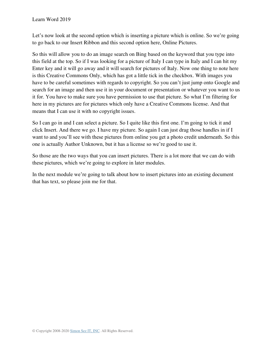Let's now look at the second option which is inserting a picture which is online. So we're going to go back to our Insert Ribbon and this second option here, Online Pictures.

So this will allow you to do an image search on Bing based on the keyword that you type into this field at the top. So if I was looking for a picture of Italy I can type in Italy and I can hit my Enter key and it will go away and it will search for pictures of Italy. Now one thing to note here is this Creative Commons Only, which has got a little tick in the checkbox. With images you have to be careful sometimes with regards to copyright. So you can't just jump onto Google and search for an image and then use it in your document or presentation or whatever you want to us it for. You have to make sure you have permission to use that picture. So what I'm filtering for here in my pictures are for pictures which only have a Creative Commons license. And that means that I can use it with no copyright issues.

So I can go in and I can select a picture. So I quite like this first one. I'm going to tick it and click Insert. And there we go. I have my picture. So again I can just drag those handles in if I want to and you'll see with these pictures from online you get a photo credit underneath. So this one is actually Author Unknown, but it has a license so we're good to use it.

So those are the two ways that you can insert pictures. There is a lot more that we can do with these pictures, which we're going to explore in later modules.

In the next module we're going to talk about how to insert pictures into an existing document that has text, so please join me for that.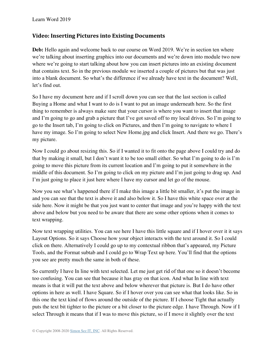## **Video: Inserting Pictures into Existing Documents**

**Deb:** Hello again and welcome back to our course on Word 2019. We're in section ten where we're talking about inserting graphics into our documents and we're down into module two now where we're going to start talking about how you can insert pictures into an existing document that contains text. So in the previous module we inserted a couple of pictures but that was just into a blank document. So what's the difference if we already have text in the document? Well, let's find out.

So I have my document here and if I scroll down you can see that the last section is called Buying a Home and what I want to do is I want to put an image underneath here. So the first thing to remember is always make sure that your cursor is where you want to insert that image and I'm going to go and grab a picture that I've got saved off to my local drives. So I'm going to go to the Insert tab, I'm going to click on Pictures, and then I'm going to navigate to where I have my image. So I'm going to select New Home.jpg and click Insert. And there we go. There's my picture.

Now I could go about resizing this. So if I wanted it to fit onto the page above I could try and do that by making it small, but I don't want it to be too small either. So what I'm going to do is I'm going to move this picture from its current location and I'm going to put it somewhere in the middle of this document. So I'm going to click on my picture and I'm just going to drag up. And I'm just going to place it just here where I have my cursor and let go of the mouse.

Now you see what's happened there if I make this image a little bit smaller, it's put the image in and you can see that the text is above it and also below it. So I have this white space over at the side here. Now it might be that you just want to center that image and you're happy with the text above and below but you need to be aware that there are some other options when it comes to text wrapping.

Now text wrapping utilities. You can see here I have this little square and if I hover over it it says Layout Options. So it says Choose how your object interacts with the text around it. So I could click on there. Alternatively I could go up to my contextual ribbon that's appeared, my Picture Tools, and the Format subtab and I could go to Wrap Text up here. You'll find that the options you see are pretty much the same in both of these.

So currently I have In line with text selected. Let me just get rid of that one so it doesn't become too confusing. You can see that because it has gray on that icon. And what In line with text means is that it will put the text above and below wherever that picture is. But I do have other options in here as well. I have Square. So if I hover over you can see what that looks like. So in this one the text kind of flows around the outside of the picture. If I choose Tight that actually puts the text bit tighter to the picture or a bit closer to the picture edge. I have Through. Now if I select Through it means that if I was to move this picture, so if I move it slightly over the text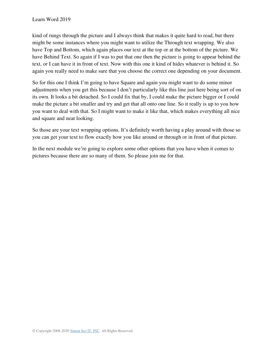kind of rungs through the picture and I always think that makes it quite hard to read, but there might be some instances where you might want to utilize the Through text wrapping. We also have Top and Bottom, which again places our text at the top or at the bottom of the picture. We have Behind Text. So again if I was to put that one then the picture is going to appear behind the text, or I can have it in front of text. Now with this one it kind of hides whatever is behind it. So again you really need to make sure that you choose the correct one depending on your document.

So for this one I think I'm going to have Square and again you might want to do some minor adjustments when you get this because I don't particularly like this line just here being sort of on its own. It looks a bit detached. So I could fix that by, I could make the picture bigger or I could make the picture a bit smaller and try and get that all onto one line. So it really is up to you how you want to deal with that. So I might want to make it like that, which makes everything all nice and square and neat looking.

So those are your text wrapping options. It's definitely worth having a play around with those so you can get your text to flow exactly how you like around or through or in front of that picture.

In the next module we're going to explore some other options that you have when it comes to pictures because there are so many of them. So please join me for that.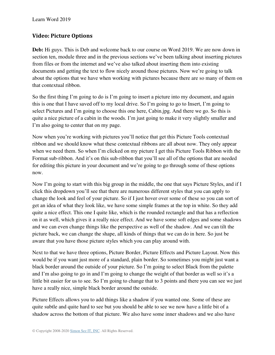## **Video: Picture Options**

**Deb:** Hi guys. This is Deb and welcome back to our course on Word 2019. We are now down in section ten, module three and in the previous sections we've been talking about inserting pictures from files or from the internet and we've also talked about inserting them into existing documents and getting the text to flow nicely around those pictures. Now we're going to talk about the options that we have when working with pictures because there are so many of them on that contextual ribbon.

So the first thing I'm going to do is I'm going to insert a picture into my document, and again this is one that I have saved off to my local drive. So I'm going to go to Insert, I'm going to select Pictures and I'm going to choose this one here, Cabin.jpg. And there we go. So this is quite a nice picture of a cabin in the woods. I'm just going to make it very slightly smaller and I'm also going to center that on my page.

Now when you're working with pictures you'll notice that get this Picture Tools contextual ribbon and we should know what these contextual ribbons are all about now. They only appear when we need them. So when I'm clicked on my picture I get this Picture Tools Ribbon with the Format sub-ribbon. And it's on this sub-ribbon that you'll see all of the options that are needed for editing this picture in your document and we're going to go through some of these options now.

Now I'm going to start with this big group in the middle, the one that says Picture Styles, and if I click this dropdown you'll see that there are numerous different styles that you can apply to change the look and feel of your picture. So if I just hover over some of these so you can sort of get an idea of what they look like, we have some simple frames at the top in white. So they add quite a nice effect. This one I quite like, which is the rounded rectangle and that has a reflection on it as well, which gives it a really nice effect. And we have some soft edges and some shadows and we can even change things like the perspective as well of the shadow. And we can tilt the picture back, we can change the shape, all kinds of things that we can do in here. So just be aware that you have those picture styles which you can play around with.

Next to that we have three options, Picture Border, Picture Effects and Picture Layout. Now this would be if you want just more of a standard, plain border. So sometimes you might just want a black border around the outside of your picture. So I'm going to select Black from the palette and I'm also going to go in and I'm going to change the weight of that border as well so it's a little bit easier for us to see. So I'm going to change that to 3 points and there you can see we just have a really nice, simple black border around the outside.

Picture Effects allows you to add things like a shadow if you wanted one. Some of these are quite subtle and quite hard to see but you should be able to see we now have a little bit of a shadow across the bottom of that picture. We also have some inner shadows and we also have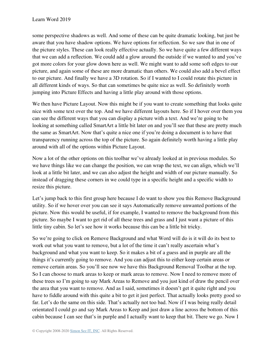some perspective shadows as well. And some of these can be quite dramatic looking, but just be aware that you have shadow options. We have options for reflection. So we saw that in one of the picture styles. These can look really effective actually. So we have quite a few different ways that we can add a reflection. We could add a glow around the outside if we wanted to and you've got more colors for your glow down here as well. We might want to add some soft edges to our picture, and again some of these are more dramatic than others. We could also add a bevel effect to our picture. And finally we have a 3D rotation. So if I wanted to I could rotate this picture in all different kinds of ways. So that can sometimes be quite nice as well. So definitely worth jumping into Picture Effects and having a little play around with those options.

We then have Picture Layout. Now this might be if you want to create something that looks quite nice with some text over the top. And we have different layouts here. So if I hover over them you can see the different ways that you can display a picture with a text. And we're going to be looking at something called SmartArt a little bit later on and you'll see that these are pretty much the same as SmartArt. Now that's quite a nice one if you're doing a document is to have that transparency running across the top of the picture. So again definitely worth having a little play around with all of the options within Picture Layout.

Now a lot of the other options on this toolbar we've already looked at in previous modules. So we have things like we can change the position, we can wrap the text, we can align, which we'll look at a little bit later, and we can also adjust the height and width of our picture manually. So instead of dragging these corners in we could type in a specific height and a specific width to resize this picture.

Let's jump back to this first group here because I do want to show you this Remove Background utility. So if we hover over you can see it says Automatically remove unwanted portions of the picture. Now this would be useful, if for example, I wanted to remove the background from this picture. So maybe I want to get rid of all these trees and grass and I just want a picture of this little tiny cabin. So let's see how it works because this can be a little bit tricky.

So we're going to click on Remove Background and what Word will do is it will do its best to work out what you want to remove, but a lot of the time it can't really ascertain what's background and what you want to keep. So it makes a bit of a guess and in purple are all the things it's currently going to remove. And you can adjust this to either keep certain areas or remove certain areas. So you'll see now we have this Background Removal Toolbar at the top. So I can choose to mark areas to keep or mark areas to remove. Now I need to remove more of these trees so I'm going to say Mark Areas to Remove and you just kind of draw the pencil over the area that you want to remove. And as I said, sometimes it doesn't get it quite right and you have to fiddle around with this quite a bit to get it just perfect. That actually looks pretty good so far. Let's do the same on this side. That's actually not too bad. Now if I was being really detail orientated I could go and say Mark Areas to Keep and just draw a line across the bottom of this cabin because I can see that's in purple and I actually want to keep that bit. There we go. Now I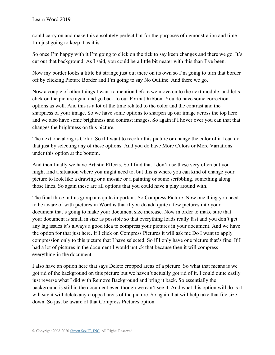could carry on and make this absolutely perfect but for the purposes of demonstration and time I'm just going to keep it as it is.

So once I'm happy with it I'm going to click on the tick to say keep changes and there we go. It's cut out that background. As I said, you could be a little bit neater with this than I've been.

Now my border looks a little bit strange just out there on its own so I'm going to turn that border off by clicking Picture Border and I'm going to say No Outline. And there we go.

Now a couple of other things I want to mention before we move on to the next module, and let's click on the picture again and go back to our Format Ribbon. You do have some correction options as well. And this is a lot of the time related to the color and the contrast and the sharpness of your image. So we have some options to sharpen up our image across the top here and we also have some brightness and contrast images. So again if I hover over you can that that changes the brightness on this picture.

The next one along is Color. So if I want to recolor this picture or change the color of it I can do that just by selecting any of these options. And you do have More Colors or More Variations under this option at the bottom.

And then finally we have Artistic Effects. So I find that I don't use these very often but you might find a situation where you might need to, but this is where you can kind of change your picture to look like a drawing or a mosaic or a painting or some scribbling, something along those lines. So again these are all options that you could have a play around with.

The final three in this group are quite important. So Compress Picture. Now one thing you need to be aware of with pictures in Word is that if you do add quite a few pictures into your document that's going to make your document size increase. Now in order to make sure that your document is small in size as possible so that everything loads really fast and you don't get any lag issues it's always a good idea to compress your pictures in your document. And we have the option for that just here. If I click on Compress Pictures it will ask me Do I want to apply compression only to this picture that I have selected. So if I only have one picture that's fine. If I had a lot of pictures in the document I would untick that because then it will compress everything in the document.

I also have an option here that says Delete cropped areas of a picture. So what that means is we got rid of the background on this picture but we haven't actually got rid of it. I could quite easily just reverse what I did with Remove Background and bring it back. So essentially the background is still in the document even though we can't see it. And what this option will do is it will say it will delete any cropped areas of the picture. So again that will help take that file size down. So just be aware of that Compress Pictures option.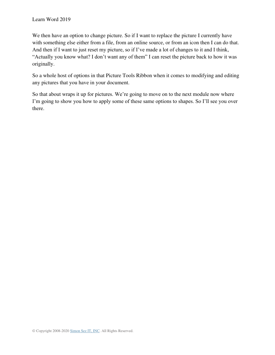We then have an option to change picture. So if I want to replace the picture I currently have with something else either from a file, from an online source, or from an icon then I can do that. And then if I want to just reset my picture, so if I've made a lot of changes to it and I think, "Actually you know what? I don't want any of them" I can reset the picture back to how it was originally.

So a whole host of options in that Picture Tools Ribbon when it comes to modifying and editing any pictures that you have in your document.

So that about wraps it up for pictures. We're going to move on to the next module now where I'm going to show you how to apply some of these same options to shapes. So I'll see you over there.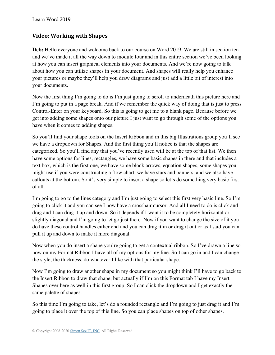## **Video: Working with Shapes**

Deb: Hello everyone and welcome back to our course on Word 2019. We are still in section ten and we've made it all the way down to module four and in this entire section we've been looking at how you can insert graphical elements into your documents. And we're now going to talk about how you can utilize shapes in your document. And shapes will really help you enhance your pictures or maybe they'll help you draw diagrams and just add a little bit of interest into your documents.

Now the first thing I'm going to do is I'm just going to scroll to underneath this picture here and I'm going to put in a page break. And if we remember the quick way of doing that is just to press Control-Enter on your keyboard. So this is going to get me to a blank page. Because before we get into adding some shapes onto our picture I just want to go through some of the options you have when it comes to adding shapes.

So you'll find your shape tools on the Insert Ribbon and in this big Illustrations group you'll see we have a dropdown for Shapes. And the first thing you'll notice is that the shapes are categorized. So you'll find any that you've recently used will be at the top of that list. We then have some options for lines, rectangles, we have some basic shapes in there and that includes a text box, which is the first one, we have some block arrows, equation shapes, some shapes you might use if you were constructing a flow chart, we have stars and banners, and we also have callouts at the bottom. So it's very simple to insert a shape so let's do something very basic first of all.

I'm going to go to the lines category and I'm just going to select this first very basic line. So I'm going to click it and you can see I now have a crosshair cursor. And all I need to do is click and drag and I can drag it up and down. So it depends if I want it to be completely horizontal or slightly diagonal and I'm going to let go just there. Now if you want to change the size of it you do have these control handles either end and you can drag it in or drag it out or as I said you can pull it up and down to make it more diagonal.

Now when you do insert a shape you're going to get a contextual ribbon. So I've drawn a line so now on my Format Ribbon I have all of my options for my line. So I can go in and I can change the style, the thickness, do whatever I like with that particular shape.

Now I'm going to draw another shape in my document so you might think I'll have to go back to the Insert Ribbon to draw that shape, but actually if I'm on this Format tab I have my Insert Shapes over here as well in this first group. So I can click the dropdown and I get exactly the same palette of shapes.

So this time I'm going to take, let's do a rounded rectangle and I'm going to just drag it and I'm going to place it over the top of this line. So you can place shapes on top of other shapes.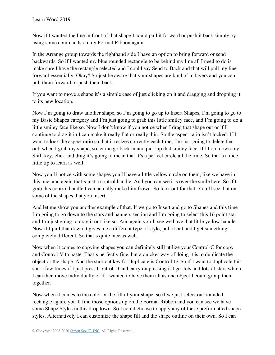Now if I wanted the line in front of that shape I could pull it forward or push it back simply by using some commands on my Format Ribbon again.

In the Arrange group towards the righthand side I have an option to bring forward or send backwards. So if I wanted my blue rounded rectangle to be behind my line all I need to do is make sure I have the rectangle selected and I could say Send to Back and that will pull my line forward essentially. Okay? So just be aware that your shapes are kind of in layers and you can pull them forward or push them back.

If you want to move a shape it's a simple case of just clicking on it and dragging and dropping it to its new location.

Now I'm going to draw another shape, so I'm going to go up to Insert Shapes, I'm going to go to my Basic Shapes category and I'm just going to grab this little smiley face, and I'm going to do a little smiley face like so. Now I don't know if you notice when I drag that shape out or if I continue to drag it in I can make it really flat or really thin. So the aspect ratio isn't locked. If I want to lock the aspect ratio so that it resizes correctly each time, I'm just going to delete that out, when I grab my shape, so let me go back in and pick up that smiley face. If I hold down my Shift key, click and drag it's going to mean that it's a perfect circle all the time. So that's a nice little tip to learn as well.

Now you'll notice with some shapes you'll have a little yellow circle on them, like we have in this one, and again that's just a control handle. And you can see it's over the smile here. So if I grab this control handle I can actually make him frown. So look out for that. You'll see that on some of the shapes that you insert.

And let me show you another example of that. If we go to Insert and go to Shapes and this time I'm going to go down to the stars and banners section and I'm going to select this 16 point star and I'm just going to drag it out like so. And again you'll see we have that little yellow handle. Now if I pull that down it gives me a different type of style, pull it out and I get something completely different. So that's quite nice as well.

Now when it comes to copying shapes you can definitely still utilize your Control-C for copy and Control-V to paste. That's perfectly fine, but a quicker way of doing it is to duplicate the object or the shape. And the shortcut key for duplicate is Control-D. So if I want to duplicate this star a few times if I just press Control-D and carry on pressing it I get lots and lots of stars which I can then move individually or if I wanted to have them all as one object I could group them together.

Now when it comes to the color or the fill of your shape, so if we just select our rounded rectangle again, you'll find those options up on the Format Ribbon and you can see we have some Shape Styles in this dropdown. So I could choose to apply any of these preformatted shape styles. Alternatively I can customize the shape fill and the shape outline on their own. So I can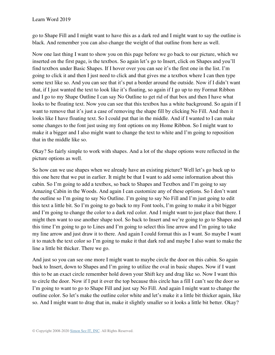go to Shape Fill and I might want to have this as a dark red and I might want to say the outline is black. And remember you can also change the weight of that outline from here as well.

Now one last thing I want to show you on this page before we go back to our picture, which we inserted on the first page, is the textbox. So again let's go to Insert, click on Shapes and you'll find textbox under Basic Shapes. If I hover over you can see it's the first one in the list. I'm going to click it and then I just need to click and that gives me a textbox where I can then type some text like so. And you can see that it's put a border around the outside. Now if I didn't want that, if I just wanted the text to look like it's floating, so again if I go up to my Format Ribbon and I go to my Shape Outline I can say No Outline to get rid of that box and then I have what looks to be floating text. Now you can see that this textbox has a white background. So again if I want to remove that it's just a case of removing the shape fill by clicking No Fill. And then it looks like I have floating text. So I could put that in the middle. And if I wanted to I can make some changes to the font just using my font options on my Home Ribbon. So I might want to make it a bigger and I also might want to change the text to white and I'm going to reposition that in the middle like so.

Okay? So fairly simple to work with shapes. And a lot of the shape options were reflected in the picture options as well.

So how can we use shapes when we already have an existing picture? Well let's go back up to this one here that we put in earlier. It might be that I want to add some information about this cabin. So I'm going to add a textbox, so back to Shapes and Textbox and I'm going to say Amazing Cabin in the Woods. And again I can customize any of these options. So I don't want the outline so I'm going to say No Outline. I'm going to say No Fill and I'm just going to edit this text a little bit. So I'm going to go back to my Font tools, I'm going to make it a bit bigger and I'm going to change the color to a dark red color. And I might want to just place that there. I might then want to use another shape tool. So back to Insert and we're going to go to Shapes and this time I'm going to go to Lines and I'm going to select this line arrow and I'm going to take my line arrow and just draw it to there. And again I could format this as I want. So maybe I want it to match the text color so I'm going to make it that dark red and maybe I also want to make the line a little bit thicker. There we go.

And just so you can see one more I might want to maybe circle the door on this cabin. So again back to Insert, down to Shapes and I'm going to utilize the oval in basic shapes. Now if I want this to be an exact circle remember hold down your Shift key and drag like so. Now I want this to circle the door. Now if I put it over the top because this circle has a fill I can't see the door so I'm going to want to go to Shape Fill and just say No Fill. And again I might want to change the outline color. So let's make the outline color white and let's make it a little bit thicker again, like so. And I might want to drag that in, make it slightly smaller so it looks a little bit better. Okay?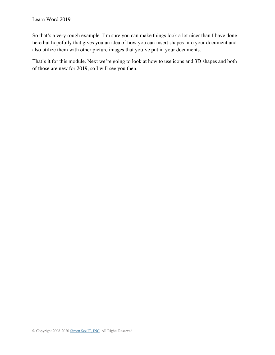So that's a very rough example. I'm sure you can make things look a lot nicer than I have done here but hopefully that gives you an idea of how you can insert shapes into your document and also utilize them with other picture images that you've put in your documents.

That's it for this module. Next we're going to look at how to use icons and 3D shapes and both of those are new for 2019, so I will see you then.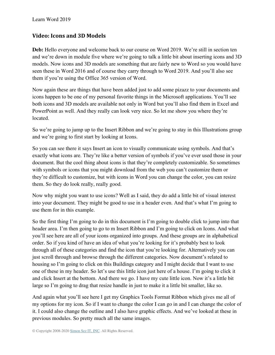## **Video: Icons and 3D Models**

Deb: Hello everyone and welcome back to our course on Word 2019. We're still in section ten and we're down in module five where we're going to talk a little bit about inserting icons and 3D models. Now icons and 3D models are something that are fairly new to Word so you would have seen these in Word 2016 and of course they carry through to Word 2019. And you'll also see them if you're using the Office 365 version of Word.

Now again these are things that have been added just to add some pizazz to your documents and icons happen to be one of my personal favorite things in the Microsoft applications. You'll see both icons and 3D models are available not only in Word but you'll also find them in Excel and PowerPoint as well. And they really can look very nice. So let me show you where they're located.

So we're going to jump up to the Insert Ribbon and we're going to stay in this Illustrations group and we're going to first start by looking at Icons.

So you can see there it says Insert an icon to visually communicate using symbols. And that's exactly what icons are. They're like a better version of symbols if you've ever used those in your document. But the cool thing about icons is that they're completely customizable. So sometimes with symbols or icons that you might download from the web you can't customize them or they're difficult to customize, but with icons in Word you can change the color, you can resize them. So they do look really, really good.

Now why might you want to use icons? Well as I said, they do add a little bit of visual interest into your document. They might be good to use in a header even. And that's what I'm going to use them for in this example.

So the first thing I'm going to do in this document is I'm going to double click to jump into that header area. I'm then going to go to m Insert Ribbon and I'm going to click on Icons. And what you'll see here are all of your icons organized into groups. And these groups are in alphabetical order. So if you kind of have an idea of what you're looking for it's probably best to look through all of these categories and find the icon that you're looking for. Alternatively you can just scroll through and browse through the different categories. Now document's related to housing so I'm going to click on this Buildings category and I might decide that I want to use one of these in my header. So let's use this little icon just here of a house. I'm going to click it and click Insert at the bottom. And there we go. I have my cute little icon. Now it's a little bit large so I'm going to drag that resize handle in just to make it a little bit smaller, like so.

And again what you'll see here I get my Graphics Tools Format Ribbon which gives me all of my options for my icon. So if I want to change the color I can go in and I can change the color of it. I could also change the outline and I also have graphic effects. And we've looked at these in previous modules. So pretty much all the same images.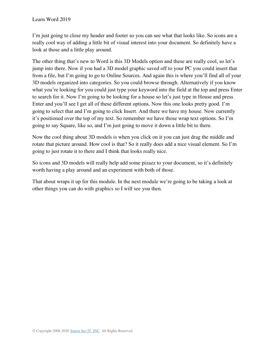I'm just going to close my header and footer so you can see what that looks like. So icons are a really cool way of adding a little bit of visual interest into your document. So definitely have a look at those and a little play around.

The other thing that's new to Word is this 3D Models option and these are really cool, so let's jump into there. Now if you had a 3D model graphic saved off to your PC you could insert that from a file, but I'm going to go to Online Sources. And again this is where you'll find all of your 3D models organized into categories. So you could browse through. Alternatively if you know what you're looking for you could just type your keyword into the field at the top and press Enter to search for it. Now I'm going to be looking for a house so let's just type in House and press Enter and you'll see I get all of these different options. Now this one looks pretty good. I'm going to select that and I'm going to click Insert. And there we have my house. Now currently it's positioned over the top of my text. So remember we have those wrap text options. So I'm going to say Square, like so, and I'm just going to move it down a little bit to there.

Now the cool thing about 3D models is when you click on it you can just drag the middle and rotate that picture around. How cool is that? So it really does add a nice visual element. So I'm going to just rotate it to there and I think that looks really nice.

So icons and 3D models will really help add some pizazz to your document, so it's definitely worth having a play around and an experiment with both of those.

That about wraps it up for this module. In the next module we're going to be taking a look at other things you can do with graphics so I will see you then.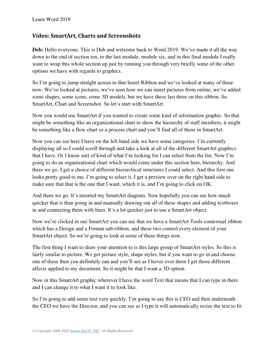### **Video: SmartArt, Charts and Screenshots**

Deb: Hello everyone. This is Deb and welcome back to Word 2019. We've made it all the way down to the end of section ten, to the last module, module six, and in this final module I really want to wrap this whole section up just by running you through very briefly some of the other options we have with regards to graphics.

So I'm going to jump straight across to that Insert Ribbon and we've looked at many of these now. We've looked at pictures, we've seen how we can insert pictures from online, we've added some shapes, some icons, some 3D models, but we have these last three on this ribbon. So SmartArt, Chart and Screenshot. So let's start with SmartArt.

Now you would use SmartArt if you wanted to create some kind of information graphic. So that might be something like an organizational chart to show the hierarchy of staff members, it might be something like a flow chart or a process chart and you'll find all of those in SmartArt.

Now you can see here I have on the left hand side we have some categories. I'm currently displaying all so I could scroll through and take a look at all of the different SmartArt graphics that I have. Or I know sort of kind of what I'm looking for I can select from the list. Now I'm going to do an organizational chart which would come under this section here, hierarchy. And there we go. I get a choice of different hierarchical structures I could select. And this first one looks pretty good to me. I'm going to select it. I get a preview over on the right hand side to make sure that that is the one that I want, which it is, and I'm going to click on OK.

And there we go. It's inserted my SmartArt diagram. Now hopefully you can see how much quicker that is than going in and manually drawing out all of these shapes and adding textboxes in and connecting them with lines. It's a lot quicker just to use a SmartArt object.

Now we're clicked in our SmartArt you can see that we have a SmartArt Tools contextual ribbon which has a Design and a Format sub-ribbon, and these two control every element of your SmartArt object. So we're going to look at some of these things now.

The first thing I want to draw your attention to is this large group of SmartArt styles. So this is fairly similar to picture. We get picture style, shape styles, but if you want to go in and choose one of these then you definitely can and you'll see as I hover over them I get those different affects applied to my document. So it might be that I want a 3D option.

Now in this SmartArt graphic wherever I have the word Text that means that I can type in there and I can change it to what I want it to look like.

So I'm going to add some text very quickly. I'm going to say this is CEO and then underneath the CEO we have the Director, and you can see as I type it will automatically resize the text to fit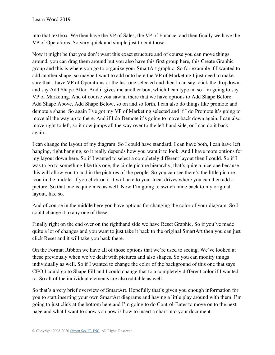into that textbox. We then have the VP of Sales, the VP of Finance, and then finally we have the VP of Operations. So very quick and simple just to edit those.

Now it might be that you don't want this exact structure and of course you can move things around, you can drag them around but you also have this first group here, this Create Graphic group and this is where you go to organize your SmartArt graphic. So for example if I wanted to add another shape, so maybe I want to add onto here the VP of Marketing I just need to make sure that I have VP of Operations or the last one selected and then I can say, click the dropdown and say Add Shape After. And it gives me another box, which I can type in. so I'm going to say VP of Marketing. And of course you saw in there that we have options to Add Shape Before, Add Shape Above, Add Shape Below, so on and so forth. I can also do things like promote and demote a shape. So again I've got my VP of Marketing selected and if I do Promote it's going to move all the way up to there. And if I do Demote it's going to move back down again. I can also move right to left, so it now jumps all the way over to the left hand side, or I can do it back again.

I can change the layout of my diagram. So I could have standard, I can have both, I can have left hanging, right hanging, so it really depends how you want it to look. And I have more options for my layout down here. So if I wanted to select a completely different layout then I could. So if I was to go to something like this one, the circle picture hierarchy, that's quite a nice one because this will allow you to add in the pictures of the people. So you can see there's the little picture icon in the middle. If you click on it it will take to your local drives where you can then add a picture. So that one is quite nice as well. Now I'm going to switch mine back to my original layout, like so.

And of course in the middle here you have options for changing the color of your diagram. So I could change it to any one of these.

Finally right on the end over on the righthand side we have Reset Graphic. So if you've made quite a lot of changes and you want to just take it back to the original SmartArt then you can just click Reset and it will take you back there.

On the Format Ribbon we have all of those options that we're used to seeing. We've looked at these previously when we've dealt with pictures and also shapes. So you can modify things individually as well. So if I wanted to change the color of the background of this one that says CEO I could go to Shape Fill and I could change that to a completely different color if I wanted to. So all of the individual elements are also editable as well.

So that's a very brief overview of SmartArt. Hopefully that's given you enough information for you to start inserting your own SmartArt diagrams and having a little play around with them. I'm going to just click at the bottom here and I'm going to do Control-Enter to move on to the next page and what I want to show you now is how to insert a chart into your document.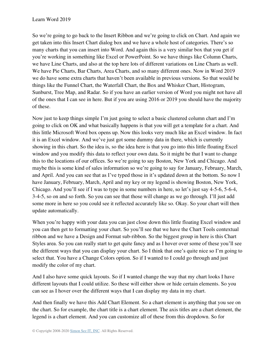So we're going to go back to the Insert Ribbon and we're going to click on Chart. And again we get taken into this Insert Chart dialog box and we have a whole host of categories. There's so many charts that you can insert into Word. And again this is a very similar box that you get if you're working in something like Excel or PowerPoint. So we have things like Column Charts, we have Line Charts, and also at the top here lots of different variations on Line Charts as well. We have Pie Charts, Bar Charts, Area Charts, and so many different ones. Now in Word 2019 we do have some extra charts that haven't been available in previous versions. So that would be things like the Funnel Chart, the Waterfall Chart, the Box and Whisker Chart, Histogram, Sunburst, Tree Map, and Radar. So if you have an earlier version of Word you might not have all of the ones that I can see in here. But if you are using 2016 or 2019 you should have the majority of these.

Now just to keep things simple I'm just going to select a basic clustered column chart and I'm going to click on OK and what basically happens is that you will get a template for a chart. And this little Microsoft Word box opens up. Now this looks very much like an Excel window. In fact it is an Excel window. And we've just got some dummy data in there, which is currently showing in this chart. So the idea is, so the idea here is that you go into this little floating Excel window and you modify this data to reflect your own data. So it might be that I want to change this to the locations of our offices. So we're going to say Boston, New York and Chicago. And maybe this is some kind of sales information so we're going to say for January, February, March, and April. And you can see that as I've typed those in it's updated down at the bottom. So now I have January, February, March, April and my key or my legend is showing Boston, New York, Chicago. And you'll see if I was to type in some numbers in here, so let's just say 4-5-6, 5-6-4, 3-4-5, so on and so forth. So you can see that those will change as we go through. I'll just add some more in here so you could see it reflected accurately like so. Okay. So your chart will then update automatically.

When you're happy with your data you can just close down this little floating Excel window and you can then get to formatting your chart. So you'll see that we have the Chart Tools contextual ribbon and we have a Design and Format sub-ribbon. So the biggest group in here is this Chart Styles area. So you can really start to get quite fancy and as I hover over some of these you'll see the different ways that you can display your chart. So I think that one's quite nice so I'm going to select that. You have a Change Colors option. So if I wanted to I could go through and just modify the color of my chart.

And I also have some quick layouts. So if I wanted change the way that my chart looks I have different layouts that I could utilize. So these will either show or hide certain elements. So you can see as I hover over the different ways that I can display my data in my chart.

And then finally we have this Add Chart Element. So a chart element is anything that you see on the chart. So for example, the chart title is a chart element. The axis titles are a chart element, the legend is a chart element. And you can customize all of these from this dropdown. So for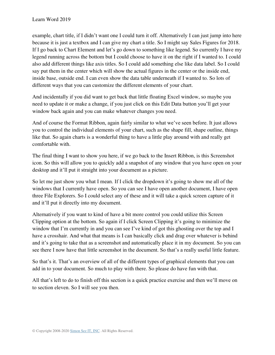example, chart title, if I didn't want one I could turn it off. Alternatively I can just jump into here because it is just a textbox and I can give my chart a title. So I might say Sales Figures for 2018. If I go back to Chart Element and let's go down to something like legend. So currently I have my legend running across the bottom but I could choose to have it on the right if I wanted to. I could also add different things like axis titles. So I could add something else like data label. So I could say put them in the center which will show the actual figures in the center or the inside end, inside base, outside end. I can even show the data table underneath if I wanted to. So lots of different ways that you can customize the different elements of your chart.

And incidentally if you did want to get back that little floating Excel window, so maybe you need to update it or make a change, if you just click on this Edit Data button you'll get your window back again and you can make whatever changes you need.

And of course the Format Ribbon, again fairly similar to what we've seen before. It just allows you to control the individual elements of your chart, such as the shape fill, shape outline, things like that. So again charts is a wonderful thing to have a little play around with and really get comfortable with.

The final thing I want to show you here, if we go back to the Insert Ribbon, is this Screenshot icon. So this will allow you to quickly add a snapshot of any window that you have open on your desktop and it'll put it straight into your document as a picture.

So let me just show you what I mean. If I click the dropdown it's going to show me all of the windows that I currently have open. So you can see I have open another document, I have open three File Explorers. So I could select any of these and it will take a quick screen capture of it and it'll put it directly into my document.

Alternatively if you want to kind of have a bit more control you could utilize this Screen Clipping option at the bottom. So again if I click Screen Clipping it's going to minimize the window that I'm currently in and you can see I've kind of got this ghosting over the top and I have a crosshair. And what that means is I can basically click and drag over whatever is behind and it's going to take that as a screenshot and automatically place it in my document. So you can see there I now have that little screenshot in the document. So that's a really useful little feature.

So that's it. That's an overview of all of the different types of graphical elements that you can add in to your document. So much to play with there. So please do have fun with that.

All that's left to do to finish off this section is a quick practice exercise and then we'll move on to section eleven. So I will see you then.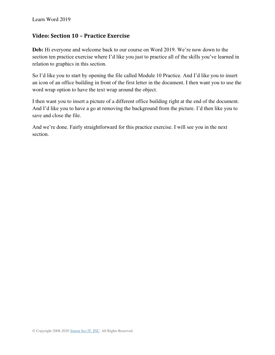### **Video: Section 10 – Practice Exercise**

**Deb:** Hi everyone and welcome back to our course on Word 2019. We're now down to the section ten practice exercise where I'd like you just to practice all of the skills you've learned in relation to graphics in this section.

So I'd like you to start by opening the file called Module 10 Practice. And I'd like you to insert an icon of an office building in front of the first letter in the document. I then want you to use the word wrap option to have the text wrap around the object.

I then want you to insert a picture of a different office building right at the end of the document. And I'd like you to have a go at removing the background from the picture. I'd then like you to save and close the file.

And we're done. Fairly straightforward for this practice exercise. I will see you in the next section.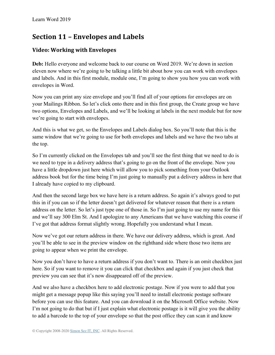# **Section 11 – Envelopes and Labels**

# **Video: Working with Envelopes**

**Deb:** Hello everyone and welcome back to our course on Word 2019. We're down in section eleven now where we're going to be talking a little bit about how you can work with envelopes and labels. And in this first module, module one, I'm going to show you how you can work with envelopes in Word.

Now you can print any size envelope and you'll find all of your options for envelopes are on your Mailings Ribbon. So let's click onto there and in this first group, the Create group we have two options, Envelopes and Labels, and we'll be looking at labels in the next module but for now we're going to start with envelopes.

And this is what we get, so the Envelopes and Labels dialog box. So you'll note that this is the same window that we're going to use for both envelopes and labels and we have the two tabs at the top.

So I'm currently clicked on the Envelopes tab and you'll see the first thing that we need to do is we need to type in a delivery address that's going to go on the front of the envelope. Now you have a little dropdown just here which will allow you to pick something from your Outlook address book but for the time being I'm just going to manually put a delivery address in here that I already have copied to my clipboard.

And then the second large box we have here is a return address. So again it's always good to put this in if you can so if the letter doesn't get delivered for whatever reason that there is a return address on the letter. So let's just type one of those in. So I'm just going to use my name for this and we'll say 300 Elm St. And I apologize to any Americans that we have watching this course if I've got that address format slightly wrong. Hopefully you understand what I mean.

Now we've got our return address in there. We have our delivery address, which is great. And you'll be able to see in the preview window on the righthand side where those two items are going to appear when we print the envelope.

Now you don't have to have a return address if you don't want to. There is an omit checkbox just here. So if you want to remove it you can click that checkbox and again if you just check that preview you can see that it's now disappeared off of the preview.

And we also have a checkbox here to add electronic postage. Now if you were to add that you might get a message popup like this saying you'll need to install electronic postage software before you can use this feature. And you can download it on the Microsoft Office website. Now I'm not going to do that but if I just explain what electronic postage is it will give you the ability to add a barcode to the top of your envelope so that the post office they can scan it and know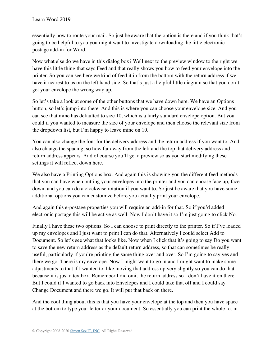essentially how to route your mail. So just be aware that the option is there and if you think that's going to be helpful to you you might want to investigate downloading the little electronic postage add-in for Word.

Now what else do we have in this dialog box? Well next to the preview window to the right we have this little thing that says Feed and that really shows you how to feed your envelope into the printer. So you can see here we kind of feed it in from the bottom with the return address if we have it nearest to us on the left hand side. So that's just a helpful little diagram so that you don't get your envelope the wrong way up.

So let's take a look at some of the other buttons that we have down here. We have an Options button, so let's jump into there. And this is where you can choose your envelope size. And you can see that mine has defaulted to size 10, which is a fairly standard envelope option. But you could if you wanted to measure the size of your envelope and then choose the relevant size from the dropdown list, but I'm happy to leave mine on 10.

You can also change the font for the delivery address and the return address if you want to. And also change the spacing, so how far away from the left and the top that delivery address and return address appears. And of course you'll get a preview so as you start modifying these settings it will reflect down here.

We also have a Printing Options box. And again this is showing you the different feed methods that you can have when putting your envelopes into the printer and you can choose face up, face down, and you can do a clockwise rotation if you want to. So just be aware that you have some additional options you can customize before you actually print your envelope.

And again this e-postage properties you will require an add-in for that. So if you'd added electronic postage this will be active as well. Now I don't have it so I'm just going to click No.

Finally I have these two options. So I can choose to print directly to the printer. So if I've loaded up my envelopes and I just want to print I can do that. Alternatively I could select Add to Document. So let's see what that looks like. Now when I click that it's going to say Do you want to save the new return address as the default return address, so that can sometimes be really useful, particularly if you're printing the same thing over and over. So I'm going to say yes and there we go. There is my envelope. Now I might want to go in and I might want to make some adjustments to that if I wanted to, like moving that address up very slightly so you can do that because it is just a textbox. Remember I did omit the return address so I don't have it on there. But I could if I wanted to go back into Envelopes and I could take that off and I could say Change Document and there we go. It will put that back on there.

And the cool thing about this is that you have your envelope at the top and then you have space at the bottom to type your letter or your document. So essentially you can print the whole lot in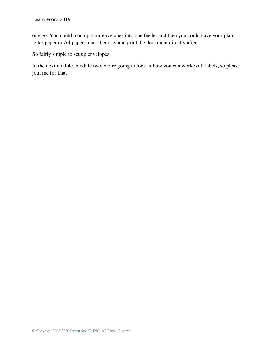one go. You could load up your envelopes into one feeder and then you could have your plain letter paper or A4 paper in another tray and print the document directly after.

So fairly simple to set up envelopes.

In the next module, module two, we're going to look at how you can work with labels, so please join me for that.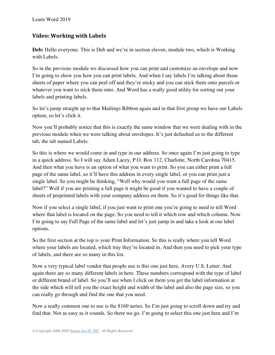## **Video: Working with Labels**

**Deb:** Hello everyone. This is Deb and we're in section eleven, module two, which is Working with Labels.

So in the previous module we discussed how you can print and customize an envelope and now I'm going to show you how you can print labels. And when I say labels I'm talking about those sheets of paper where you can peel off and they're sticky and you can stick them onto parcels or whatever you want to stick them onto. And Word has a really good utility for sorting out your labels and printing labels.

So let's jump straight up to that Mailings Ribbon again and in that first group we have our Labels option, so let's click it.

Now you'll probably notice that this is exactly the same window that we were dealing with in the previous module when we were talking about envelopes. It's just defaulted us to the different tab, the tab named Labels.

So this is where we would come in and type in our address. So once again I'm just going to type in a quick address. So I will say Adam Lacey, P.O. Box 112, Charlotte, North Carolina 70415. And then what you have is an option of what you want to print. So you can either print a full page of the same label, so it'll have this address in every single label, or you can print just a single label. So you might be thinking, "Well why would you want a full page of the same label?" Well if you are printing a full page it might be good if you wanted to have a couple of sheets of preprinted labels with your company address on them. So it's good for things like that.

Now if you select a single label, if you just want to print one you're going to need to tell Word where that label is located on the page. So you need to tell it which row and which column. Now I'm going to say Full Page of the same label and let's just jump in and take a look at our label options.

So the first section at the top is your Print Information. So this is really where you tell Word where your labels are located, which tray they're located in. And then you need to pick your type of labels, and there are so many in this list.

Now a very typical label vendor that people use is this one just here, Avery U.S. Letter. And again there are so many different labels in here. These numbers correspond with the type of label or different brand of label. So you'll see when I click on them you get the label information at the side which will tell you the exact height and width of the label and also the page size, so you can really go through and find the one that you need.

Now a really common one to use is the 8160 series. So I'm just going to scroll down and try and find that. Not as easy as it sounds. So there we go. I'm going to select this one just here and I'm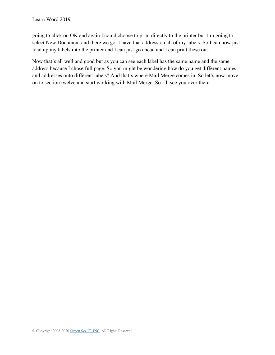going to click on OK and again I could choose to print directly to the printer but I'm going to select New Document and there we go. I have that address on all of my labels. So I can now just load up my labels into the printer and I can just go ahead and I can print these out.

Now that's all well and good but as you can see each label has the same name and the same address because I chose full page. So you might be wondering how do you get different names and addresses onto different labels? And that's where Mail Merge comes in. So let's now move on to section twelve and start working with Mail Merge. So I'll see you over there.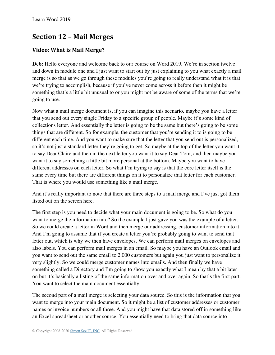# **Section 12 – Mail Merges**

# **Video: What is Mail Merge?**

**Deb:** Hello everyone and welcome back to our course on Word 2019. We're in section twelve and down in module one and I just want to start out by just explaining to you what exactly a mail merge is so that as we go through these modules you're going to really understand what it is that we're trying to accomplish, because if you've never come across it before then it might be something that's a little bit unusual to or you might not be aware of some of the terms that we're going to use.

Now what a mail merge document is, if you can imagine this scenario, maybe you have a letter that you send out every single Friday to a specific group of people. Maybe it's some kind of collections letter. And essentially the letter is going to be the same but there's going to be some things that are different. So for example, the customer that you're sending it to is going to be different each time. And you want to make sure that the letter that you send out is personalized, so it's not just a standard letter they're going to get. So maybe at the top of the letter you want it to say Dear Claire and then in the next letter you want it to say Dear Tom, and then maybe you want it to say something a little bit more personal at the bottom. Maybe you want to have different addresses on each letter. So what I'm trying to say is that the core letter itself is the same every time but there are different things on it to personalize that letter for each customer. That is where you would use something like a mail merge.

And it's really important to note that there are three steps to a mail merge and I've just got them listed out on the screen here.

The first step is you need to decide what your main document is going to be. So what do you want to merge the information into? So the example I just gave you was the example of a letter. So we could create a letter in Word and then merge our addressing, customer information into it. And I'm going to assume that if you create a letter you're probably going to want to send that letter out, which is why we then have envelopes. We can perform mail merges on envelopes and also labels. You can perform mail merges in an email. So maybe you have an Outlook email and you want to send out the same email to 2,000 customers but again you just want to personalize it very slightly. So we could merge customer names into emails. And then finally we have something called a Directory and I'm going to show you exactly what I mean by that a bit later on but it's basically a listing of the same information over and over again. So that's the first part. You want to select the main document essentially.

The second part of a mail merge is selecting your data source. So this is the information that you want to merge into your main document. So it might be a list of customer addresses or customer names or invoice numbers or all three. And you might have that data stored off in something like an Excel spreadsheet or another source. You essentially need to bring that data source into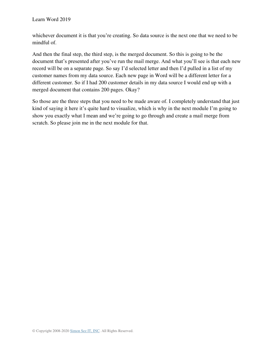whichever document it is that you're creating. So data source is the next one that we need to be mindful of.

And then the final step, the third step, is the merged document. So this is going to be the document that's presented after you've run the mail merge. And what you'll see is that each new record will be on a separate page. So say I'd selected letter and then I'd pulled in a list of my customer names from my data source. Each new page in Word will be a different letter for a different customer. So if I had 200 customer details in my data source I would end up with a merged document that contains 200 pages. Okay?

So those are the three steps that you need to be made aware of. I completely understand that just kind of saying it here it's quite hard to visualize, which is why in the next module I'm going to show you exactly what I mean and we're going to go through and create a mail merge from scratch. So please join me in the next module for that.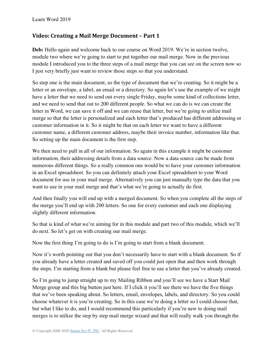### **Video: Creating a Mail Merge Document – Part 1**

**Deb:** Hello again and welcome back to our course on Word 2019. We're in section twelve, module two where we're going to start to put together our mail merge. Now in the previous module I introduced you to the three steps of a mail merge that you can see on the screen now so I just very briefly just want to review those steps so that you understand.

So step one is the main document, so the type of document that we're creating. So it might be a letter or an envelope, a label, an email or a directory. So again let's use the example of we might have a letter that we need to send out every single Friday, maybe some kind of collections letter, and we need to send that out to 200 different people. So what we can do is we can create the letter in Word, we can save it off and we can reuse that letter, but we're going to utilize mail merge so that the letter is personalized and each letter that's produced has different addressing or customer information in it. So it might be that on each letter we want to have a different customer name, a different customer address, maybe their invoice number, information like that. So setting up the main document is the first step.

We then need to pull in all of our information. So again in this example it might be customer information, their addressing details from a data source. Now a data source can be made from numerous different things. So a really common one would be to have your customer information in an Excel spreadsheet. So you can definitely attach your Excel spreadsheet to your Word document for use in your mail merge. Alternatively you can just manually type the data that you want to use in your mail merge and that's what we're going to actually do first.

And then finally you will end up with a merged document. So when you complete all the steps of the merge you'll end up with 200 letters. So one for every customer and each one displaying slightly different information.

So that is kind of what we're aiming for in this module and part two of this module, which we'll do next. So let's get on with creating our mail merge.

Now the first thing I'm going to do is I'm going to start from a blank document.

Now it's worth pointing out that you don't necessarily have to start with a blank document. So if you already have a letter created and saved off you could just open that and then work through the steps. I'm starting from a blank but please feel free to use a letter that you've already created.

So I'm going to jump straight up to my Mailing Ribbon and you'll see we have a Start Mail Merge group and this big button just here. If I click it you'll see there we have the five things that we've been speaking about. So letters, email, envelopes, labels, and directory. So you could choose whatever it is you're creating. So in this case we're doing a letter so I could choose that, but what I like to do, and I would recommend this particularly if you're new to doing mail merges is to utilize the step by step mail merge wizard and that will really walk you through the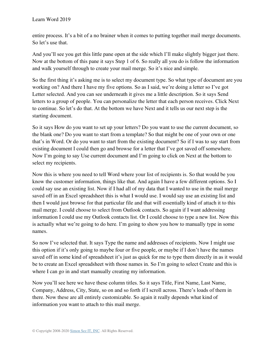entire process. It's a bit of a no brainer when it comes to putting together mail merge documents. So let's use that.

And you'll see you get this little pane open at the side which I'll make slightly bigger just there. Now at the bottom of this pane it says Step 1 of 6. So really all you do is follow the information and walk yourself through to create your mail merge. So it's nice and simple.

So the first thing it's asking me is to select my document type. So what type of document are you working on? And there I have my five options. So as I said, we're doing a letter so I've got Letter selected. And you can see underneath it gives me a little description. So it says Send letters to a group of people. You can personalize the letter that each person receives. Click Next to continue. So let's do that. At the bottom we have Next and it tells us our next step is the starting document.

So it says How do you want to set up your letters? Do you want to use the current document, so the blank one? Do you want to start from a template? So that might be one of your own or one that's in Word. Or do you want to start from the existing document? So if I was to say start from existing document I could then go and browse for a letter that I've got saved off somewhere. Now I'm going to say Use current document and I'm going to click on Next at the bottom to select my recipients.

Now this is where you need to tell Word where your list of recipients is. So that would be you know the customer information, things like that. And again I have a few different options. So I could say use an existing list. Now if I had all of my data that I wanted to use in the mail merge saved off in an Excel spreadsheet this is what I would use. I would say use an existing list and then I would just browse for that particular file and that will essentially kind of attach it to this mail merge. I could choose to select from Outlook contacts. So again if I want addressing information I could use my Outlook contacts list. Or I could choose to type a new list. Now this is actually what we're going to do here. I'm going to show you how to manually type in some names.

So now I've selected that. It says Type the name and addresses of recipients. Now I might use this option if it's only going to maybe four or five people, or maybe if I don't have the names saved off in some kind of spreadsheet it's just as quick for me to type them directly in as it would be to create an Excel spreadsheet with those names in. So I'm going to select Create and this is where I can go in and start manually creating my information.

Now you'll see here we have these column titles. So it says Title, First Name, Last Name, Company, Address, City, State, so on and so forth if I scroll across. There's loads of them in there. Now these are all entirely customizable. So again it really depends what kind of information you want to attach to this mail merge.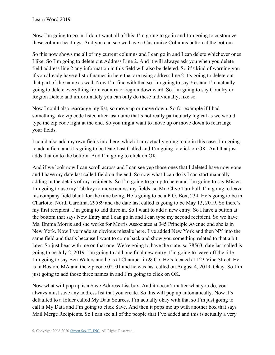Now I'm going to go in. I don't want all of this. I'm going to go in and I'm going to customize these column headings. And you can see we have a Customize Columns button at the bottom.

So this now shows me all of my current columns and I can go in and I can delete whichever ones I like. So I'm going to delete out Address Line 2. And it will always ask you when you delete field address line 2 any information in this field will also be deleted. So it's kind of warning you if you already have a list of names in here that are using address line 2 it's going to delete out that part of the name as well. Now I'm fine with that so I'm going to say Yes and I'm actually going to delete everything from country or region downward. So I'm going to say Country or Region Delete and unfortunately you can only do these individually, like so.

Now I could also rearrange my list, so move up or move down. So for example if I had something like zip code listed after last name that's not really particularly logical as we would type the zip code right at the end. So you might want to move up or move down to rearrange your fields.

I could also add my own fields into here, which I am actually going to do in this case. I'm going to add a field and it's going to be Date Last Called and I'm going to click on OK. And that just adds that on to the bottom. And I'm going to click on OK.

And if we look now I can scroll across and I can see yep those ones that I deleted have now gone and I have my date last called field on the end. So now what I can do is I can start manually adding in the details of my recipients. So I'm going to go up to here and I'm going to say Mister, I'm going to use my Tab key to move across my fields, so Mr. Clive Turnbull. I'm going to leave his company field blank for the time being. He's going to be a P.O. Box, 234. He's going to be in Charlotte, North Carolina, 29589 and the date last called is going to be May 13, 2019. So there's my first recipient. I'm going to add three in. So I want to add a new entry. So I have a button at the bottom that says New Entry and I can go in and I can type my second recipient. So we have Ms. Emma Morris and she works for Morris Associates at 345 Principle Avenue and she is in New York. Now I've made an obvious mistake here. I've added New York and then NY into the same field and that's because I want to come back and show you something related to that a bit later. So just bear with me on that one. We're going to have the state, so 78563, date last called is going to be July 2, 2019. I'm going to add one final new entry. I'm going to leave off the title. I'm going to say Ben Waters and he is at Chamberlin & Co. He's located at 123 Vine Street. He is in Boston, MA and the zip code 02101 and he was last called on August 4, 2019. Okay. So I'm just going to add those three names in and I'm going to click on OK.

Now what will pop up is a Save Address List box. And it doesn't matter what you do, you always must save any address list that you create. So this will pop up automatically. Now it's defaulted to a folder called My Data Sources. I'm actually okay with that so I'm just going to call it My Data and I'm going to click Save. And then it pops me up with another box that says Mail Merge Recipients. So I can see all of the people that I've added and this is actually a very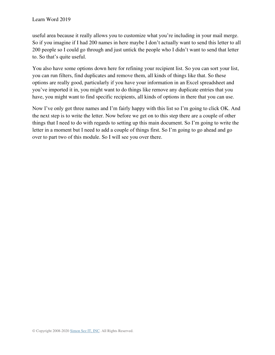useful area because it really allows you to customize what you're including in your mail merge. So if you imagine if I had 200 names in here maybe I don't actually want to send this letter to all 200 people so I could go through and just untick the people who I didn't want to send that letter to. So that's quite useful.

You also have some options down here for refining your recipient list. So you can sort your list, you can run filters, find duplicates and remove them, all kinds of things like that. So these options are really good, particularly if you have your information in an Excel spreadsheet and you've imported it in, you might want to do things like remove any duplicate entries that you have, you might want to find specific recipients, all kinds of options in there that you can use.

Now I've only got three names and I'm fairly happy with this list so I'm going to click OK. And the next step is to write the letter. Now before we get on to this step there are a couple of other things that I need to do with regards to setting up this main document. So I'm going to write the letter in a moment but I need to add a couple of things first. So I'm going to go ahead and go over to part two of this module. So I will see you over there.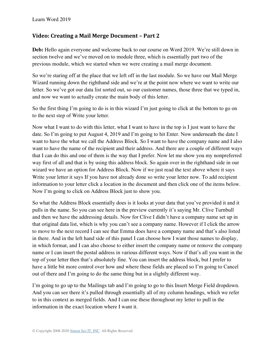### **Video: Creating a Mail Merge Document – Part 2**

**Deb:** Hello again everyone and welcome back to our course on Word 2019. We're still down in section twelve and we've moved on to module three, which is essentially part two of the previous module, which we started when we were creating a mail merge document.

So we're staring off at the place that we left off in the last module. So we have our Mail Merge Wizard running down the righthand side and we're at the point now where we want to write our letter. So we've got our data list sorted out, so our customer names, those three that we typed in, and now we want to actually create the main body of this letter.

So the first thing I'm going to do is in this wizard I'm just going to click at the bottom to go on to the next step of Write your letter.

Now what I want to do with this letter, what I want to have in the top is I just want to have the date. So I'm going to put August 4, 2019 and I'm going to hit Enter. Now underneath the date I want to have the what we call the Address Block. So I want to have the company name and I also want to have the name of the recipient and their address. And there are a couple of different ways that I can do this and one of them is the way that I prefer. Now let me show you my nonpreferred way first of all and that is by using this address block. So again over in the righthand side in our wizard we have an option for Address Block. Now if we just read the text above where it says Write your letter it says If you have not already done so write your letter now. To add recipient information to your letter click a location in the document and then click one of the items below. Now I'm going to click on Address Block just to show you.

So what the Address Block essentially does is it looks at your data that you've provided it and it pulls in the name. So you can see here in the preview currently it's saying Mr. Clive Turnbull and then we have the addressing details. Now for Clive I didn't have a company name set up in that original data list, which is why you can't see a company name. However if I click the arrow to move to the next record I can see that Emma does have a company name and that's also listed in there. And in the left hand side of this panel I can choose how I want those names to display, in which format, and I can also choose to either insert the company name or remove the company name or I can insert the postal address in various different ways. Now if that's all you want in the top of your letter then that's absolutely fine. You can insert the address block, but I prefer to have a little bit more control over how and where these fields are placed so I'm going to Cancel out of there and I'm going to do the same thing but in a slightly different way.

I'm going to go up to the Mailings tab and I'm going to go to this Insert Merge Field dropdown. And you can see there it's pulled through essentially all of my column headings, which we refer to in this context as merged fields. And I can use these throughout my letter to pull in the information in the exact location where I want it.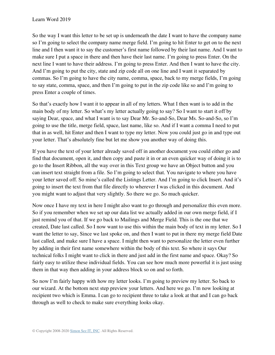So the way I want this letter to be set up is underneath the date I want to have the company name so I'm going to select the company name merge field. I'm going to hit Enter to get on to the next line and I then want it to say the customer's first name followed by their last name. And I want to make sure I put a space in there and then have their last name. I'm going to press Enter. On the next line I want to have their address. I'm going to press Enter. And then I want to have the city. And I'm going to put the city, state and zip code all on one line and I want it separated by commas. So I'm going to have the city name, comma, space, back to my merge fields, I'm going to say state, comma, space, and then I'm going to put in the zip code like so and I'm going to press Enter a couple of times.

So that's exactly how I want it to appear in all of my letters. What I then want is to add in the main body of my letter. So what's my letter actually going to say? So I want to start it off by saying Dear, space, and what I want is to say Dear Mr. So-and-So, Dear Ms. So-and-So, so I'm going to use the title, merge field, space, last name, like so. And if I want a comma I need to put that in as well, hit Enter and then I want to type my letter. Now you could just go in and type out your letter. That's absolutely fine but let me show you another way of doing this.

If you have the text of your letter already saved off in another document you could either go and find that document, open it, and then copy and paste it in or an even quicker way of doing it is to go to the Insert Ribbon, all the way over in this Text group we have an Object button and you can insert text straight from a file. So I'm going to select that. You navigate to where you have your letter saved off. So mine's called the Listings Letter. And I'm going to click Insert. And it's going to insert the text from that file directly to wherever I was clicked in this document. And you might want to adjust that very slightly. So there we go. So much quicker.

Now once I have my text in here I might also want to go through and personalize this even more. So if you remember when we set up our data list we actually added in our own merge field, if I just remind you of that. If we go back to Mailings and Merge Field. This is the one that we created, Date last called. So I now want to use this within the main body of text in my letter. So I want the letter to say, Since we last spoke on, and then I want to put in there my merge field Date last called, and make sure I have a space. I might then want to personalize the letter even further by adding in their first name somewhere within the body of this text. So where it says Our technical folks I might want to click in there and just add in the first name and space. Okay? So fairly easy to utilize these individual fields. You can see how much more powerful it is just using them in that way then adding in your address block so on and so forth.

So now I'm fairly happy with how my letter looks. I'm going to preview my letter. So back to our wizard. At the bottom next step preview your letters. And here we go. I'm now looking at recipient two which is Emma. I can go to recipient three to take a look at that and I can go back through as well to check to make sure everything looks okay.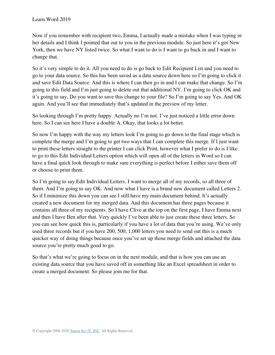Now if you remember with recipient two, Emma, I actually made a mistake when I was typing in her details and I think I pointed that out to you in the previous module. So just here it's got New York, then we have NY listed twice. So what I want to do is I want to go back in and I want to change that.

So it's very simple to do it. All you need to do is go back to Edit Recipient List and you need to go to your data source. So this has been saved as a data source down here so I'm going to click it and save Edit Data Source. And this is where I can then go in and I can make that change. So I'm going to this field and I'm just going to delete out that additional NY. I'm going to click OK and it's going to say, Do you want to save this change to your file? So I'm going to say Yes. And OK again. And you'll see that immediately that's updated in the preview of my letter.

So looking through I'm pretty happy. Actually no I'm not. I've just noticed a little error down here. So I can see here I have a double A. Okay, that looks a lot better.

So now I'm happy with the way my letters look I'm going to go down to the final stage which is complete the merge and I'm going to get two ways that I can complete this merge. If I just want to print these letters straight to the printer I can click Print, however what I prefer to do is I like to go to this Edit Individual Letters option which will open all of the letters in Word so I can have a final quick look through to make sure everything is perfect before I either save them off or choose to print them.

So I'm going to say Edit Individual Letters. I want to merge all of my records, so all three of them. And I'm going to say OK. And now what I have is a brand new document called Letters 2. So if I minimize this down you can see I still have my main document behind. It's actually created a new document for my merged data. And this document has three pages because it contains all three of my recipients. So I have Clive at the top on the first page, I have Emma next and then I have Ben after that. Very quickly I've been able to just create these three letters. So you can see how quick this is, particularly if you have a lot of data that you're using. We've only used three records but if you have 200, 500, 1,000 letters you need to send out this is a much quicker way of doing things because once you've set up those merge fields and attached the data source you're pretty much good to go.

So that's what we're going to focus on in the next module, and that is how you can use an existing data source that you have saved off in something like an Excel spreadsheet in order to create a merged document. So please join me for that.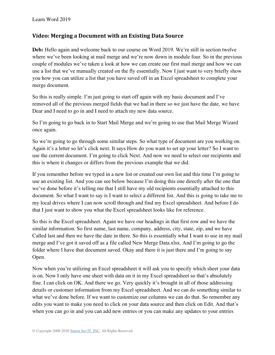#### **Video: Merging a Document with an Existing Data Source**

Deb: Hello again and welcome back to our course on Word 2019. We're still in section twelve where we've been looking at mail merge and we're now down in module four. So in the previous couple of modules we've taken a look at how we can create our first mail merge and how we can use a list that we've manually created on the fly essentially. Now I just want to very briefly show you how you can utilize a list that you have saved off in an Excel spreadsheet to complete your merge document.

So this is really simple. I'm just going to start off again with my basic document and I've removed all of the previous merged fields that we had in there so we just have the date, we have Dear and I need to go in and I need to attach my new data source.

So I'm going to go back in to Start Mail Merge and we're going to use that Mail Merge Wizard once again.

So we're going to go through some similar steps. So what type of document are you working on. Again it's a letter so let's click next. It says How do you want to set up your letter? So I want to use the current document. I'm going to click Next. And now we need to select our recipients and this is where it changes or differs from the previous example that we did.

If you remember before we typed in a new list or created our own list and this time I'm going to use an existing list. And you can see below because I'm doing this one directly after the one that we've done before it's telling me that I still have my old recipients essentially attached to this document. So what I want to say is I want to select a different list. And this is going to take me to my local drives where I can now scroll through and find my Excel spreadsheet. And before I do that I just want to show you what the Excel spreadsheet looks like for reference.

So this is the Excel spreadsheet. Again we have our headings in that first row and we have the similar information. So first name, last name, company, address, city, state, zip, and we have Called last and then we have the date in there. So this is essentially what I want to use in my mail merge and I've got it saved off as a file called New Merge Data.xlsx. And I'm going to go the folder where I have that document saved. Okay and there it is just there and I'm going to say Open.

Now when you're utilizing an Excel spreadsheet it will ask you to specify which sheet your data is on. Now I only have one sheet with data on it in my Excel spreadsheet so that's absolutely fine. I can click on OK. And there we go. Very quickly it's brought in all of those addressing details or customer information from my Excel spreadsheet. And we can do something similar to what we've done before. If we want to customize our columns we can do that. So remember any edits you want to make you need to click on your data source and then click on Edit. And that's when you can go in and you can add new entries or you can make any updates to your entries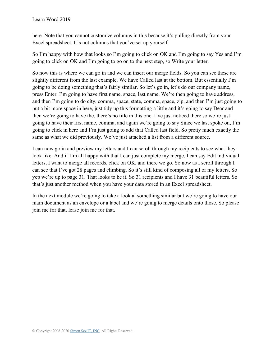here. Note that you cannot customize columns in this because it's pulling directly from your Excel spreadsheet. It's not columns that you've set up yourself.

So I'm happy with how that looks so I'm going to click on OK and I'm going to say Yes and I'm going to click on OK and I'm going to go on to the next step, so Write your letter.

So now this is where we can go in and we can insert our merge fields. So you can see these are slightly different from the last example. We have Called last at the bottom. But essentially I'm going to be doing something that's fairly similar. So let's go in, let's do our company name, press Enter. I'm going to have first name, space, last name. We're then going to have address, and then I'm going to do city, comma, space, state, comma, space, zip, and then I'm just going to put a bit more space in here, just tidy up this formatting a little and it's going to say Dear and then we're going to have the, there's no title in this one. I've just noticed there so we're just going to have their first name, comma, and again we're going to say Since we last spoke on, I'm going to click in here and I'm just going to add that Called last field. So pretty much exactly the same as what we did previously. We've just attached a list from a different source.

I can now go in and preview my letters and I can scroll through my recipients to see what they look like. And if I'm all happy with that I can just complete my merge, I can say Edit individual letters, I want to merge all records, click on OK, and there we go. So now as I scroll through I can see that I've got 28 pages and climbing. So it's still kind of composing all of my letters. So yep we're up to page 31. That looks to be it. So 31 recipients and I have 31 beautiful letters. So that's just another method when you have your data stored in an Excel spreadsheet.

In the next module we're going to take a look at something similar but we're going to have our main document as an envelope or a label and we're going to merge details onto those. So please join me for that. lease join me for that.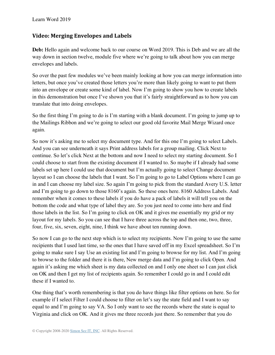### **Video: Merging Envelopes and Labels**

**Deb:** Hello again and welcome back to our course on Word 2019. This is Deb and we are all the way down in section twelve, module five where we're going to talk about how you can merge envelopes and labels.

So over the past few modules we've been mainly looking at how you can merge information into letters, but once you've created those letters you're more than likely going to want to put them into an envelope or create some kind of label. Now I'm going to show you how to create labels in this demonstration but once I've shown you that it's fairly straightforward as to how you can translate that into doing envelopes.

So the first thing I'm going to do is I'm starting with a blank document. I'm going to jump up to the Mailings Ribbon and we're going to select our good old favorite Mail Merge Wizard once again.

So now it's asking me to select my document type. And for this one I'm going to select Labels. And you can see underneath it says Print address labels for a group mailing. Click Next to continue. So let's click Next at the bottom and now I need to select my starting document. So I could choose to start from the existing document if I wanted to. So maybe if I already had some labels set up here I could use that document but I'm actually going to select Change document layout so I can choose the labels that I want. So I'm going to go to Label Options where I can go in and I can choose my label size. So again I'm going to pick from the standard Avery U.S. letter and I'm going to go down to those 8160's again. So these ones here. 8160 Address Labels. And remember when it comes to these labels if you do have a pack of labels it will tell you on the bottom the code and what type of label they are. So you just need to come into here and find those labels in the list. So I'm going to click on OK and it gives me essentially my grid or my layout for my labels. So you can see that I have three across the top and then one, two, three, four, five, six, seven, eight, nine, I think we have about ten running down.

So now I can go to the next step which is to select my recipients. Now I'm going to use the same recipients that I used last time, so the ones that I have saved off in my Excel spreadsheet. So I'm going to make sure I say Use an existing list and I'm going to browse for my list. And I'm going to browse to the folder and there it is there, New merge data and I'm going to click Open. And again it's asking me which sheet is my data collected on and I only one sheet so I can just click on OK and then I get my list of recipients again. So remember I could go in and I could edit these if I wanted to.

One thing that's worth remembering is that you do have things like filter options on here. So for example if I select Filter I could choose to filter on let's say the state field and I want to say equal to and I'm going to say VA. So I only want to see the records where the state is equal to Virginia and click on OK. And it gives me three records just there. So remember that you do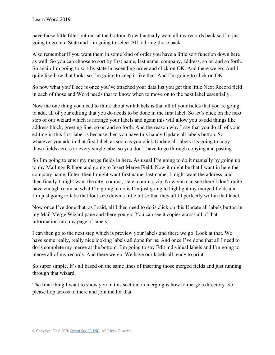have those little filter buttons at the bottom. Now I actually want all my records back so I'm just going to go into State and I'm going to select All to bring those back.

Also remember if you want them in some kind of order you have a little sort function down here as well. So you can choose to sort by first name, last name, company, address, so on and so forth. So again I'm going to sort by state in ascending order and click on OK. And there we go. And I quite like how that looks so I'm going to keep it like that. And I'm going to click on OK.

So now what you'll see is once you've attached your data list you get this little Next Record field in each of those and Word needs that to know when to move on to the next label essentially.

Now the one thing you need to think about with labels is that all of your fields that you're going to add, all of your editing that you do needs to be done in the first label. So let's click on the next step of our wizard which is arrange your labels and again this will allow you to add things like address block, greeting line, so on and so forth. And the reason why I say that you do all of your editing in this first label is because then you have this handy Update all labels button. So whatever you add in that first label, as soon as you click Update all labels it's going to copy those fields across to every single label so you don't have to go through copying and pasting.

So I'm going to enter my merge fields in here. As usual I'm going to do it manually by going up to my Mailings Ribbon and going to Insert Merge Field. Now it might be that I want in here the company name, Enter, then I might want first name, last name, I might want the address, and then finally I might want the city, comma, state, comma, zip. Now you can see there I don't quite have enough room so what I'm going to do is I'm just going to highlight my merged fields and I'm just going to take that font size down a little bit so that they all fit perfectly within that label.

Now once I've done that, as I said, all I then need to do is click on this Update all labels button in my Mail Merge Wizard pane and there you go. You can see it copies across all of that information into my page of labels.

I can then go to the next step which is preview your labels and there we go. Look at that. We have some really, really nice looking labels all done for us. And once I've done that all I need to do is complete my merge at the bottom. I'm going to say Edit individual labels and I'm going to merge all of my records. And there we go. We have our labels all ready to print.

So super simple. It's all based on the same lines of inserting those merged fields and just running through that wizard.

The final thing I want to show you in this section on merging is how to merge a directory. So please hop across to there and join me for that.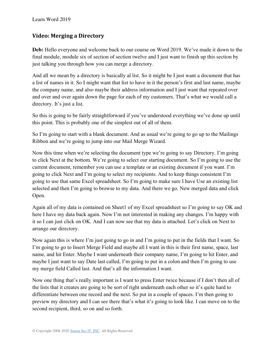### **Video: Merging a Directory**

**Deb:** Hello everyone and welcome back to our course on Word 2019. We've made it down to the final module, module six of section of section twelve and I just want to finish up this section by just talking you through how you can merge a directory.

And all we mean by a directory is basically al list. So it might be I just want a document that has a list of names in it. So I might want that list to have in it the person's first and last name, maybe the company name, and also maybe their address information and I just want that repeated over and over and over again down the page for each of my customers. That's what we would call a directory. It's just a list.

So this is going to be fairly straightforward if you've understood everything we've done up until this point. This is probably one of the simplest out of all of them.

So I'm going to start with a blank document. And as usual we're going to go up to the Mailings Ribbon and we're going to jump into our Mail Merge Wizard.

Now this time when we're selecting the document type we're going to say Directory. I'm going to click Next at the bottom. We're going to select our starting document. So I'm going to use the current document, remember you can use a template or an existing document if you want. I'm going to click Next and I'm going to select my recipients. And to keep things consistent I'm going to use that same Excel spreadsheet. So I'm going to make sure I have Use an existing list selected and then I'm going to browse to my data. And there we go. New merged data and click Open.

Again all of my data is contained on Sheet1 of my Excel spreadsheet so I'm going to say OK and here I have my data back again. Now I'm not interested in making any changes. I'm happy with it so I can just click on OK. And I can now see that my data is attached. Let's click on Next to arrange our directory.

Now again this is where I'm just going to go in and I'm going to put in the fields that I want. So I'm going to go to Insert Merge Field and maybe all I want in this is their first name, space, last name, and hit Enter. Maybe I want underneath their company name, I'm going to hit Enter, and maybe I just want to say Date last called, I'm going to put in a colon and then I'm going to use my merge field Called last. And that's all the information I want.

Now one thing that's really important is I want to press Enter twice because if I don't then all of the lists that it creates are going to be sort of right underneath each other so it's quite hard to differentiate between one record and the next. So put in a couple of spaces. I'm then going to preview my directory and I can see there that's what it's going to look like. I can move on to the second recipient, third, so on and so forth.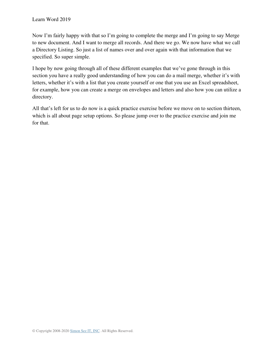Now I'm fairly happy with that so I'm going to complete the merge and I'm going to say Merge to new document. And I want to merge all records. And there we go. We now have what we call a Directory Listing. So just a list of names over and over again with that information that we specified. So super simple.

I hope by now going through all of these different examples that we've gone through in this section you have a really good understanding of how you can do a mail merge, whether it's with letters, whether it's with a list that you create yourself or one that you use an Excel spreadsheet, for example, how you can create a merge on envelopes and letters and also how you can utilize a directory.

All that's left for us to do now is a quick practice exercise before we move on to section thirteen, which is all about page setup options. So please jump over to the practice exercise and join me for that.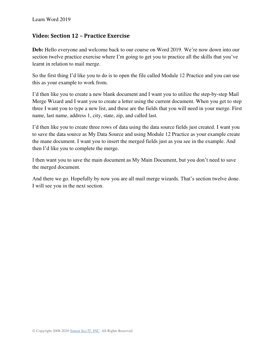### **Video: Section 12 – Practice Exercise**

**Deb:** Hello everyone and welcome back to our course on Word 2019. We're now down into our section twelve practice exercise where I'm going to get you to practice all the skills that you've learnt in relation to mail merge.

So the first thing I'd like you to do is to open the file called Module 12 Practice and you can use this as your example to work from.

I'd then like you to create a new blank document and I want you to utilize the step-by-step Mail Merge Wizard and I want you to create a letter using the current document. When you get to step three I want you to type a new list, and these are the fields that you will need in your merge. First name, last name, address 1, city, state, zip, and called last.

I'd then like you to create three rows of data using the data source fields just created. I want you to save the data source as My Data Source and using Module 12 Practice as your example create the mane document. I want you to insert the merged fields just as you see in the example. And then I'd like you to complete the merge.

I then want you to save the main document as My Main Document, but you don't need to save the merged document.

And there we go. Hopefully by now you are all mail merge wizards. That's section twelve done. I will see you in the next section.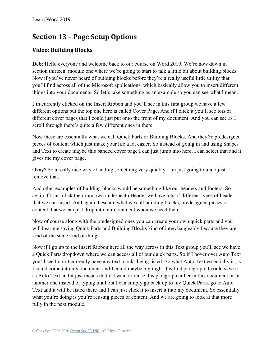# **Section 13 – Page Setup Options**

## **Video: Building Blocks**

**Deb:** Hello everyone and welcome back to our course on Word 2019. We're now down in section thirteen, module one where we're going to start to talk a little bit about building blocks. Now if you've never heard of building blocks before they're a really useful little utility that you'll find across all of the Microsoft applications, which basically allow you to insert different things into your documents. So let's take something as an example so you can see what I mean.

I'm currently clicked on the Insert Ribbon and you'll see in this first group we have a few different options but the top one here is called Cover Page. And if I click it you'll see lots of different cover pages that I could just put onto the front of my document. And you can see as I scroll through there's quite a few different ones in there.

Now these are essentially what we call Quick Parts or Building Blocks. And they're predesigned pieces of content which just make your life a lot easier. So instead of going in and using Shapes and Text to create maybe this banded cover page I can just jump into here, I can select that and it gives me my cover page.

Okay? So a really nice way of adding something very quickly. I'm just going to undo just remove that.

And other examples of building blocks would be something like our headers and footers. So again if I just click the dropdown underneath Header we have lots of different types of header that we can insert. And again these are what we call building blocks, predesigned pieces of content that we can just drop into our document when we need them.

Now of course along with the predesigned ones you can create your own quick parts and you will hear me saying Quick Parts and Building Blocks kind of interchangeably because they are kind of the same kind of thing.

Now if I go up to the Insert Ribbon here all the way across in this Text group you'll see we have a Quick Parts dropdown where we can access all of our quick parts. So if I hover over Auto Text you'll see I don't currently have any text blocks being listed. So what Auto Text essentially is, is I could come into my document and I could maybe highlight this first paragraph, I could save it as Auto Text and it just means that if I want to reuse this paragraph either in this document or in another one instead of typing it all out I can simply go back up to my Quick Parts, go to Auto Text and it will be listed there and I can just click it to insert it into my document. So essentially what you're doing is you're reusing pieces of content. And we are going to look at that more fully in the next module.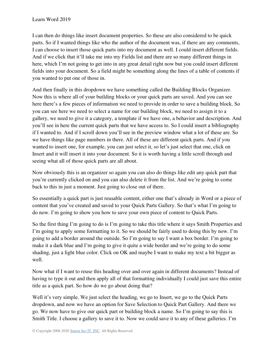I can then do things like insert document properties. So these are also considered to be quick parts. So if I wanted things like who the author of the document was, if there are any comments, I can choose to insert those quick parts into my document as well. I could insert different fields. And if we click that it'll take me into my Fields list and there are so many different things in here, which I'm not going to get into in any great detail right now but you could insert different fields into your document. So a field might be something along the lines of a table of contents if you wanted to put one of those in.

And then finally in this dropdown we have something called the Building Blocks Organizer. Now this is where all of your building blocks or your quick parts are saved. And you can see here there's a few pieces of information we need to provide in order to save a building block. So you can see here we need to select a name for our building block, we need to assign it to a gallery, we need to give it a category, a template if we have one, a behavior and description. And you'll see in here the current quick parts that we have access to. So I could insert a bibliography if I wanted to. And if I scroll down you'll see in the preview window what a lot of these are. So we have things like page numbers in there. All of these are different quick parts. And if you wanted to insert one, for example, you can just select it, so let's just select that one, click on Insert and it will insert it into your document. So it is worth having a little scroll through and seeing what all of those quick parts are all about.

Now obviously this is an organizer so again you can also do things like edit any quick part that you're currently clicked on and you can also delete it from the list. And we're going to come back to this in just a moment. Just going to close out of there.

So essentially a quick part is just reusable content, either one that's already in Word or a piece of content that you've created and saved to your Quick Parts Gallery. So that's what I'm going to do now. I'm going to show you how to save your own piece of content to Quick Parts.

So the first thing I'm going to do is I'm going to take this title where it says Smith Properties and I'm going to apply some formatting to it. So we should be fairly used to doing this by now. I'm going to add a border around the outside. So I'm going to say I want a box border. I'm going to make it a dark blue and I'm going to give it quite a wide border and we're going to do some shading, just a light blue color. Click on OK and maybe I want to make my text a bit bigger as well.

Now what if I want to reuse this heading over and over again in different documents? Instead of having to type it out and then apply all of that formatting individually I could just save this entire title as a quick part. So how do we go about doing that?

Well it's very simple. We just select the heading, we go to Insert, we go to the Quick Parts dropdown, and now we have an option for Save Selection to Quick Part Gallery. And there we go. We now have to give our quick part or building block a name. So I'm going to say this is Smith Title. I choose a gallery to save it to. Now we could save it to any of these galleries. I'm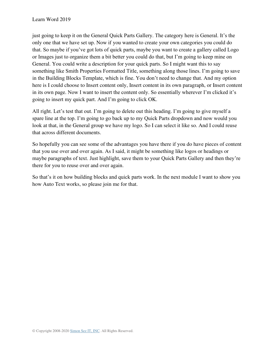just going to keep it on the General Quick Parts Gallery. The category here is General. It's the only one that we have set up. Now if you wanted to create your own categories you could do that. So maybe if you've got lots of quick parts, maybe you want to create a gallery called Logo or Images just to organize them a bit better you could do that, but I'm going to keep mine on General. You could write a description for your quick parts. So I might want this to say something like Smith Properties Formatted Title, something along those lines. I'm going to save in the Building Blocks Template, which is fine. You don't need to change that. And my option here is I could choose to Insert content only, Insert content in its own paragraph, or Insert content in its own page. Now I want to insert the content only. So essentially wherever I'm clicked it's going to insert my quick part. And I'm going to click OK.

All right. Let's test that out. I'm going to delete out this heading. I'm going to give myself a spare line at the top. I'm going to go back up to my Quick Parts dropdown and now would you look at that, in the General group we have my logo. So I can select it like so. And I could reuse that across different documents.

So hopefully you can see some of the advantages you have there if you do have pieces of content that you use over and over again. As I said, it might be something like logos or headings or maybe paragraphs of text. Just highlight, save them to your Quick Parts Gallery and then they're there for you to reuse over and over again.

So that's it on how building blocks and quick parts work. In the next module I want to show you how Auto Text works, so please join me for that.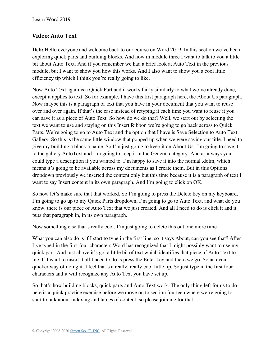### **Video: Auto Text**

Deb: Hello everyone and welcome back to our course on Word 2019. In this section we've been exploring quick parts and building blocks. And now in module three I want to talk to you a little bit about Auto Text. And if you remember we had a brief look at Auto Text in the previous module, but I want to show you how this works. And I also want to show you a cool little efficiency tip which I think you're really going to like.

Now Auto Text again is a Quick Part and it works fairly similarly to what we've already done, except it applies to text. So for example, I have this first paragraph here, the About Us paragraph. Now maybe this is a paragraph of text that you have in your document that you want to reuse over and over again. If that's the case instead of retyping it each time you want to reuse it you can save it as a piece of Auto Text. So how do we do that? Well, we start out by selecting the text we want to use and staying on this Insert Ribbon we're going to go back across to Quick Parts. We're going to go to Auto Text and the option that I have is Save Selection to Auto Text Gallery. So this is the same little window that popped up when we were saving our title. I need to give my building a block a name. So I'm just going to keep it on About Us. I'm going to save it to the gallery AutoText and I'm going to keep it in the General category. And as always you could type a description if you wanted to. I'm happy to save it into the normal .dotm, which means it's going to be available across my documents as I create them. But in this Options dropdown previously we inserted the content only but this time because it is a paragraph of text I want to say Insert content in its own paragraph. And I'm going to click on OK.

So now let's make sure that that worked. So I'm going to press the Delete key on my keyboard, I'm going to go up to my Quick Parts dropdown, I'm going to go to Auto Text, and what do you know, there is our piece of Auto Text that we just created. And all I need to do is click it and it puts that paragraph in, in its own paragraph.

Now something else that's really cool. I'm just going to delete this out one more time.

What you can also do is if I start to type in the first line, so it says About, can you see that? After I've typed in the first four characters Word has recognized that I might possibly want to use my quick part. And just above it's got a little bit of text which identifies that piece of Auto Text to me. If I want to insert it all I need to do is press the Enter key and there we go. So an even quicker way of doing it. I feel that's a really, really cool little tip. So just type in the first four characters and it will recognize any Auto Text you have set up.

So that's how building blocks, quick parts and Auto Text work. The only thing left for us to do here is a quick practice exercise before we move on to section fourteen where we're going to start to talk about indexing and tables of content, so please join me for that.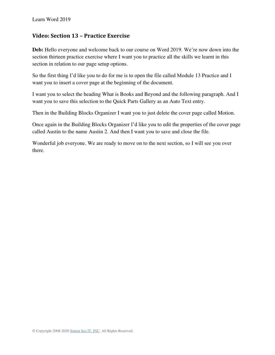### **Video: Section 13 – Practice Exercise**

**Deb:** Hello everyone and welcome back to our course on Word 2019. We're now down into the section thirteen practice exercise where I want you to practice all the skills we learnt in this section in relation to our page setup options.

So the first thing I'd like you to do for me is to open the file called Module 13 Practice and I want you to insert a cover page at the beginning of the document.

I want you to select the heading What is Books and Beyond and the following paragraph. And I want you to save this selection to the Quick Parts Gallery as an Auto Text entry.

Then in the Building Blocks Organizer I want you to just delete the cover page called Motion.

Once again in the Building Blocks Organizer I'd like you to edit the properties of the cover page called Austin to the name Austin 2. And then I want you to save and close the file.

Wonderful job everyone. We are ready to move on to the next section, so I will see you over there.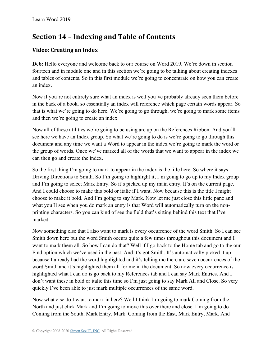# **Section 14 – Indexing and Table of Contents**

## **Video: Creating an Index**

**Deb:** Hello everyone and welcome back to our course on Word 2019. We're down in section fourteen and in module one and in this section we're going to be talking about creating indexes and tables of contents. So in this first module we're going to concentrate on how you can create an index.

Now if you're not entirely sure what an index is well you've probably already seen them before in the back of a book. so essentially an index will reference which page certain words appear. So that is what we're going to do here. We're going to go through, we're going to mark some items and then we're going to create an index.

Now all of these utilities we're going to be using are up on the References Ribbon. And you'll see here we have an Index group. So what we're going to do is we're going to go through this document and any time we want a Word to appear in the index we're going to mark the word or the group of words. Once we've marked all of the words that we want to appear in the index we can then go and create the index.

So the first thing I'm going to mark to appear in the index is the title here. So where it says Driving Directions to Smith. So I'm going to highlight it, I'm going to go up to my Index group and I'm going to select Mark Entry. So it's picked up my main entry. It's on the current page. And I could choose to make this bold or italic if I want. Now because this is the title I might choose to make it bold. And I'm going to say Mark. Now let me just close this little pane and what you'll see when you do mark an entry is that Word will automatically turn on the nonprinting characters. So you can kind of see the field that's sitting behind this text that I've marked.

Now something else that I also want to mark is every occurrence of the word Smith. So I can see Smith down here but the word Smith occurs quite a few times throughout this document and I want to mark them all. So how I can do that? Well if I go back to the Home tab and go to the our Find option which we've used in the past. And it's got Smith. It's automatically picked it up because I already had the word highlighted and it's telling me there are seven occurrences of the word Smith and it's highlighted them all for me in the document. So now every occurrence is highlighted what I can do is go back to my References tab and I can say Mark Entries. And I don't want these in bold or italic this time so I'm just going to say Mark All and Close. So very quickly I've been able to just mark multiple occurrences of the same word.

Now what else do I want to mark in here? Well I think I'm going to mark Coming from the North and just click Mark and I'm going to move this over there and close. I'm going to do Coming from the South, Mark Entry, Mark. Coming from the East, Mark Entry, Mark. And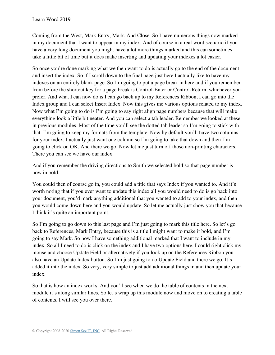Coming from the West, Mark Entry, Mark. And Close. So I have numerous things now marked in my document that I want to appear in my index. And of course in a real word scenario if you have a very long document you might have a lot more things marked and this can sometimes take a little bit of time but it does make inserting and updating your indexes a lot easier.

So once you're done marking what we then want to do is actually go to the end of the document and insert the index. So if I scroll down to the final page just here I actually like to have my indexes on an entirely blank page. So I'm going to put a page break in here and if you remember from before the shortcut key for a page break is Control-Enter or Control-Return, whichever you prefer. And what I can now do is I can go back up to my References Ribbon, I can go into the Index group and I can select Insert Index. Now this gives me various options related to my index. Now what I'm going to do is I'm going to say right align page numbers because that will make everything look a little bit neater. And you can select a tab leader. Remember we looked at these in previous modules. Most of the time you'll see the dotted tab leader so I'm going to stick with that. I'm going to keep my formats from the template. Now by default you'll have two columns for your index. I actually just want one column so I'm going to take that down and then I'm going to click on OK. And there we go. Now let me just turn off those non-printing characters. There you can see we have our index.

And if you remember the driving directions to Smith we selected bold so that page number is now in bold.

You could then of course go in, you could add a title that says Index if you wanted to. And it's worth noting that if you ever want to update this index all you would need to do is go back into your document, you'd mark anything additional that you wanted to add to your index, and then you would come down here and you would update. So let me actually just show you that because I think it's quite an important point.

So I'm going to go down to this last page and I'm just going to mark this title here. So let's go back to References, Mark Entry, because this is a title I might want to make it bold, and I'm going to say Mark. So now I have something additional marked that I want to include in my index. So all I need to do is click on the index and I have two options here. I could right click my mouse and choose Update Field or alternatively if you look up on the References Ribbon you also have an Update Index button. So I'm just going to do Update Field and there we go. It's added it into the index. So very, very simple to just add additional things in and then update your index.

So that is how an index works. And you'll see when we do the table of contents in the next module it's along similar lines. So let's wrap up this module now and move on to creating a table of contents. I will see you over there.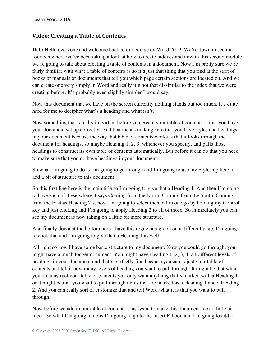### **Video: Creating a Table of Contents**

**Deb:** Hello everyone and welcome back to our course on Word 2019. We're down in section fourteen where we've been taking a look at how to create indexes and now in this second module we're going to talk about creating a table of contents in a document. Now I'm pretty sure we're fairly familiar with what a table of contents is so it's just that thing that you find at the start of books or manuals or documents that tell you which page certain sections are located on. And we can create one very simply in Word and really it's not that dissimilar to the index that we were creating before. It's probably even slightly simpler I would say.

Now this document that we have on the screen currently nothing stands out too much. It's quite hard for me to decipher what's a heading and what isn't.

Now something that's really important before you create your table of contents is that you have your document set up correctly. And that means making sure that you have styles and headings in your document because the way that table of contents works is that it looks through the document for headings, so maybe Heading 1, 2, 3, whichever you specify, and pulls those headings to construct its own table of contents automatically. But before it can do that you need to make sure that you do have headings in your document.

So what I'm going to do is I'm going to go through and I'm going to use my Styles up here to add a bit of structure to this document.

So this first line here is the main title so I'm going to give that a Heading 1. And then I'm going to have each of these where it says Coming from the North, Coming from the South, Coming from the East as Heading 2's. now I'm going to select them all in one go by holding my Control key and just clicking and I'm going to apply Heading 2 to all of those. So immediately you can see my document is now taking on a little bit more structure.

And finally down at the bottom here I have this rogue paragraph on a different page. I'm going to click that and I'm going to give that a Heading 1 as well.

All right so now I have some basic structure to my document. Now you could go through, you might have a much longer document. You might have Heading 1, 2, 3, 4, all different levels of headings in your document and that's perfectly fine because you can adjust your table of contents and tell it how many levels of heading you want to pull through. It might be that when you do construct your table of contents you only want anything that's marked with a Heading 1 or it might be that you want to pull through items that are marked as a Heading 1 and a Heading 2. And you can really sort of customize that and tell Word what it is that you want to pull through.

Now before we add in our table of contents I just want to make this document look a little bit nicer. So what I'm going to do is I'm going to go to the Insert Ribbon and I'm going to add a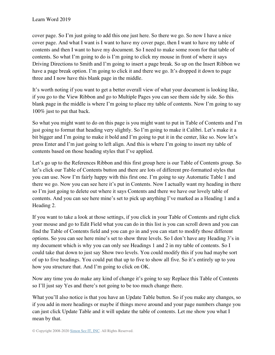cover page. So I'm just going to add this one just here. So there we go. So now I have a nice cover page. And what I want is I want to have my cover page, then I want to have my table of contents and then I want to have my document. So I need to make some room for that table of contents. So what I'm going to do is I'm going to click my mouse in front of where it says Driving Directions to Smith and I'm going to insert a page break. So up on the Insert Ribbon we have a page break option. I'm going to click it and there we go. It's dropped it down to page three and I now have this blank page in the middle.

It's worth noting if you want to get a better overall view of what your document is looking like, if you go to the View Ribbon and go to Multiple Pages you can see them side by side. So this blank page in the middle is where I'm going to place my table of contents. Now I'm going to say 100% just to put that back.

So what you might want to do on this page is you might want to put in Table of Contents and I'm just going to format that heading very slightly. So I'm going to make it Calibri. Let's make it a bit bigger and I'm going to make it bold and I'm going to put it in the center, like so. Now let's press Enter and I'm just going to left align. And this is where I'm going to insert my table of contents based on those heading styles that I've applied.

Let's go up to the References Ribbon and this first group here is our Table of Contents group. So let's click our Table of Contents button and there are lots of different pre-formatted styles that you can use. Now I'm fairly happy with this first one. I'm going to say Automatic Table 1 and there we go. Now you can see here it's put in Contents. Now I actually want my heading in there so I'm just going to delete out where it says Contents and there we have our lovely table of contents. And you can see here mine's set to pick up anything I've marked as a Heading 1 and a Heading 2.

If you want to take a look at those settings, if you click in your Table of Contents and right click your mouse and go to Edit Field what you can do in this list is you can scroll down and you can find the Table of Contents field and you can go in and you can start to modify those different options. So you can see here mine's set to show three levels. So I don't have any Heading 3's in my document which is why you can only see Headings 1 and 2 in my table of contents. So I could take that down to just say Show two levels. You could modify this if you had maybe sort of up to five headings. You could put that up to five to show all five. So it's entirely up to you how you structure that. And I'm going to click on OK.

Now any time you do make any kind of change it's going to say Replace this Table of Contents so I'll just say Yes and there's not going to be too much change there.

What you'll also notice is that you have an Update Table button. So if you make any changes, so if you add in more headings or maybe if things move around and your page numbers change you can just click Update Table and it will update the table of contents. Let me show you what I mean by that.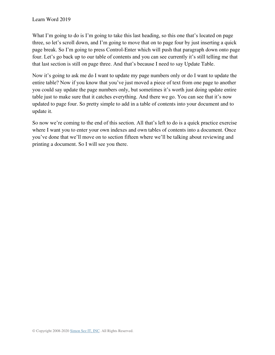What I'm going to do is I'm going to take this last heading, so this one that's located on page three, so let's scroll down, and I'm going to move that on to page four by just inserting a quick page break. So I'm going to press Control-Enter which will push that paragraph down onto page four. Let's go back up to our table of contents and you can see currently it's still telling me that that last section is still on page three. And that's because I need to say Update Table.

Now it's going to ask me do I want to update my page numbers only or do I want to update the entire table? Now if you know that you've just moved a piece of text from one page to another you could say update the page numbers only, but sometimes it's worth just doing update entire table just to make sure that it catches everything. And there we go. You can see that it's now updated to page four. So pretty simple to add in a table of contents into your document and to update it.

So now we're coming to the end of this section. All that's left to do is a quick practice exercise where I want you to enter your own indexes and own tables of contents into a document. Once you've done that we'll move on to section fifteen where we'll be talking about reviewing and printing a document. So I will see you there.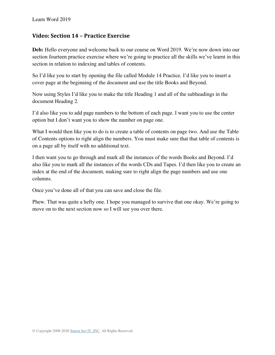### **Video: Section 14 – Practice Exercise**

**Deb:** Hello everyone and welcome back to our course on Word 2019. We're now down into our section fourteen practice exercise where we're going to practice all the skills we've learnt in this section in relation to indexing and tables of contents.

So I'd like you to start by opening the file called Module 14 Practice. I'd like you to insert a cover page at the beginning of the document and use the title Books and Beyond.

Now using Styles I'd like you to make the title Heading 1 and all of the subheadings in the document Heading 2.

I'd also like you to add page numbers to the bottom of each page. I want you to use the center option but I don't want you to show the number on page one.

What I would then like you to do is to create a table of contents on page two. And use the Table of Contents options to right align the numbers. You must make sure that that table of contents is on a page all by itself with no additional text.

I then want you to go through and mark all the instances of the words Books and Beyond. I'd also like you to mark all the instances of the words CDs and Tapes. I'd then like you to create an index at the end of the document, making sure to right align the page numbers and use one columns.

Once you've done all of that you can save and close the file.

Phew. That was quite a hefty one. I hope you managed to survive that one okay. We're going to move on to the next section now so I will see you over there.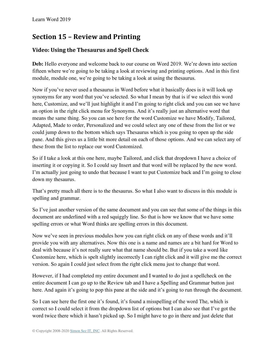# **Section 15 – Review and Printing**

## **Video: Using the Thesaurus and Spell Check**

**Deb:** Hello everyone and welcome back to our course on Word 2019. We're down into section fifteen where we're going to be taking a look at reviewing and printing options. And in this first module, module one, we're going to be taking a look at using the thesaurus.

Now if you've never used a thesaurus in Word before what it basically does is it will look up synonyms for any word that you've selected. So what I mean by that is if we select this word here, Customize, and we'll just highlight it and I'm going to right click and you can see we have an option in the right click menu for Synonyms. And it's really just an alternative word that means the same thing. So you can see here for the word Customize we have Modify, Tailored, Adapted, Made to order, Personalized and we could select any one of these from the list or we could jump down to the bottom which says Thesaurus which is you going to open up the side pane. And this gives us a little bit more detail on each of those options. And we can select any of these from the list to replace our word Customized.

So if I take a look at this one here, maybe Tailored, and click that dropdown I have a choice of inserting it or copying it. So I could say Insert and that word will be replaced by the new word. I'm actually just going to undo that because I want to put Customize back and I'm going to close down my thesaurus.

That's pretty much all there is to the thesaurus. So what I also want to discuss in this module is spelling and grammar.

So I've just another version of the same document and you can see that some of the things in this document are underlined with a red squiggly line. So that is how we know that we have some spelling errors or what Word thinks are spelling errors in this document.

Now we've seen in previous modules how you can right click on any of these words and it'll provide you with any alternatives. Now this one is a name and names are a bit hard for Word to deal with because it's not really sure what that name should be. But if you take a word like Customize here, which is spelt slightly incorrectly I can right click and it will give me the correct version. So again I could just select from the right click menu just to change that word.

However, if I had completed my entire document and I wanted to do just a spellcheck on the entire document I can go up to the Review tab and I have a Spelling and Grammar button just here. And again it's going to pop this pane at the side and it's going to run through the document.

So I can see here the first one it's found, it's found a misspelling of the word The, which is correct so I could select it from the dropdown list of options but I can also see that I've got the word twice there which it hasn't picked up. So I might have to go in there and just delete that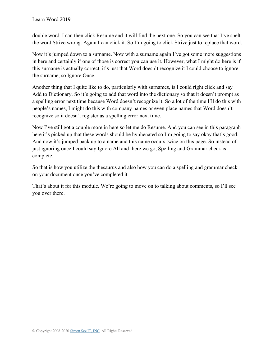double word. I can then click Resume and it will find the next one. So you can see that I've spelt the word Strive wrong. Again I can click it. So I'm going to click Strive just to replace that word.

Now it's jumped down to a surname. Now with a surname again I've got some more suggestions in here and certainly if one of those is correct you can use it. However, what I might do here is if this surname is actually correct, it's just that Word doesn't recognize it I could choose to ignore the surname, so Ignore Once.

Another thing that I quite like to do, particularly with surnames, is I could right click and say Add to Dictionary. So it's going to add that word into the dictionary so that it doesn't prompt as a spelling error next time because Word doesn't recognize it. So a lot of the time I'll do this with people's names, I might do this with company names or even place names that Word doesn't recognize so it doesn't register as a spelling error next time.

Now I've still got a couple more in here so let me do Resume. And you can see in this paragraph here it's picked up that these words should be hyphenated so I'm going to say okay that's good. And now it's jumped back up to a name and this name occurs twice on this page. So instead of just ignoring once I could say Ignore All and there we go, Spelling and Grammar check is complete.

So that is how you utilize the thesaurus and also how you can do a spelling and grammar check on your document once you've completed it.

That's about it for this module. We're going to move on to talking about comments, so I'll see you over there.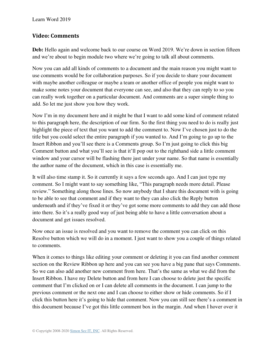### **Video: Comments**

**Deb:** Hello again and welcome back to our course on Word 2019. We're down in section fifteen and we're about to begin module two where we're going to talk all about comments.

Now you can add all kinds of comments to a document and the main reason you might want to use comments would be for collaboration purposes. So if you decide to share your document with maybe another colleague or maybe a team or another office of people you might want to make some notes your document that everyone can see, and also that they can reply to so you can really work together on a particular document. And comments are a super simple thing to add. So let me just show you how they work.

Now I'm in my document here and it might be that I want to add some kind of comment related to this paragraph here, the description of our firm. So the first thing you need to do is really just highlight the piece of text that you want to add the comment to. Now I've chosen just to do the title but you could select the entire paragraph if you wanted to. And I'm going to go up to the Insert Ribbon and you'll see there is a Comments group. So I'm just going to click this big Comment button and what you'll see is that it'll pop out to the righthand side a little comment window and your cursor will be flashing there just under your name. So that name is essentially the author name of the document, which in this case is essentially me.

It will also time stamp it. So it currently it says a few seconds ago. And I can just type my comment. So I might want to say something like, "This paragraph needs more detail. Please review." Something along those lines. So now anybody that I share this document with is going to be able to see that comment and if they want to they can also click the Reply button underneath and if they've fixed it or they've got some more comments to add they can add those into there. So it's a really good way of just being able to have a little conversation about a document and get issues resolved.

Now once an issue is resolved and you want to remove the comment you can click on this Resolve button which we will do in a moment. I just want to show you a couple of things related to comments.

When it comes to things like editing your comment or deleting it you can find another comment section on the Review Ribbon up here and you can see you have a big pane that says Comments. So we can also add another new comment from here. That's the same as what we did from the Insert Ribbon. I have my Delete button and from here I can choose to delete just the specific comment that I'm clicked on or I can delete all comments in the document. I can jump to the previous comment or the next one and I can choose to either show or hide comments. So if I click this button here it's going to hide that comment. Now you can still see there's a comment in this document because I've got this little comment box in the margin. And when I hover over it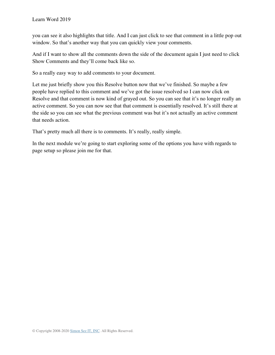you can see it also highlights that title. And I can just click to see that comment in a little pop out window. So that's another way that you can quickly view your comments.

And if I want to show all the comments down the side of the document again I just need to click Show Comments and they'll come back like so.

So a really easy way to add comments to your document.

Let me just briefly show you this Resolve button now that we've finished. So maybe a few people have replied to this comment and we've got the issue resolved so I can now click on Resolve and that comment is now kind of grayed out. So you can see that it's no longer really an active comment. So you can now see that that comment is essentially resolved. It's still there at the side so you can see what the previous comment was but it's not actually an active comment that needs action.

That's pretty much all there is to comments. It's really, really simple.

In the next module we're going to start exploring some of the options you have with regards to page setup so please join me for that.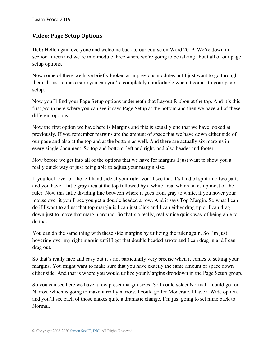### **Video: Page Setup Options**

**Deb:** Hello again everyone and welcome back to our course on Word 2019. We're down in section fifteen and we're into module three where we're going to be talking about all of our page setup options.

Now some of these we have briefly looked at in previous modules but I just want to go through them all just to make sure you can you're completely comfortable when it comes to your page setup.

Now you'll find your Page Setup options underneath that Layout Ribbon at the top. And it's this first group here where you can see it says Page Setup at the bottom and then we have all of these different options.

Now the first option we have here is Margins and this is actually one that we have looked at previously. If you remember margins are the amount of space that we have down either side of our page and also at the top and at the bottom as well. And there are actually six margins in every single document. So top and bottom, left and right, and also header and footer.

Now before we get into all of the options that we have for margins I just want to show you a really quick way of just being able to adjust your margin size.

If you look over on the left hand side at your ruler you'll see that it's kind of split into two parts and you have a little gray area at the top followed by a white area, which takes up most of the ruler. Now this little dividing line between where it goes from gray to white, if you hover your mouse over it you'll see you get a double headed arrow. And it says Top Margin. So what I can do if I want to adjust that top margin is I can just click and I can either drag up or I can drag down just to move that margin around. So that's a really, really nice quick way of being able to do that.

You can do the same thing with these side margins by utilizing the ruler again. So I'm just hovering over my right margin until I get that double headed arrow and I can drag in and I can drag out.

So that's really nice and easy but it's not particularly very precise when it comes to setting your margins. You might want to make sure that you have exactly the same amount of space down either side. And that is where you would utilize your Margins dropdown in the Page Setup group.

So you can see here we have a few preset margin sizes. So I could select Normal, I could go for Narrow which is going to make it really narrow, I could go for Moderate, I have a Wide option, and you'll see each of those makes quite a dramatic change. I'm just going to set mine back to Normal.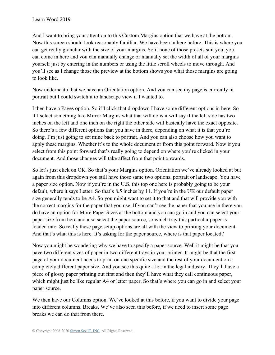And I want to bring your attention to this Custom Margins option that we have at the bottom. Now this screen should look reasonably familiar. We have been in here before. This is where you can get really granular with the size of your margins. So if none of those presets suit you, you can come in here and you can manually change or manually set the width of all of your margins yourself just by entering in the numbers or using the little scroll wheels to move through. And you'll see as I change those the preview at the bottom shows you what those margins are going to look like.

Now underneath that we have an Orientation option. And you can see my page is currently in portrait but I could switch it to landscape view if I wanted to.

I then have a Pages option. So if I click that dropdown I have some different options in here. So if I select something like Mirror Margins what that will do is it will say if the left side has two inches on the left and one inch on the right the other side will basically have the exact opposite. So there's a few different options that you have in there, depending on what it is that you're doing. I'm just going to set mine back to portrait. And you can also choose how you want to apply these margins. Whether it's to the whole document or from this point forward. Now if you select from this point forward that's really going to depend on where you're clicked in your document. And those changes will take affect from that point onwards.

So let's just click on OK. So that's your Margins option. Orientation we've already looked at but again from this dropdown you still have those same two options, portrait or landscape. You have a paper size option. Now if you're in the U.S. this top one here is probably going to be your default, where it says Letter. So that's 8.5 inches by 11. If you're in the UK our default paper size generally tends to be A4. So you might want to set it to that and that will provide you with the correct margins for the paper that you use. If you can't see the paper that you use in there you do have an option for More Paper Sizes at the bottom and you can go in and you can select your paper size from here and also select the paper source, so which tray this particular paper is loaded into. So really these page setup options are all with the view to printing your document. And that's what this is here. It's asking for the paper source, where is that paper located?

Now you might be wondering why we have to specify a paper source. Well it might be that you have two different sizes of paper in two different trays in your printer. It might be that the first page of your document needs to print on one specific size and the rest of your document on a completely different paper size. And you see this quite a lot in the legal industry. They'll have a piece of glossy paper printing out first and then they'll have what they call continuous paper, which might just be like regular A4 or letter paper. So that's where you can go in and select your paper source.

We then have our Columns option. We've looked at this before, if you want to divide your page into different columns. Breaks. We've also seen this before, if we need to insert some page breaks we can do that from there.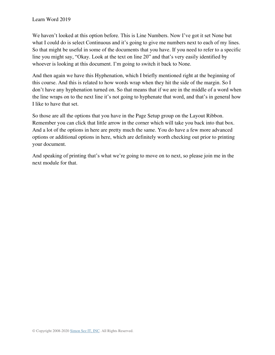We haven't looked at this option before. This is Line Numbers. Now I've got it set None but what I could do is select Continuous and it's going to give me numbers next to each of my lines. So that might be useful in some of the documents that you have. If you need to refer to a specific line you might say, "Okay. Look at the text on line 20" and that's very easily identified by whoever is looking at this document. I'm going to switch it back to None.

And then again we have this Hyphenation, which I briefly mentioned right at the beginning of this course. And this is related to how words wrap when they hit the side of the margin. So I don't have any hyphenation turned on. So that means that if we are in the middle of a word when the line wraps on to the next line it's not going to hyphenate that word, and that's in general how I like to have that set.

So those are all the options that you have in the Page Setup group on the Layout Ribbon. Remember you can click that little arrow in the corner which will take you back into that box. And a lot of the options in here are pretty much the same. You do have a few more advanced options or additional options in here, which are definitely worth checking out prior to printing your document.

And speaking of printing that's what we're going to move on to next, so please join me in the next module for that.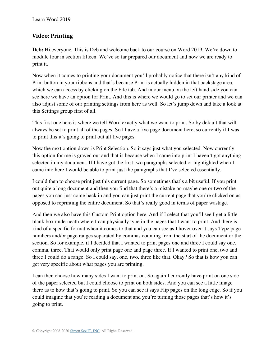### **Video: Printing**

**Deb:** Hi everyone. This is Deb and welcome back to our course on Word 2019. We're down to module four in section fifteen. We've so far prepared our document and now we are ready to print it.

Now when it comes to printing your document you'll probably notice that there isn't any kind of Print button in your ribbons and that's because Print is actually hidden in that backstage area, which we can access by clicking on the File tab. And in our menu on the left hand side you can see here we have an option for Print. And this is where we would go to set our printer and we can also adjust some of our printing settings from here as well. So let's jump down and take a look at this Settings group first of all.

This first one here is where we tell Word exactly what we want to print. So by default that will always be set to print all of the pages. So I have a five page document here, so currently if I was to print this it's going to print out all five pages.

Now the next option down is Print Selection. So it says just what you selected. Now currently this option for me is grayed out and that is because when I came into print I haven't got anything selected in my document. If I have got the first two paragraphs selected or highlighted when I came into here I would be able to print just the paragraphs that I've selected essentially.

I could then to choose print just this current page. So sometimes that's a bit useful. If you print out quite a long document and then you find that there's a mistake on maybe one or two of the pages you can just come back in and you can just print the current page that you're clicked on as opposed to reprinting the entire document. So that's really good in terms of paper wastage.

And then we also have this Custom Print option here. And if I select that you'll see I get a little blank box underneath where I can physically type in the pages that I want to print. And there is kind of a specific format when it comes to that and you can see as I hover over it says Type page numbers and/or page ranges separated by commas counting from the start of the document or the section. So for example, if I decided that I wanted to print pages one and three I could say one, comma, three. That would only print page one and page three. If I wanted to print one, two and three I could do a range. So I could say, one, two, three like that. Okay? So that is how you can get very specific about what pages you are printing.

I can then choose how many sides I want to print on. So again I currently have print on one side of the paper selected but I could choose to print on both sides. And you can see a little image there as to how that's going to print. So you can see it says Flip pages on the long edge. So if you could imagine that you're reading a document and you're turning those pages that's how it's going to print.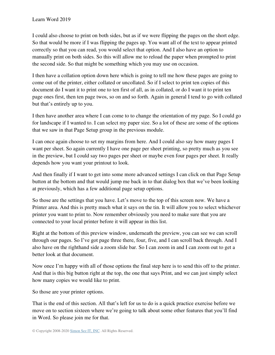I could also choose to print on both sides, but as if we were flipping the pages on the short edge. So that would be more if I was flipping the pages up. You want all of the text to appear printed correctly so that you can read, you would select that option. And I also have an option to manually print on both sides. So this will allow me to reload the paper when prompted to print the second side. So that might be something which you may use on occasion.

I then have a collation option down here which is going to tell me how these pages are going to come out of the printer, either collated or uncollated. So if I select to print ten copies of this document do I want it to print one to ten first of all, as in collated, or do I want it to print ten page ones first, then ten page twos, so on and so forth. Again in general I tend to go with collated but that's entirely up to you.

I then have another area where I can come to to change the orientation of my page. So I could go for landscape if I wanted to. I can select my paper size. So a lot of these are some of the options that we saw in that Page Setup group in the previous module.

I can once again choose to set my margins from here. And I could also say how many pages I want per sheet. So again currently I have one page per sheet printing, so pretty much as you see in the preview, but I could say two pages per sheet or maybe even four pages per sheet. It really depends how you want your printout to look.

And then finally if I want to get into some more advanced settings I can click on that Page Setup button at the bottom and that would jump me back in to that dialog box that we've been looking at previously, which has a few additional page setup options.

So those are the settings that you have. Let's move to the top of this screen now. We have a Printer area. And this is pretty much what it says on the tin. It will allow you to select whichever printer you want to print to. Now remember obviously you need to make sure that you are connected to your local printer before it will appear in this list.

Right at the bottom of this preview window, underneath the preview, you can see we can scroll through our pages. So I've got page three there, four, five, and I can scroll back through. And I also have on the righthand side a zoom slide bar. So I can zoom in and I can zoom out to get a better look at that document.

Now once I'm happy with all of those options the final step here is to send this off to the printer. And that is this big button right at the top, the one that says Print, and we can just simply select how many copies we would like to print.

So those are your printer options.

That is the end of this section. All that's left for us to do is a quick practice exercise before we move on to section sixteen where we're going to talk about some other features that you'll find in Word. So please join me for that.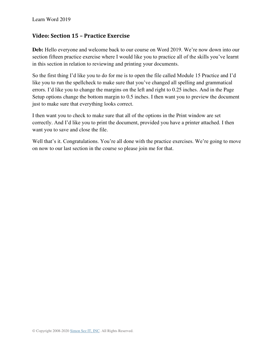### **Video: Section 15 – Practice Exercise**

**Deb:** Hello everyone and welcome back to our course on Word 2019. We're now down into our section fifteen practice exercise where I would like you to practice all of the skills you've learnt in this section in relation to reviewing and printing your documents.

So the first thing I'd like you to do for me is to open the file called Module 15 Practice and I'd like you to run the spellcheck to make sure that you've changed all spelling and grammatical errors. I'd like you to change the margins on the left and right to 0.25 inches. And in the Page Setup options change the bottom margin to 0.5 inches. I then want you to preview the document just to make sure that everything looks correct.

I then want you to check to make sure that all of the options in the Print window are set correctly. And I'd like you to print the document, provided you have a printer attached. I then want you to save and close the file.

Well that's it. Congratulations. You're all done with the practice exercises. We're going to move on now to our last section in the course so please join me for that.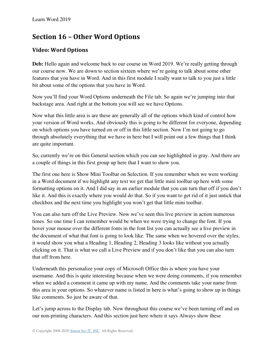# **Section 16 – Other Word Options**

### **Video: Word Options**

**Deb:** Hello again and welcome back to our course on Word 2019. We're really getting through our course now. We are down to section sixteen where we're going to talk about some other features that you have in Word. And in this first module I really want to talk to you just a little bit about some of the options that you have in Word.

Now you'll find your Word Options underneath the File tab. So again we're jumping into that backstage area. And right at the bottom you will see we have Options.

Now what this little area is are these are generally all of the options which kind of control how your version of Word works. And obviously this is going to be different for everyone, depending on which options you have turned on or off in this little section. Now I'm not going to go through absolutely everything that we have in here but I will point out a few things that I think are quite important.

So, currently we're on this General section which you can see highlighted in gray. And there are a couple of things in this first group up here that I want to show you.

The first one here is Show Mini Toolbar on Selection. If you remember when we were working in a Word document if we highlight any text we get that little mini toolbar up here with some formatting options on it. And I did say in an earlier module that you can turn that off if you don't like it. And this is exactly where you would do that. So if you want to get rid of it just untick that checkbox and the next time you highlight you won't get that little mini toolbar.

You can also turn off the Live Preview. Now we've seen this live preview in action numerous times. So one time I can remember would be when we were trying to change the font. If you hover your mouse over the different fonts in the font list you can actually see a live preview in the document of what that font is going to look like. The same when we hovered over the styles, it would show you what a Heading 1, Heading 2, Heading 3 looks like without you actually clicking on it. That is what we call a Live Preview and if you don't like that you can also turn that off from here.

Underneath this personalize your copy of Microsoft Office this is where you have your username. And this is quite interesting because when we were doing comments, if you remember when we added a comment it came up with my name. And the comments take your name from this area in your options. So whatever name is listed in here is what's going to show up in things like comments. So just be aware of that.

Let's jump across to the Display tab. Now throughout this course we've been turning off and on our non-printing characters. And this section just here where it says Always show these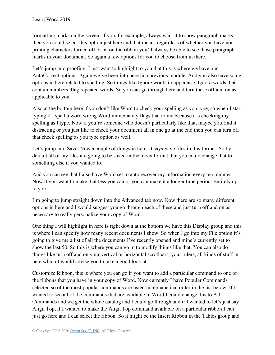formatting marks on the screen. If you, for example, always want it to show paragraph marks then you could select this option just here and that means regardless of whether you have nonprinting characters turned off or on on the ribbon you'll always be able to see those paragraph marks in your document. So again a few options for you to choose from in there.

Let's jump into proofing. I just want to highlight to you that this is where we have our AutoCorrect options. Again we've been into here in a previous module. And you also have some options in here related to spelling. So things like Ignore words in uppercase, Ignore words that contain numbers, flag repeated words. So you can go through here and turn these off and on as applicable to you.

Also at the bottom here if you don't like Word to check your spelling as you type, so when I start typing if I spell a word wrong Word immediately flags that to me because it's checking my spelling as I type. Now if you're someone who doesn't particularly like that, maybe you find it distracting or you just like to check your document all in one go at the end then you can turn off that check spelling as you type option as well.

Let's jump into Save. Now a couple of things in here. It says Save files in this format. So by default all of my files are going to be saved in the .docx format, but you could change that to something else if you wanted to.

And you can see that I also have Word set to auto recover my information every ten minutes. Now if you want to make that less you can or you can make it a longer time period. Entirely up to you.

I'm going to jump straight down into the Advanced tab now. Now there are so many different options in here and I would suggest you go through each of these and just turn off and on as necessary to really personalize your copy of Word.

One thing I will highlight in here is right down at the bottom we have this Display group and this is where I can specify how many recent documents I show. So when I go into my File option it's going to give me a list of all the documents I've recently opened and mine's currently set to show the last 50. So this is where you can go in to modify things like that. You can also do things like turn off and on your vertical or horizontal scrollbars, your rulers, all kinds of stuff in here which I would advise you to take a good look at.

Customize Ribbon, this is where you can go if you want to add a particular command to one of the ribbons that you have in your copy of Word. Now currently I have Popular Commands selected so of the most popular commands are listed in alphabetical order in the list below. If I wanted to see all of the commands that are available in Word I could change this to All Commands and we get the whole catalog and I could go through and if I wanted to let's just say Align Top, if I wanted to make the Align Top command available on a particular ribbon I can just go here and I can select the ribbon. So it might be the Insert Ribbon in the Tables group and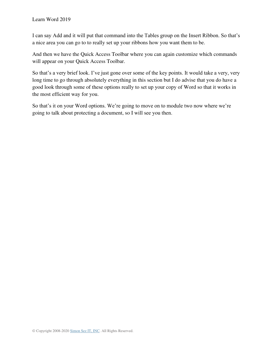I can say Add and it will put that command into the Tables group on the Insert Ribbon. So that's a nice area you can go to to really set up your ribbons how you want them to be.

And then we have the Quick Access Toolbar where you can again customize which commands will appear on your Quick Access Toolbar.

So that's a very brief look. I've just gone over some of the key points. It would take a very, very long time to go through absolutely everything in this section but I do advise that you do have a good look through some of these options really to set up your copy of Word so that it works in the most efficient way for you.

So that's it on your Word options. We're going to move on to module two now where we're going to talk about protecting a document, so I will see you then.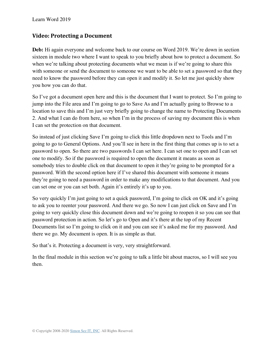#### **Video: Protecting a Document**

**Deb:** Hi again everyone and welcome back to our course on Word 2019. We're down in section sixteen in module two where I want to speak to you briefly about how to protect a document. So when we're talking about protecting documents what we mean is if we're going to share this with someone or send the document to someone we want to be able to set a password so that they need to know the password before they can open it and modify it. So let me just quickly show you how you can do that.

So I've got a document open here and this is the document that I want to protect. So I'm going to jump into the File area and I'm going to go to Save As and I'm actually going to Browse to a location to save this and I'm just very briefly going to change the name to Protecting Documents 2. And what I can do from here, so when I'm in the process of saving my document this is when I can set the protection on that document.

So instead of just clicking Save I'm going to click this little dropdown next to Tools and I'm going to go to General Options. And you'll see in here in the first thing that comes up is to set a password to open. So there are two passwords I can set here. I can set one to open and I can set one to modify. So if the password is required to open the document it means as soon as somebody tries to double click on that document to open it they're going to be prompted for a password. With the second option here if I've shared this document with someone it means they're going to need a password in order to make any modifications to that document. And you can set one or you can set both. Again it's entirely it's up to you.

So very quickly I'm just going to set a quick password, I'm going to click on OK and it's going to ask you to reenter your password. And there we go. So now I can just click on Save and I'm going to very quickly close this document down and we're going to reopen it so you can see that password protection in action. So let's go to Open and it's there at the top of my Recent Documents list so I'm going to click on it and you can see it's asked me for my password. And there we go. My document is open. It is as simple as that.

So that's it. Protecting a document is very, very straightforward.

In the final module in this section we're going to talk a little bit about macros, so I will see you then.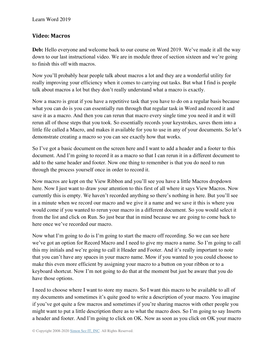#### **Video: Macros**

**Deb:** Hello everyone and welcome back to our course on Word 2019. We've made it all the way down to our last instructional video. We are in module three of section sixteen and we're going to finish this off with macros.

Now you'll probably hear people talk about macros a lot and they are a wonderful utility for really improving your efficiency when it comes to carrying out tasks. But what I find is people talk about macros a lot but they don't really understand what a macro is exactly.

Now a macro is great if you have a repetitive task that you have to do on a regular basis because what you can do is you can essentially run through that regular task in Word and record it and save it as a macro. And then you can rerun that macro every single time you need it and it will rerun all of those steps that you took. So essentially records your keystrokes, saves them into a little file called a Macro, and makes it available for you to use in any of your documents. So let's demonstrate creating a macro so you can see exactly how that works.

So I've got a basic document on the screen here and I want to add a header and a footer to this document. And I'm going to record it as a macro so that I can rerun it in a different document to add to the same header and footer. Now one thing to remember is that you do need to run through the process yourself once in order to record it.

Now macros are kept on the View Ribbon and you'll see you have a little Macros dropdown here. Now I just want to draw your attention to this first of all where it says View Macros. Now currently this is empty. We haven't recorded anything so there's nothing in here. But you'll see in a minute when we record our macro and we give it a name and we save it this is where you would come if you wanted to rerun your macro in a different document. So you would select it from the list and click on Run. So just bear that in mind because we are going to come back to here once we've recorded our macro.

Now what I'm going to do is I'm going to start the macro off recording. So we can see here we've got an option for Record Macro and I need to give my macro a name. So I'm going to call this my initials and we're going to call it Header and Footer. And it's really important to note that you can't have any spaces in your macro name. Mow if you wanted to you could choose to make this even more efficient by assigning your macro to a button on your ribbon or to a keyboard shortcut. Now I'm not going to do that at the moment but just be aware that you do have those options.

I need to choose where I want to store my macro. So I want this macro to be available to all of my documents and sometimes it's quite good to write a description of your macro. You imagine if you've got quite a few macros and sometimes if you're sharing macros with other people you might want to put a little description there as to what the macro does. So I'm going to say Inserts a header and footer. And I'm going to click on OK. Now as soon as you click on OK your macro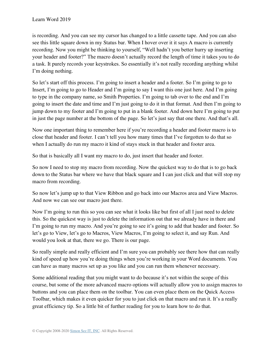is recording. And you can see my cursor has changed to a little cassette tape. And you can also see this little square down in my Status bar. When I hover over it it says A macro is currently recording. Now you might be thinking to yourself, "Well hadn't you better hurry up inserting your header and footer?" The macro doesn't actually record the length of time it takes you to do a task. It purely records your keystrokes. So essentially it's not really recording anything whilst I'm doing nothing.

So let's start off this process. I'm going to insert a header and a footer. So I'm going to go to Insert, I'm going to go to Header and I'm going to say I want this one just here. And I'm going to type in the company name, so Smith Properties. I'm going to tab over to the end and I'm going to insert the date and time and I'm just going to do it in that format. And then I'm going to jump down to my footer and I'm going to put in a blank footer. And down here I'm going to put in just the page number at the bottom of the page. So let's just say that one there. And that's all.

Now one important thing to remember here if you're recording a header and footer macro is to close that header and footer. I can't tell you how many times that I've forgotten to do that so when I actually do run my macro it kind of stays stuck in that header and footer area.

So that is basically all I want my macro to do, just insert that header and footer.

So now I need to stop my macro from recording. Now the quickest way to do that is to go back down to the Status bar where we have that black square and I can just click and that will stop my macro from recording.

So now let's jump up to that View Ribbon and go back into our Macros area and View Macros. And now we can see our macro just there.

Now I'm going to run this so you can see what it looks like but first of all I just need to delete this. So the quickest way is just to delete the information out that we already have in there and I'm going to run my macro. And you're going to see it's going to add that header and footer. So let's go to View, let's go to Macros, View Macros, I'm going to select it, and say Run. And would you look at that, there we go. There is our page.

So really simple and really efficient and I'm sure you can probably see there how that can really kind of speed up how you're doing things when you're working in your Word documents. You can have as many macros set up as you like and you can run them whenever necessary.

Some additional reading that you might want to do because it's not within the scope of this course, but some of the more advanced macro options will actually allow you to assign macros to buttons and you can place them on the toolbar. You can even place them on the Quick Access Toolbar, which makes it even quicker for you to just click on that macro and run it. It's a really great efficiency tip. So a little bit of further reading for you to learn how to do that.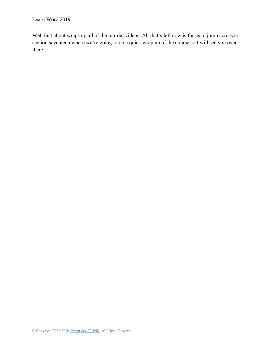Well that about wraps up all of the tutorial videos. All that's left now is for us to jump across to section seventeen where we're going to do a quick wrap up of the course so I will see you over there.